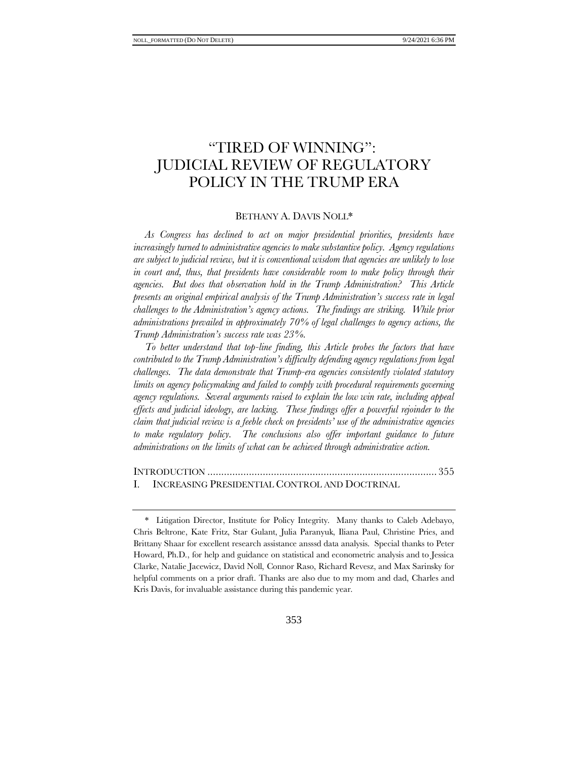# "TIRED OF WINNING": JUDICIAL REVIEW OF REGULATORY POLICY IN THE TRUMP ERA

#### BETHANY A. DAVIS NOLL\*

*As Congress has declined to act on major presidential priorities, presidents have increasingly turned to administrative agencies to make substantive policy. Agency regulations are subject to judicial review, but it is conventional wisdom that agencies are unlikely to lose in court and, thus, that presidents have considerable room to make policy through their agencies. But does that observation hold in the Trump Administration? This Article presents an original empirical analysis of the Trump Administration's success rate in legal challenges to the Administration's agency actions. The findings are striking. While prior administrations prevailed in approximately 70% of legal challenges to agency actions, the Trump Administration's success rate was 23%.* 

*To better understand that top-line finding, this Article probes the factors that have contributed to the Trump Administration's difficulty defending agency regulations from legal challenges. The data demonstrate that Trump-era agencies consistently violated statutory limits on agency policymaking and failed to comply with procedural requirements governing agency regulations. Several arguments raised to explain the low win rate, including appeal effects and judicial ideology, are lacking. These findings offer a powerful rejoinder to the claim that judicial review is a feeble check on presidents' use of the administrative agencies*  to make regulatory policy. The conclusions also offer important guidance to future *administrations on the limits of what can be achieved through administrative action.*

INTRODUCTION ................................................................................... 355 I. INCREASING PRESIDENTIAL CONTROL AND DOCTRINAL

<sup>\*</sup> Litigation Director, Institute for Policy Integrity. Many thanks to Caleb Adebayo, Chris Beltrone, Kate Fritz, Star Gulant, Julia Paranyuk, Iliana Paul, Christine Pries, and Brittany Shaar for excellent research assistance ansssd data analysis. Special thanks to Peter Howard, Ph.D., for help and guidance on statistical and econometric analysis and to Jessica Clarke, Natalie Jacewicz, David Noll, Connor Raso, Richard Revesz, and Max Sarinsky for helpful comments on a prior draft. Thanks are also due to my mom and dad, Charles and Kris Davis, for invaluable assistance during this pandemic year.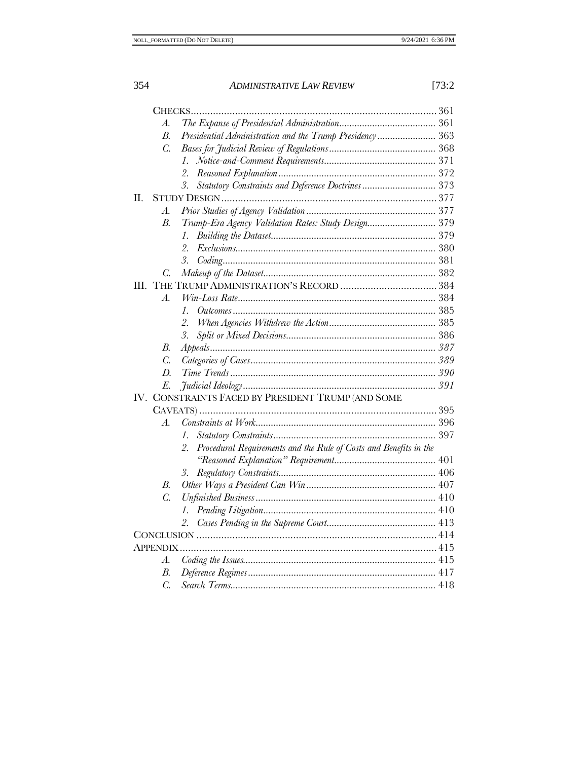|     | А.               |                                                                         |  |
|-----|------------------|-------------------------------------------------------------------------|--|
|     | $\overline{B}$   | Presidential Administration and the Trump Presidency 363                |  |
|     | $\overline{C}$ . |                                                                         |  |
|     |                  | $\mathcal{I}$ .                                                         |  |
|     |                  | 2.                                                                      |  |
|     |                  | Statutory Constraints and Deference Doctrines 373<br>3.                 |  |
| Π.  |                  |                                                                         |  |
|     | А.               |                                                                         |  |
|     | B.               | Trump-Era Agency Validation Rates: Study Design 379                     |  |
|     |                  | 1.                                                                      |  |
|     |                  | 2.                                                                      |  |
|     |                  | 3.                                                                      |  |
|     | C.               |                                                                         |  |
| Ш.  |                  |                                                                         |  |
|     | A.               |                                                                         |  |
|     |                  | $\mathcal{I}$ .                                                         |  |
|     |                  | 2.                                                                      |  |
|     |                  | 3.                                                                      |  |
|     | В.               |                                                                         |  |
|     | $\overline{C}$ . |                                                                         |  |
|     | $D$ .            |                                                                         |  |
|     | E.               |                                                                         |  |
| IV. |                  | CONSTRAINTS FACED BY PRESIDENT TRUMP (AND SOME                          |  |
|     |                  |                                                                         |  |
|     | А.               |                                                                         |  |
|     |                  | $\mathcal{I}$ .                                                         |  |
|     |                  | Procedural Requirements and the Rule of Costs and Benefits in the<br>2. |  |
|     |                  |                                                                         |  |
|     |                  | 3.                                                                      |  |
|     | B.               |                                                                         |  |
|     | $\overline{C}$ . |                                                                         |  |
|     |                  | 1.                                                                      |  |
|     |                  | 2.                                                                      |  |
|     |                  |                                                                         |  |
|     | APPENDIX .       |                                                                         |  |
|     | А.               |                                                                         |  |
|     | В.               |                                                                         |  |
|     | $\overline{C}$ . |                                                                         |  |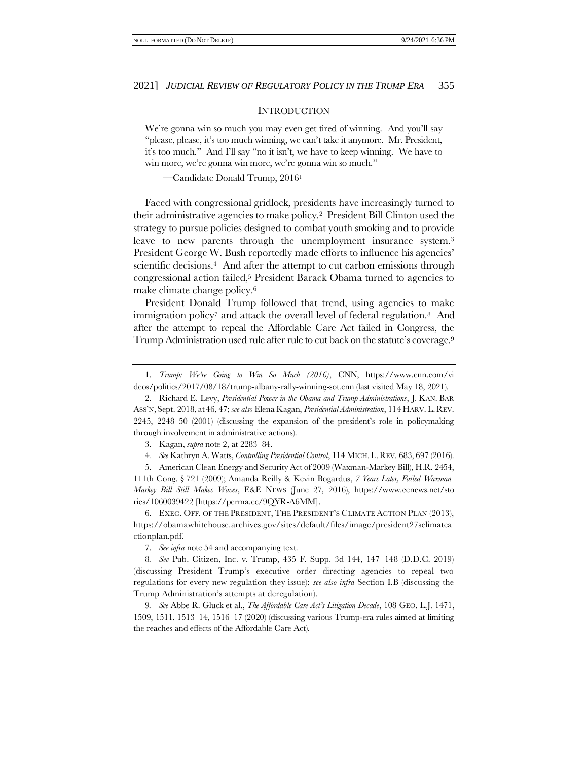#### <span id="page-2-1"></span><span id="page-2-0"></span>**INTRODUCTION**

We're gonna win so much you may even get tired of winning. And you'll say "please, please, it's too much winning, we can't take it anymore. Mr. President, it's too much." And I'll say "no it isn't, we have to keep winning. We have to win more, we're gonna win more, we're gonna win so much."

—Candidate Donald Trump, 2016<sup>1</sup>

Faced with congressional gridlock, presidents have increasingly turned to their administrative agencies to make policy.2 President Bill Clinton used the strategy to pursue policies designed to combat youth smoking and to provide leave to new parents through the unemployment insurance system.<sup>3</sup> President George W. Bush reportedly made efforts to influence his agencies' scientific decisions.<sup>4</sup> And after the attempt to cut carbon emissions through congressional action failed,<sup>5</sup> President Barack Obama turned to agencies to make climate change policy.<sup>6</sup>

President Donald Trump followed that trend, using agencies to make immigration policy<sup>7</sup> and attack the overall level of federal regulation.<sup>8</sup> And after the attempt to repeal the Affordable Care Act failed in Congress, the Trump Administration used rule after rule to cut back on the statute's coverage.<sup>9</sup>

3. Kagan, *supra* note [2,](#page-2-0) at 2283–84.

4*. See* Kathryn A. Watts, *Controlling Presidential Control*, 114 MICH.L.REV. 683, 697 (2016).

5. American Clean Energy and Security Act of 2009 (Waxman-Markey Bill), H.R. 2454, 111th Cong. § 721 (2009); Amanda Reilly & Kevin Bogardus, *7 Years Later, Failed Waxman-Markey Bill Still Makes Waves*, E&E NEWS (June 27, 2016), https://www.eenews.net/sto ries/1060039422 [https://perma.cc/9QYR-A6MM].

6. EXEC. OFF. OF THE PRESIDENT, THE PRESIDENT'S CLIMATE ACTION PLAN (2013), https://obamawhitehouse.archives.gov/sites/default/files/image/president27sclimatea ctionplan.pdf.

7. *See infra* not[e 54](#page-11-0) and accompanying text.

8*. See* Pub. Citizen, Inc. v. Trump, 435 F. Supp. 3d 144, 147–148 (D.D.C. 2019) (discussing President Trump's executive order directing agencies to repeal two regulations for every new regulation they issue); *see also infra* Section I[.B](#page-10-0) (discussing the Trump Administration's attempts at deregulation).

9*. See* Abbe R. Gluck et al., *The Affordable Care Act's Litigation Decade*, 108 GEO. L.J. 1471, 1509, 1511, 1513–14, 1516–17 (2020) (discussing various Trump-era rules aimed at limiting the reaches and effects of the Affordable Care Act).

<sup>1.</sup> *Trump: We're Going to Win So Much (2016)*, CNN, https://www.cnn.com/vi deos/politics/2017/08/18/trump-albany-rally-winning-sot.cnn (last visited May 18, 2021).

<sup>2.</sup> Richard E. Levy, *Presidential Power in the Obama and Trump Administrations*, J. KAN. BAR ASS'N, Sept. 2018, at 46, 47; *see also* Elena Kagan, *Presidential Administration*, 114 HARV. L.REV. 2245, 2248–50 (2001) (discussing the expansion of the president's role in policymaking through involvement in administrative actions).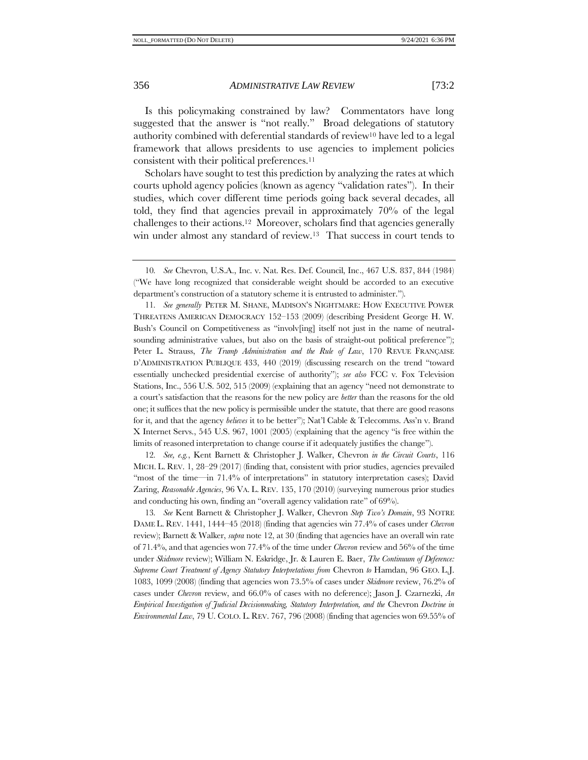Is this policymaking constrained by law? Commentators have long suggested that the answer is "not really." Broad delegations of statutory authority combined with deferential standards of review<sup>10</sup> have led to a legal framework that allows presidents to use agencies to implement policies consistent with their political preferences.<sup>11</sup>

<span id="page-3-3"></span><span id="page-3-1"></span><span id="page-3-0"></span>Scholars have sought to test this prediction by analyzing the rates at which courts uphold agency policies (known as agency "validation rates"). In their studies, which cover different time periods going back several decades, all told, they find that agencies prevail in approximately 70% of the legal challenges to their actions.12 Moreover, scholars find that agencies generally win under almost any standard of review.<sup>13</sup> That success in court tends to

11*. See generally* PETER M. SHANE, MADISON'S NIGHTMARE: HOW EXECUTIVE POWER THREATENS AMERICAN DEMOCRACY 152–153 (2009) (describing President George H. W. Bush's Council on Competitiveness as "involv[ing] itself not just in the name of neutralsounding administrative values, but also on the basis of straight-out political preference"); Peter L. Strauss, *The Trump Administration and the Rule of Law*, 170 REVUE FRANÇAISE D'ADMINISTRATION PUBLIQUE 433, 440 (2019) (discussing research on the trend "toward essentially unchecked presidential exercise of authority"); *see also* FCC v. Fox Television Stations, Inc., 556 U.S. 502, 515 (2009) (explaining that an agency "need not demonstrate to a court's satisfaction that the reasons for the new policy are *better* than the reasons for the old one; it suffices that the new policy is permissible under the statute, that there are good reasons for it, and that the agency *believes* it to be better"); Nat'l Cable & Telecomms. Ass'n v. Brand X Internet Servs., 545 U.S. 967, 1001 (2005) (explaining that the agency "is free within the limits of reasoned interpretation to change course if it adequately justifies the change").

12*. See, e.g.*, Kent Barnett & Christopher J. Walker, Chevron *in the Circuit Courts*, 116 MICH. L. REV. 1, 28–29 (2017) (finding that, consistent with prior studies, agencies prevailed "most of the time—in 71.4% of interpretations" in statutory interpretation cases); David Zaring, *Reasonable Agencies*, 96 VA. L. REV. 135, 170 (2010) (surveying numerous prior studies and conducting his own, finding an "overall agency validation rate" of 69%).

13*. See* Kent Barnett & Christopher J. Walker, Chevron *Step Two's Domain*, 93 NOTRE DAME L. REV. 1441, 1444–45 (2018) (finding that agencies win 77.4% of cases under *Chevron* review); Barnett & Walker, *supra* not[e 12,](#page-3-0) at 30 (finding that agencies have an overall win rate of 71.4%, and that agencies won 77.4% of the time under *Chevron* review and 56% of the time under *Skidmore* review); William N. Eskridge, Jr. & Lauren E. Baer, *The Continuum of Deference: Supreme Court Treatment of Agency Statutory Interpretations from* Chevron *to* Hamdan, 96 GEO. L.J. 1083, 1099 (2008) (finding that agencies won 73.5% of cases under *Skidmore* review, 76.2% of cases under *Chevron* review, and 66.0% of cases with no deference); Jason J. Czarnezki, *An Empirical Investigation of*  $\tilde{\tau}$ *udicial Decisionmaking, Statutory Interpretation, and the Chevron Doctrine in Environmental Law*, 79 U. COLO. L. REV. 767, 796 (2008) (finding that agencies won 69.55% of

<span id="page-3-2"></span><sup>10</sup>*. See* Chevron, U.S.A., Inc. v. Nat. Res. Def. Council, Inc., 467 U.S. 837, 844 (1984) ("We have long recognized that considerable weight should be accorded to an executive department's construction of a statutory scheme it is entrusted to administer.").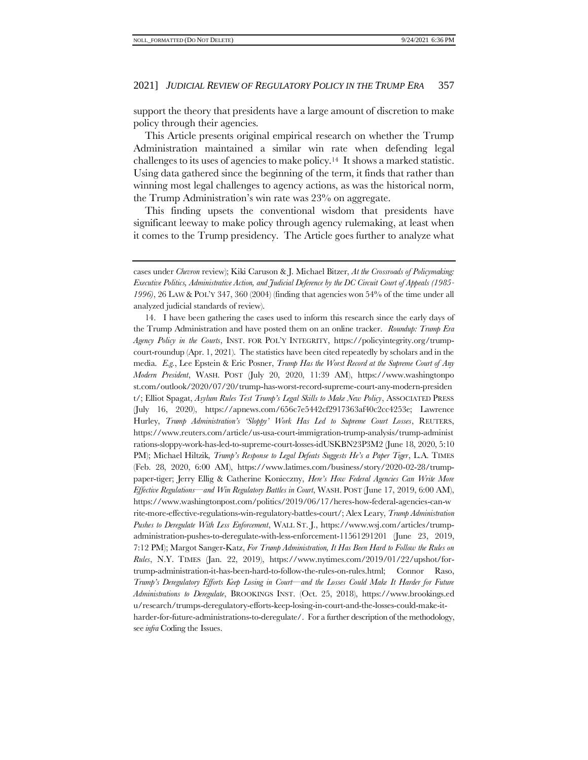support the theory that presidents have a large amount of discretion to make policy through their agencies.

<span id="page-4-0"></span>This Article presents original empirical research on whether the Trump Administration maintained a similar win rate when defending legal challenges to its uses of agencies to make policy.14 It shows a marked statistic. Using data gathered since the beginning of the term, it finds that rather than winning most legal challenges to agency actions, as was the historical norm, the Trump Administration's win rate was 23% on aggregate.

This finding upsets the conventional wisdom that presidents have significant leeway to make policy through agency rulemaking, at least when it comes to the Trump presidency. The Article goes further to analyze what

14. I have been gathering the cases used to inform this research since the early days of the Trump Administration and have posted them on an online tracker. *Roundup: Trump Era Agency Policy in the Courts*, INST. FOR POL'Y INTEGRITY, https://policyintegrity.org/trumpcourt-roundup (Apr. 1, 2021).The statistics have been cited repeatedly by scholars and in the media. *E.g.*, Lee Epstein & Eric Posner, *Trump Has the Worst Record at the Supreme Court of Any Modern President*, WASH. POST (July 20, 2020, 11:39 AM), https://www.washingtonpo st.com/outlook/2020/07/20/trump-has-worst-record-supreme-court-any-modern-presiden t/; Elliot Spagat, *Asylum Rules Test Trump's Legal Skills to Make New Policy*, ASSOCIATED PRESS (July 16, 2020), https://apnews.com/656c7e5442cf2917363af40c2cc4253e; Lawrence Hurley, *Trump Administration's 'Sloppy' Work Has Led to Supreme Court Losses*, REUTERS, https://www.reuters.com/article/us-usa-court-immigration-trump-analysis/trump-administ rations-sloppy-work-has-led-to-supreme-court-losses-idUSKBN23P3M2 (June 18, 2020, 5:10 PM); Michael Hiltzik, *Trump's Response to Legal Defeats Suggests He's a Paper Tiger*, L.A. TIMES (Feb. 28, 2020, 6:00 AM), https://www.latimes.com/business/story/2020-02-28/trumppaper-tiger; Jerry Ellig & Catherine Konieczny, *Here's How Federal Agencies Can Write More Effective Regulations—and Win Regulatory Battles in Court*, WASH. POST (June 17, 2019, 6:00 AM), https://www.washingtonpost.com/politics/2019/06/17/heres-how-federal-agencies-can-w rite-more-effective-regulations-win-regulatory-battles-court/; Alex Leary, *Trump Administration Pushes to Deregulate With Less Enforcement*, WALL ST. J., https://www.wsj.com/articles/trumpadministration-pushes-to-deregulate-with-less-enforcement-11561291201 (June 23, 2019, 7:12 PM); Margot Sanger-Katz, *For Trump Administration, It Has Been Hard to Follow the Rules on Rules*, N.Y. TIMES (Jan. 22, 2019), https://www.nytimes.com/2019/01/22/upshot/fortrump-administration-it-has-been-hard-to-follow-the-rules-on-rules.html; [Connor Raso,](https://www.brookings.edu/author/connor-raso/) *Trump's Deregulatory Efforts Keep Losing in Court—and the Losses Could Make It Harder for Future Administrations to Deregulate*, BROOKINGS INST. (Oct. 25, 2018), https://www.brookings.ed u/research/trumps-deregulatory-efforts-keep-losing-in-court-and-the-losses-could-make-itharder-for-future-administrations-to-deregulate/. For a further description of the methodology, see *infra* Coding [the Issues.](#page-62-0)

cases under *Chevron* review); Kiki Caruson & J. Michael Bitzer, *At the Crossroads of Policymaking: Executive Politics, Administrative Action, and Judicial Deference by the DC Circuit Court of Appeals (1985- 1996)*, 26 LAW & POL'Y 347, 360 (2004) (finding that agencies won 54% of the time under all analyzed judicial standards of review).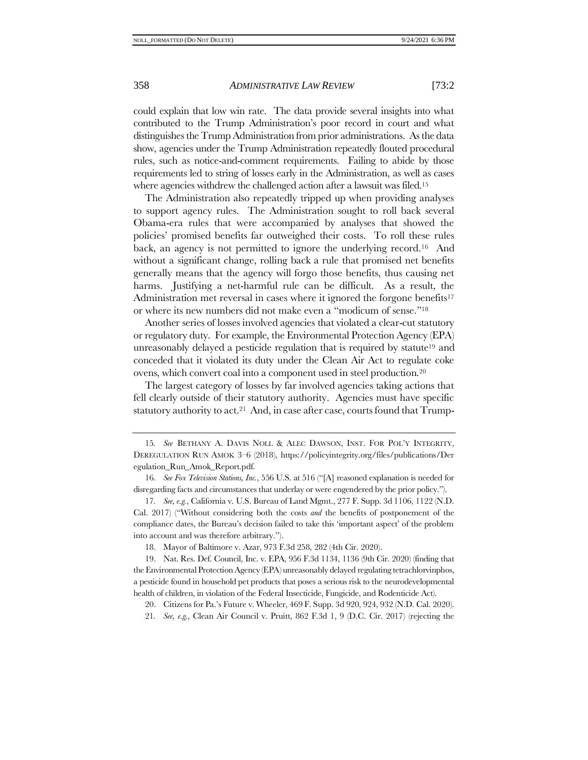could explain that low win rate. The data provide several insights into what contributed to the Trump Administration's poor record in court and what distinguishes the Trump Administration from prior administrations. As the data show, agencies under the Trump Administration repeatedly flouted procedural rules, such as notice-and-comment requirements. Failing to abide by those requirements led to string of losses early in the Administration, as well as cases where agencies withdrew the challenged action after a lawsuit was filed.<sup>15</sup>

<span id="page-5-0"></span>The Administration also repeatedly tripped up when providing analyses to support agency rules. The Administration sought to roll back several Obama-era rules that were accompanied by analyses that showed the policies' promised benefits far outweighed their costs. To roll these rules back, an agency is not permitted to ignore the underlying record.16 And without a significant change, rolling back a rule that promised net benefits generally means that the agency will forgo those benefits, thus causing net harms. Justifying a net-harmful rule can be difficult. As a result, the Administration met reversal in cases where it ignored the forgone benefits<sup>17</sup> or where its new numbers did not make even a "modicum of sense."<sup>18</sup>

Another series of losses involved agencies that violated a clear-cut statutory or regulatory duty. For example, the Environmental Protection Agency (EPA) unreasonably delayed a pesticide regulation that is required by statute<sup>19</sup> and conceded that it violated its duty under the Clean Air Act to regulate coke ovens, which convert coal into a component used in steel production.<sup>20</sup>

The largest category of losses by far involved agencies taking actions that fell clearly outside of their statutory authority. Agencies must have specific statutory authority to act.<sup>21</sup> And, in case after case, courts found that  $T$ rump-

<sup>15</sup>*. See* BETHANY A. DAVIS NOLL & ALEC DAWSON, INST. FOR POL'Y INTEGRITY, DEREGULATION RUN AMOK 3–6 (2018), https://policyintegrity.org/files/publications/Der egulation\_Run\_Amok\_Report.pdf.

<sup>16</sup>*. See Fox Television Stations, Inc.*, 556 U.S. at 516 ("[A] reasoned explanation is needed for disregarding facts and circumstances that underlay or were engendered by the prior policy.").

<sup>17</sup>*. See, e.g.*, California v. U.S. Bureau of Land Mgmt., 277 F. Supp. 3d 1106, 1122 (N.D. Cal. 2017) ("Without considering both the costs *and* the benefits of postponement of the compliance dates, the Bureau's decision failed to take this 'important aspect' of the problem into account and was therefore arbitrary.").

<sup>18.</sup> Mayor of Baltimore v. Azar, 973 F.3d 258, 282 (4th Cir. 2020).

<sup>19.</sup> Nat. Res. Def. Council, Inc. v. EPA, 956 F.3d 1134, 1136 (9th Cir. 2020) (finding that the Environmental Protection Agency (EPA) unreasonably delayed regulating tetrachlorvinphos, a pesticide found in household pet products that poses a serious risk to the neurodevelopmental health of children, in violation of the Federal Insecticide, Fungicide, and Rodenticide Act).

<sup>20.</sup> Citizens for Pa.'s Future v. Wheeler, 469 F. Supp. 3d 920, 924, 932 (N.D. Cal. 2020).

<sup>21</sup>*. See, e.g.*, Clean Air Council v. Pruitt, 862 F.3d 1, 9 (D.C. Cir. 2017) (rejecting the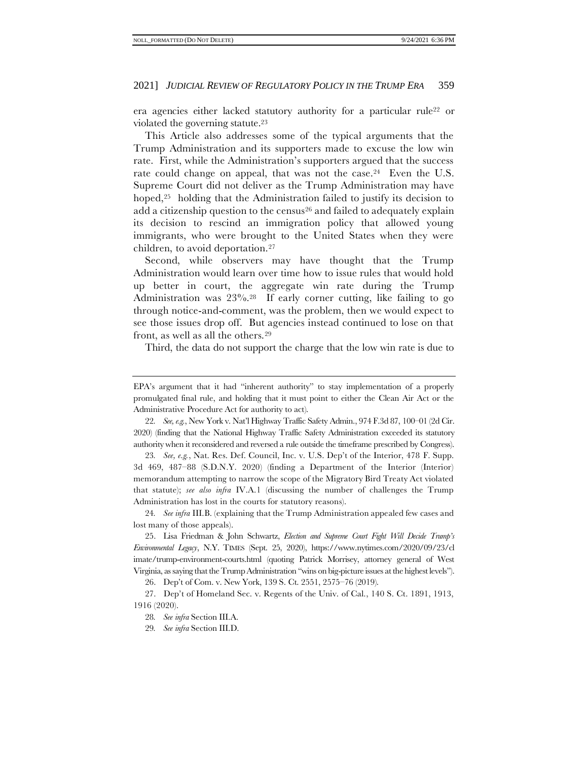era agencies either lacked statutory authority for a particular rule<sup>22</sup> or violated the governing statute.<sup>23</sup>

This Article also addresses some of the typical arguments that the Trump Administration and its supporters made to excuse the low win rate. First, while the Administration's supporters argued that the success rate could change on appeal, that was not the case.<sup>24</sup> Even the U.S. Supreme Court did not deliver as the Trump Administration may have hoped,<sup>25</sup> holding that the Administration failed to justify its decision to add a citizenship question to the census<sup>26</sup> and failed to adequately explain its decision to rescind an immigration policy that allowed young immigrants, who were brought to the United States when they were children, to avoid deportation.<sup>27</sup>

Second, while observers may have thought that the Trump Administration would learn over time how to issue rules that would hold up better in court, the aggregate win rate during the Trump Administration was 23%.28 If early corner cutting, like failing to go through notice-and-comment, was the problem, then we would expect to see those issues drop off. But agencies instead continued to lose on that front, as well as all the others.<sup>29</sup>

Third, the data do not support the charge that the low win rate is due to

23*. See, e.g.*, Nat. Res. Def. Council, Inc. v. U.S. Dep't of the Interior, 478 F. Supp. 3d 469, 487–88 (S.D.N.Y. 2020) (finding a Department of the Interior (Interior) memorandum attempting to narrow the scope of the Migratory Bird Treaty Act violated that statute); *see also infra* IV.A.1 (discussing the number of challenges the Trump Administration has lost in the courts for statutory reasons).

24*. See infra* II[I.B.](#page-34-0) (explaining that the Trump Administration appealed few cases and lost many of those appeals).

25. Lisa Friedman & John Schwartz, *Election and Supreme Court Fight Will Decide Trump's Environmental Legacy*, N.Y. TIMES (Sept. 25, 2020), https://www.nytimes.com/2020/09/23/cl imate/trump-environment-courts.html (quoting Patrick Morrisey, attorney general of West Virginia, as saying that the Trump Administration "wins on big-picture issues at the highest levels").

26. Dep't of Com. v. New York, 139 S. Ct. 2551, 2575–76 (2019).

27. Dep't of Homeland Sec. v. Regents of the Univ. of Cal., 140 S. Ct. 1891, 1913, 1916 (2020).

EPA's argument that it had "inherent authority" to stay implementation of a properly promulgated final rule, and holding that it must point to either the Clean Air Act or the Administrative Procedure Act for authority to act).

<sup>22</sup>*. See, e.g.*, New York v. Nat'l Highway Traffic Safety Admin., 974 F.3d 87, 100–01 (2d Cir. 2020) (finding that the National Highway Traffic Safety Administration exceeded its statutory authority when it reconsidered and reversed a rule outside the timeframe prescribed by Congress).

<sup>28</sup>*. See infra* Section III[.A.](#page-31-0)

<sup>29</sup>*. See infra* Section III[.D.](#page-37-0)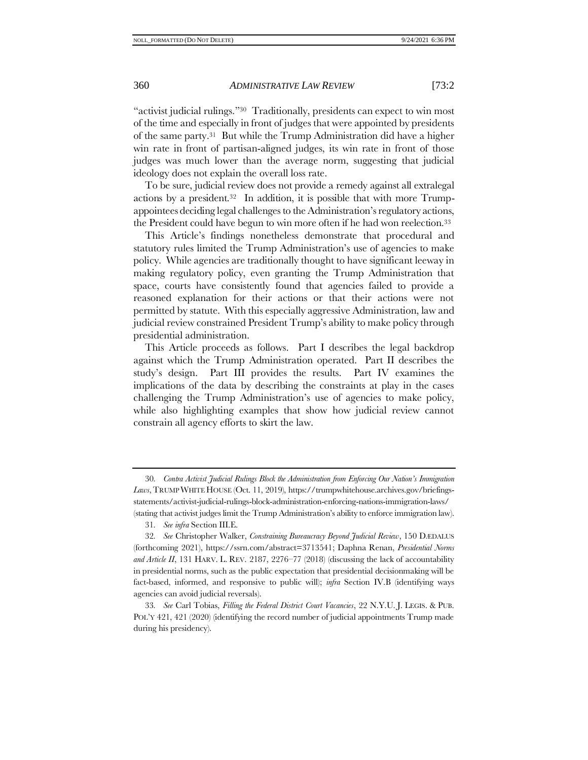"activist judicial rulings."30 Traditionally, presidents can expect to win most of the time and especially in front of judges that were appointed by presidents of the same party.<sup>31</sup> But while the Trump Administration did have a higher win rate in front of partisan-aligned judges, its win rate in front of those judges was much lower than the average norm, suggesting that judicial ideology does not explain the overall loss rate.

<span id="page-7-2"></span><span id="page-7-0"></span>To be sure, judicial review does not provide a remedy against all extralegal actions by a president.32 In addition, it is possible that with more Trumpappointees deciding legal challenges to the Administration's regulatory actions, the President could have begun to win more often if he had won reelection.<sup>33</sup>

<span id="page-7-1"></span>This Article's findings nonetheless demonstrate that procedural and statutory rules limited the Trump Administration's use of agencies to make policy. While agencies are traditionally thought to have significant leeway in making regulatory policy, even granting the Trump Administration that space, courts have consistently found that agencies failed to provide a reasoned explanation for their actions or that their actions were not permitted by statute. With this especially aggressive Administration, law and judicial review constrained President Trump's ability to make policy through presidential administration.

This Article proceeds as follows. Part I describes the legal backdrop against which the Trump Administration operated. Part II describes the study's design. Part III provides the results. Part IV examines the implications of the data by describing the constraints at play in the cases challenging the Trump Administration's use of agencies to make policy, while also highlighting examples that show how judicial review cannot constrain all agency efforts to skirt the law.

<sup>30</sup>*. Contra Activist Judicial Rulings Block the Administration from Enforcing Our Nation's Immigration Laws*,TRUMP WHITE HOUSE (Oct. 11, 2019), https://trumpwhitehouse.archives.gov/briefingsstatements/activist-judicial-rulings-block-administration-enforcing-nations-immigration-laws/ (stating that activist judges limit the Trump Administration's ability to enforce immigration law).

<sup>31</sup>*. See infra* Section III[.E.](#page-38-0) 

<sup>32</sup>*. See* Christopher Walker, *Constraining Bureaucracy Beyond Judicial Review*, 150 DÆDALUS (forthcoming 2021), https://ssrn.com/abstract=3713541; Daphna Renan, *Presidential Norms and Article II*, 131 HARV. L. REV. 2187, 2276–77 (2018) (discussing the lack of accountability in presidential norms, such as the public expectation that presidential decisionmaking will be fact-based, informed, and responsive to public will); *infra* Section I[V.B](#page-54-0) (identifying ways agencies can avoid judicial reversals).

<sup>33</sup>*. See* Carl Tobias, *Filling the Federal District Court Vacancies*, 22 N.Y.U. J. LEGIS. & PUB. POL'Y 421, 421 (2020) (identifying the record number of judicial appointments Trump made during his presidency).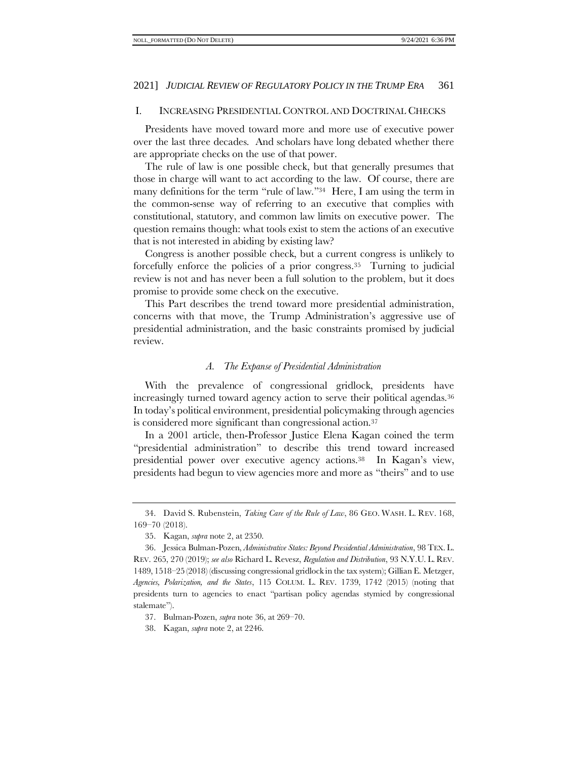# I. INCREASING PRESIDENTIAL CONTROL AND DOCTRINAL CHECKS

Presidents have moved toward more and more use of executive power over the last three decades. And scholars have long debated whether there are appropriate checks on the use of that power.

The rule of law is one possible check, but that generally presumes that those in charge will want to act according to the law. Of course, there are many definitions for the term "rule of law."34 Here, I am using the term in the common-sense way of referring to an executive that complies with constitutional, statutory, and common law limits on executive power. The question remains though: what tools exist to stem the actions of an executive that is not interested in abiding by existing law?

Congress is another possible check, but a current congress is unlikely to forcefully enforce the policies of a prior congress.35 Turning to judicial review is not and has never been a full solution to the problem, but it does promise to provide some check on the executive.

This Part describes the trend toward more presidential administration, concerns with that move, the Trump Administration's aggressive use of presidential administration, and the basic constraints promised by judicial review.

# <span id="page-8-0"></span>*A. The Expanse of Presidential Administration*

With the prevalence of congressional gridlock, presidents have increasingly turned toward agency action to serve their political agendas.<sup>36</sup> In today's political environment, presidential policymaking through agencies is considered more significant than congressional action.<sup>37</sup>

In a 2001 article, then-Professor Justice Elena Kagan coined the term "presidential administration" to describe this trend toward increased presidential power over executive agency actions.38 In Kagan's view, presidents had begun to view agencies more and more as "theirs" and to use

<sup>34.</sup> David S. Rubenstein, *Taking Care of the Rule of Law*, 86 GEO. WASH. L. REV. 168, 169–70 (2018).

<sup>35.</sup> Kagan, *supra* not[e 2,](#page-2-0) at 2350.

<sup>36.</sup> Jessica Bulman-Pozen, *Administrative States: Beyond Presidential Administration*, 98 TEX. L. REV. 265, 270 (2019); *see also* Richard L. Revesz, *Regulation and Distribution*, 93 N.Y.U. L. REV. 1489, 1518–25 (2018) (discussing congressional gridlock in the tax system); Gillian E. Metzger, *Agencies, Polarization, and the States*, 115 COLUM. L. REV. 1739, 1742 (2015) (noting that presidents turn to agencies to enact "partisan policy agendas stymied by congressional stalemate").

<sup>37.</sup> Bulman-Pozen, *supra* note [36,](#page-8-0) at 269–70.

<sup>38.</sup> Kagan, *supra* note [2,](#page-2-1) at 2246.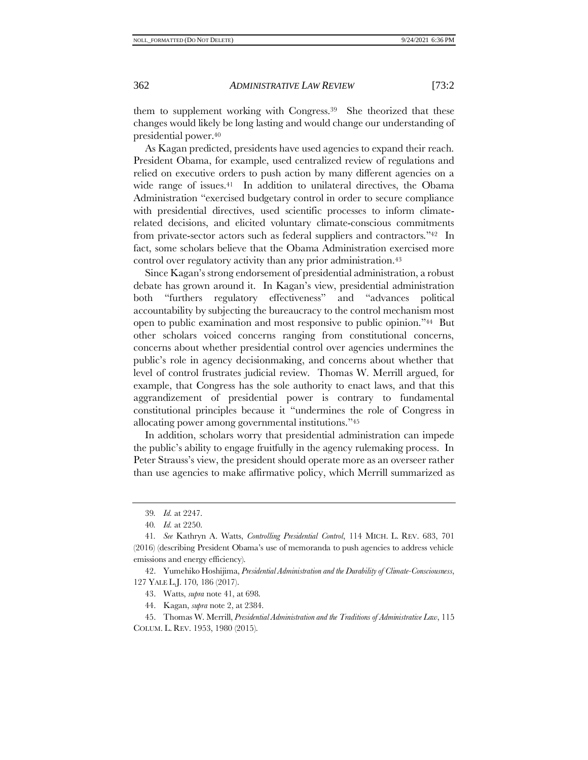<span id="page-9-2"></span>

them to supplement working with Congress.39 She theorized that these changes would likely be long lasting and would change our understanding of presidential power.<sup>40</sup>

<span id="page-9-0"></span>As Kagan predicted, presidents have used agencies to expand their reach. President Obama, for example, used centralized review of regulations and relied on executive orders to push action by many different agencies on a wide range of issues.<sup>41</sup> In addition to unilateral directives, the Obama Administration "exercised budgetary control in order to secure compliance with presidential directives, used scientific processes to inform climaterelated decisions, and elicited voluntary climate-conscious commitments from private-sector actors such as federal suppliers and contractors."42 In fact, some scholars believe that the Obama Administration exercised more control over regulatory activity than any prior administration.<sup>43</sup>

Since Kagan's strong endorsement of presidential administration, a robust debate has grown around it. In Kagan's view, presidential administration both "furthers regulatory effectiveness" and "advances political accountability by subjecting the bureaucracy to the control mechanism most open to public examination and most responsive to public opinion."44 But other scholars voiced concerns ranging from constitutional concerns, concerns about whether presidential control over agencies undermines the public's role in agency decisionmaking, and concerns about whether that level of control frustrates judicial review. Thomas W. Merrill argued, for example, that Congress has the sole authority to enact laws, and that this aggrandizement of presidential power is contrary to fundamental constitutional principles because it "undermines the role of Congress in allocating power among governmental institutions."<sup>45</sup>

<span id="page-9-1"></span>In addition, scholars worry that presidential administration can impede the public's ability to engage fruitfully in the agency rulemaking process. In Peter Strauss's view, the president should operate more as an overseer rather than use agencies to make affirmative policy, which Merrill summarized as

44. Kagan, *supra* note [2,](#page-2-1) at 2384.

<sup>39</sup>*. Id.* at 2247.

<sup>40</sup>*. Id.* at 2250.

<sup>41</sup>*. See* Kathryn A. Watts, *Controlling Presidential Control*, 114 MICH. L. REV. 683, 701 (2016) (describing President Obama's use of memoranda to push agencies to address vehicle emissions and energy efficiency).

<sup>42.</sup> Yumehiko Hoshijima, *Presidential Administration and the Durability of Climate-Consciousness*, 127 YALE L.J. 170, 186 (2017).

<sup>43.</sup> Watts, *supra* note [41,](#page-9-0) at 698.

<sup>45.</sup> Thomas W. Merrill, *Presidential Administration and the Traditions of Administrative Law*, 115 COLUM. L. REV. 1953, 1980 (2015).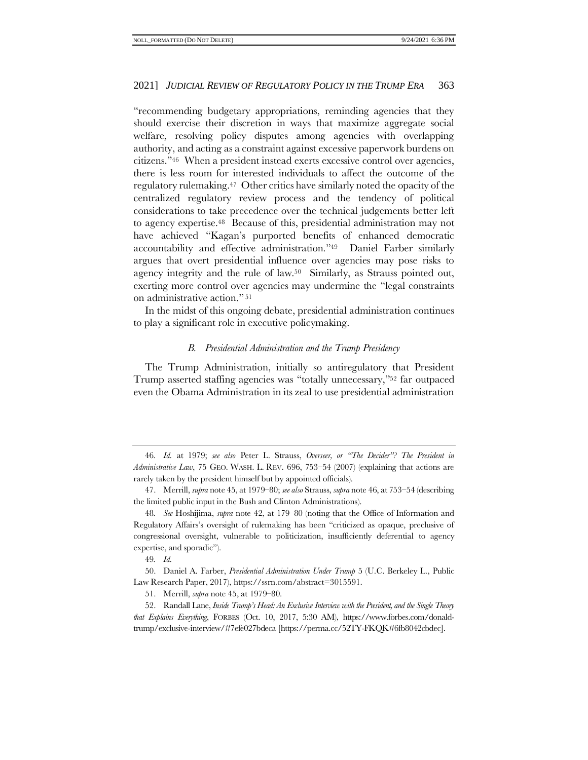<span id="page-10-1"></span>"recommending budgetary appropriations, reminding agencies that they should exercise their discretion in ways that maximize aggregate social welfare, resolving policy disputes among agencies with overlapping authority, and acting as a constraint against excessive paperwork burdens on citizens."46 When a president instead exerts excessive control over agencies, there is less room for interested individuals to affect the outcome of the regulatory rulemaking.47 Other critics have similarly noted the opacity of the centralized regulatory review process and the tendency of political considerations to take precedence over the technical judgements better left to agency expertise.48 Because of this, presidential administration may not have achieved "Kagan's purported benefits of enhanced democratic accountability and effective administration."49 Daniel Farber similarly argues that overt presidential influence over agencies may pose risks to agency integrity and the rule of law.50 Similarly, as Strauss pointed out, exerting more control over agencies may undermine the "legal constraints on administrative action." <sup>51</sup>

<span id="page-10-0"></span>In the midst of this ongoing debate, presidential administration continues to play a significant role in executive policymaking.

# <span id="page-10-2"></span>*B. Presidential Administration and the Trump Presidency*

The Trump Administration, initially so antiregulatory that President Trump asserted staffing agencies was "totally unnecessary,"<sup>52</sup> far outpaced even the Obama Administration in its zeal to use presidential administration

<sup>46</sup>*. Id.* at 1979; *see also* Peter L. Strauss, *Overseer, or "The Decider"? The President in Administrative Law*, 75 GEO. WASH. L. REV. 696, 753–54 (2007) (explaining that actions are rarely taken by the president himself but by appointed officials).

<sup>47.</sup> Merrill, *supra* not[e 45,](#page-9-1) at 1979–80; *see also* Strauss, *supra* not[e 46,](#page-10-1) at 753–54 (describing the limited public input in the Bush and Clinton Administrations).

<sup>48</sup>*. See* Hoshijima, *supra* note [42,](#page-9-2) at 179–80 (noting that the Office of Information and Regulatory Affairs's oversight of rulemaking has been "criticized as opaque, preclusive of congressional oversight, vulnerable to politicization, insufficiently deferential to agency expertise, and sporadic").

<sup>49</sup>*. Id.*

<sup>50.</sup> Daniel A. Farber, *Presidential Administration Under Trump* 5 (U.C. Berkeley L., Public Law Research Paper, 2017), https://ssrn.com/abstract=3015591.

<sup>51.</sup> Merrill, *supra* not[e 45,](#page-9-1) at 1979–80.

<sup>52.</sup> Randall Lane, *Inside Trump's Head: An Exclusive Interview with the President, and the Single Theory that Explains Everything*, FORBES (Oct. 10, 2017, 5:30 AM), https://www.forbes.com/donaldtrump/exclusive-interview/#7efe027bdeca [https://perma.cc/52TY-FKQK#6fb8042cbdec].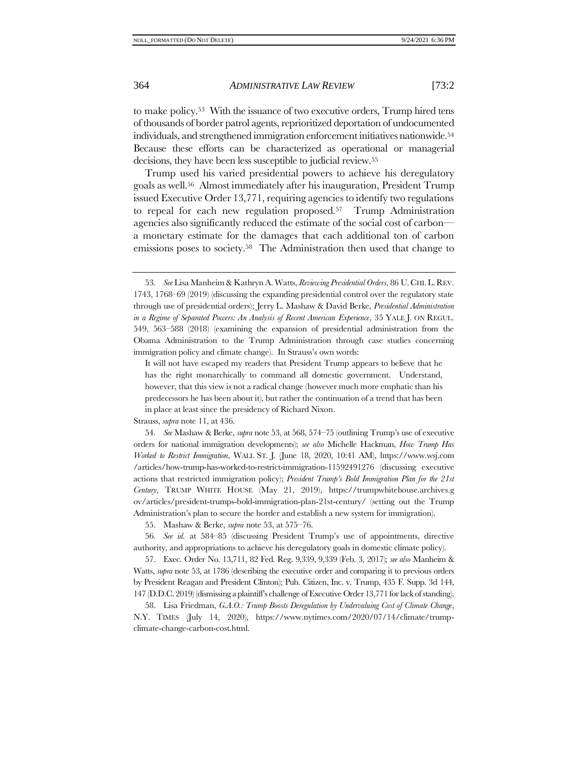<span id="page-11-1"></span><span id="page-11-0"></span>to make policy.53 With the issuance of two executive orders, Trump hired tens of thousands of border patrol agents, reprioritized deportation of undocumented individuals, and strengthened immigration enforcement initiatives nationwide.<sup>54</sup> Because these efforts can be characterized as operational or managerial decisions, they have been less susceptible to judicial review.<sup>55</sup>

Trump used his varied presidential powers to achieve his deregulatory goals as well.56 Almost immediately after his inauguration, President Trump issued Executive Order 13,771, requiring agencies to identify two regulations to repeal for each new regulation proposed.57 Trump Administration agencies also significantly reduced the estimate of the social cost of carbon a monetary estimate for the damages that each additional ton of carbon emissions poses to society.<sup>58</sup> The Administration then used that change to

Strauss, *supra* not[e 11,](#page-3-1) at 436.

54*. See* Mashaw & Berke, *supra* note [53,](#page-11-1) at 568, 574–75 (outlining Trump's use of executive orders for national immigration developments); *see also* Michelle Hackman, *How Trump Has Worked to Restrict Immigration*, WALL ST. J. (June 18, 2020, 10:41 AM), https://www.wsj.com /articles/how-trump-has-worked-to-restrict-immigration-11592491276 (discussing executive actions that restricted immigration policy); *President Trump's Bold Immigration Plan for the 21st Century*, TRUMP WHITE HOUSE (May 21, 2019), https://trumpwhitehouse.archives.g ov/articles/president-trumps-bold-immigration-plan-21st-century/ (setting out the Trump Administration's plan to secure the border and establish a new system for immigration).

55. Mashaw & Berke, *supra* note [53,](#page-11-1) at 575–76.

56*. See id.* at 584–85 (discussing President Trump's use of appointments, directive authority, and appropriations to achieve his deregulatory goals in domestic climate policy).

57. Exec. Order No. 13,711, 82 Fed. Reg. 9,339, 9,339 (Feb. 3, 2017); *see also* Manheim & Watts, *supra* note [53,](#page-11-1) at 1786 (describing the executive order and comparing it to previous orders by President Reagan and President Clinton); Pub. Citizen, Inc. v. Trump, 435 F. Supp. 3d 144, 147 (D.D.C. 2019) (dismissing a plaintiff's challenge of Executive Order 13,771 for lack of standing).

58. Lisa Friedman, *G.A.O.: Trump Boosts Deregulation by Undervaluing Cost of Climate Change*, N.Y. TIMES (July 14, 2020), https://www.nytimes.com/2020/07/14/climate/trumpclimate-change-carbon-cost.html.

<sup>53</sup>*. See* Lisa Manheim & Kathryn A. Watts, *Reviewing Presidential Orders*, 86 U. CHI.L.REV. 1743, 1768–69 (2019) (discussing the expanding presidential control over the regulatory state through use of presidential orders); Jerry L. Mashaw & David Berke, *Presidential Administration in a Regime of Separated Powers: An Analysis of Recent American Experience*, 35 YALE J. ON REGUL. 549, 563–588 (2018) (examining the expansion of presidential administration from the Obama Administration to the Trump Administration through case studies concerning immigration policy and climate change). In Strauss's own words:

It will not have escaped my readers that President Trump appears to believe that he has the right monarchically to command all domestic government. Understand, however, that this view is not a radical change (however much more emphatic than his predecessors he has been about it), but rather the continuation of a trend that has been in place at least since the presidency of Richard Nixon.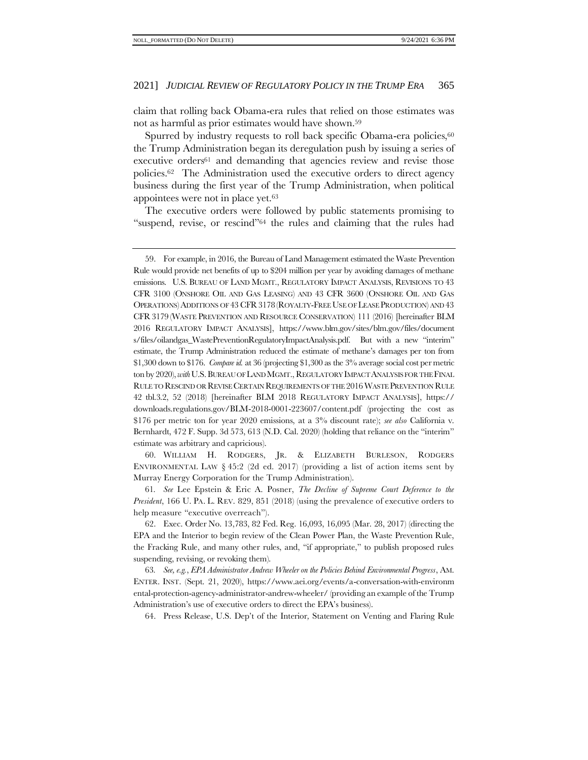<span id="page-12-0"></span>claim that rolling back Obama-era rules that relied on those estimates was not as harmful as prior estimates would have shown. 59

Spurred by industry requests to roll back specific Obama-era policies,<sup>60</sup> the Trump Administration began its deregulation push by issuing a series of executive orders<sup>61</sup> and demanding that agencies review and revise those policies.62 The Administration used the executive orders to direct agency business during the first year of the Trump Administration, when political appointees were not in place yet.<sup>63</sup>

The executive orders were followed by public statements promising to "suspend, revise, or rescind"<sup>64</sup> the rules and claiming that the rules had

60. WILLIAM H. RODGERS, JR. & ELIZABETH BURLESON, RODGERS ENVIRONMENTAL LAW  $\S 45:2$  (2d ed. 2017) (providing a list of action items sent by Murray Energy Corporation for the Trump Administration).

61*. See* Lee Epstein & Eric A. Posner, *The Decline of Supreme Court Deference to the President*, 166 U. PA. L. REV. 829, 851 (2018) (using the prevalence of executive orders to help measure "executive overreach").

62. Exec. Order No. 13,783, 82 Fed. Reg. 16,093, 16,095 (Mar. 28, 2017) (directing the EPA and the Interior to begin review of the Clean Power Plan, the Waste Prevention Rule, the Fracking Rule, and many other rules, and, "if appropriate," to publish proposed rules suspending, revising, or revoking them).

63*. See, e.g.*, *EPA Administrator Andrew Wheeler on the Policies Behind Environmental Progress*, AM. ENTER. INST. (Sept. 21, 2020), https://www.aei.org/events/a-conversation-with-environm ental-protection-agency-administrator-andrew-wheeler/ (providing an example of the Trump Administration's use of executive orders to direct the EPA's business).

64. Press Release, U.S. Dep't of the Interior*,* Statement on Venting and Flaring Rule

<sup>59.</sup> For example, in 2016, the Bureau of Land Management estimated the Waste Prevention Rule would provide net benefits of up to \$204 million per year by avoiding damages of methane emissions. U.S. BUREAU OF LAND MGMT., REGULATORY IMPACT ANALYSIS, REVISIONS TO 43 CFR 3100 (ONSHORE OIL AND GAS LEASING) AND 43 CFR 3600 (ONSHORE OIL AND GAS OPERATIONS)ADDITIONS OF 43 CFR3178 (ROYALTY-FREE USE OF LEASE PRODUCTION) AND 43 CFR 3179 (WASTE PREVENTION AND RESOURCE CONSERVATION) 111 (2016) [hereinafter BLM 2016 REGULATORY IMPACT ANALYSIS], https://www.blm.gov/sites/blm.gov/files/document s/files/oilandgas\_WastePreventionRegulatoryImpactAnalysis.pdf. But with a new "interim" estimate, the Trump Administration reduced the estimate of methane's damages per ton from \$1,300 down to \$176. *Compare id.* at 36 (projecting \$1,300 as the 3% average social cost per metric ton by 2020), *with*U.S. BUREAU OF LAND MGMT., REGULATORY IMPACT ANALYSIS FOR THE FINAL RULE TO RESCIND OR REVISE CERTAIN REQUIREMENTS OF THE 2016 WASTE PREVENTION RULE 42 tbl.3.2, 52 (2018) [hereinafter BLM 2018 REGULATORY IMPACT ANALYSIS], https:// downloads.regulations.gov/BLM-2018-0001-223607/content.pdf (projecting the cost as \$176 per metric ton for year 2020 emissions, at a 3% discount rate); *see also* California v. Bernhardt, 472 F. Supp. 3d 573, 613 (N.D. Cal. 2020) (holding that reliance on the "interim" estimate was arbitrary and capricious).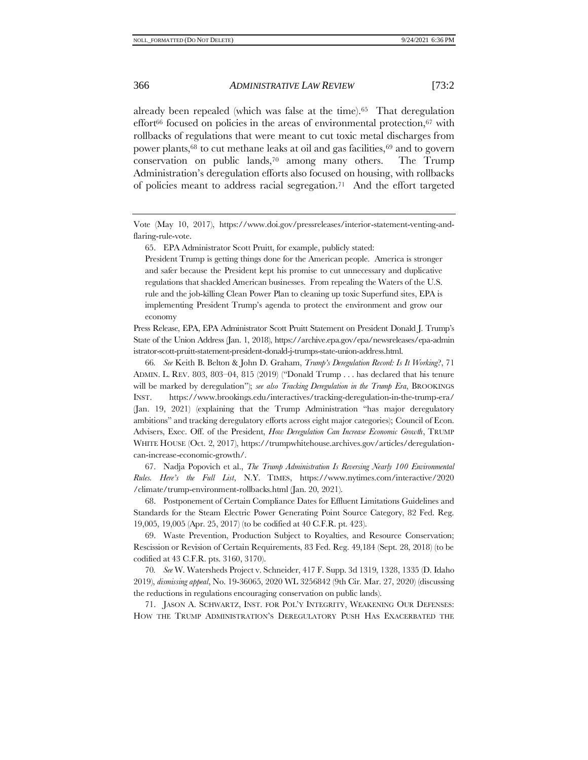<span id="page-13-2"></span><span id="page-13-1"></span>already been repealed (which was false at the time).65 That deregulation effort $66$  focused on policies in the areas of environmental protection,  $67$  with rollbacks of regulations that were meant to cut toxic metal discharges from power plants,<sup>68</sup> to cut methane leaks at oil and gas facilities,<sup>69</sup> and to govern conservation on public lands,<sup>70</sup> among many others. The Trump Administration's deregulation efforts also focused on housing, with rollbacks of policies meant to address racial segregation.71 And the effort targeted

<span id="page-13-0"></span>65. EPA Administrator Scott Pruitt, for example, publicly stated:

President Trump is getting things done for the American people. America is stronger and safer because the President kept his promise to cut unnecessary and duplicative regulations that shackled American businesses. From repealing the Waters of the U.S. rule and the job-killing Clean Power Plan to cleaning up toxic Superfund sites, EPA is implementing President Trump's agenda to protect the environment and grow our economy

Press Release, EPA, EPA Administrator Scott Pruitt Statement on President Donald J. Trump's State of the Union Address (Jan. 1, 2018), https://archive.epa.gov/epa/newsreleases/epa-admin istrator-scott-pruitt-statement-president-donald-j-trumps-state-union-address.html.

66*. See* Keith B. Belton & John D. Graham, *Trump's Deregulation Record: Is It Working*?, 71 ADMIN. L. REV. 803, 803–04, 815 (2019) ("Donald Trump . . . has declared that his tenure will be marked by deregulation"); *see also Tracking Deregulation in the Trump Era*, BROOKINGS INST. https://www.brookings.edu/interactives/tracking-deregulation-in-the-trump-era/ (Jan. 19, 2021) (explaining that the Trump Administration "has major deregulatory ambitions" and tracking deregulatory efforts across eight major categories); Council of Econ. Advisers, Exec. Off. of the President, *How Deregulation Can Increase Economic Growth*, TRUMP WHITE HOUSE (Oct. 2, 2017), https://trumpwhitehouse.archives.gov/articles/deregulationcan-increase-economic-growth/.

67. Nadja Popovich et al., *The Trump Administration Is Reversing Nearly 100 Environmental Rules. Here's the Full List*, N.Y. TIMES, https://www.nytimes.com/interactive/2020 /climate/trump-environment-rollbacks.html (Jan. 20, 2021).

68. Postponement of Certain Compliance Dates for Effluent Limitations Guidelines and Standards for the Steam Electric Power Generating Point Source Category, 82 Fed. Reg. 19,005, 19,005 (Apr. 25, 2017) (to be codified at 40 C.F.R. pt. 423).

69. Waste Prevention, Production Subject to Royalties, and Resource Conservation; Rescission or Revision of Certain Requirements, 83 Fed. Reg. 49,184 (Sept. 28, 2018) (to be codified at 43 C.F.R. pts. 3160, 3170).

70*. See* W. Watersheds Project v. Schneider, 417 F. Supp. 3d 1319, 1328, 1335 (D. Idaho 2019), *dismissing appeal*, No. 19-36065, 2020 WL 3256842 (9th Cir. Mar. 27, 2020) (discussing the reductions in regulations encouraging conservation on public lands).

71. JASON A. SCHWARTZ, INST. FOR POL'Y INTEGRITY, WEAKENING OUR DEFENSES: HOW THE TRUMP ADMINISTRATION'S DEREGULATORY PUSH HAS EXACERBATED THE

Vote (May 10, 2017), https://www.doi.gov/pressreleases/interior-statement-venting-andflaring-rule-vote.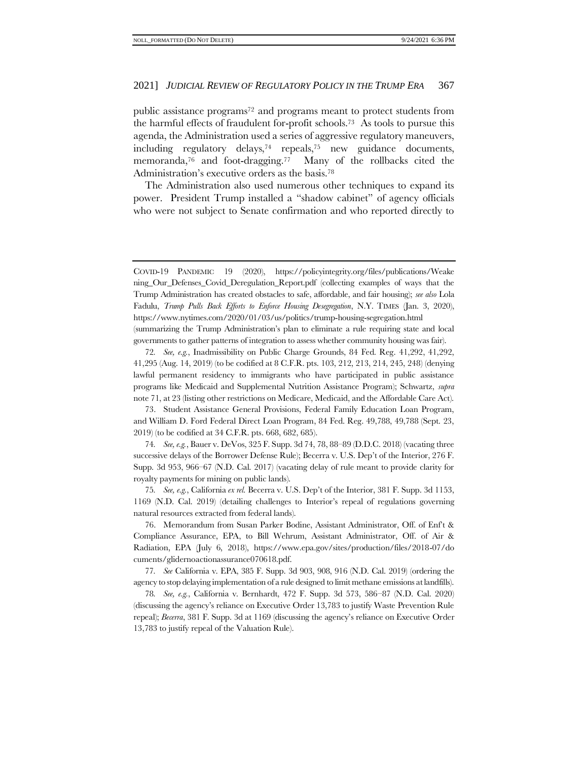public assistance programs<sup>72</sup> and programs meant to protect students from the harmful effects of fraudulent for-profit schools.73 As tools to pursue this agenda, the Administration used a series of aggressive regulatory maneuvers, including regulatory delays,<sup>74</sup> repeals,<sup>75</sup> new guidance documents, memoranda,<sup>76</sup> and foot-dragging.77 Many of the rollbacks cited the Administration's executive orders as the basis.<sup>78</sup>

The Administration also used numerous other techniques to expand its power. President Trump installed a "shadow cabinet" of agency officials who were not subject to Senate confirmation and who reported directly to

72*. See, e.g.*, Inadmissibility on Public Charge Grounds, 84 Fed. Reg. 41,292, 41,292, 41,295 (Aug. 14, 2019) (to be codified at 8 C.F.R. pts. 103, 212, 213, 214, 245, 248) (denying lawful permanent residency to immigrants who have participated in public assistance programs like Medicaid and Supplemental Nutrition Assistance Program); Schwartz, *supra* not[e 71,](#page-13-0) at 23 (listing other restrictions on Medicare, Medicaid, and the Affordable Care Act).

73. Student Assistance General Provisions, Federal Family Education Loan Program, and William D. Ford Federal Direct Loan Program, 84 Fed. Reg. 49,788, 49,788 (Sept. 23, 2019) (to be codified at 34 C.F.R. pts. 668, 682, 685).

74*. See, e.g.*, Bauer v. DeVos, 325 F. Supp. 3d 74, 78, 88–89 (D.D.C. 2018) (vacating three successive delays of the Borrower Defense Rule); Becerra v. U.S. Dep't of the Interior, 276 F. Supp. 3d 953, 966–67 (N.D. Cal. 2017) (vacating delay of rule meant to provide clarity for royalty payments for mining on public lands).

75*. See, e.g.*, California *ex rel.* Becerra v. U.S. Dep't of the Interior, 381 F. Supp. 3d 1153, 1169 (N.D. Cal. 2019) (detailing challenges to Interior's repeal of regulations governing natural resources extracted from federal lands).

76. Memorandum from Susan Parker Bodine, Assistant Administrator, Off. of Enf't & Compliance Assurance, EPA, to Bill Wehrum, Assistant Administrator, Off. of Air & Radiation, EPA (July 6, 2018), https://www.epa.gov/sites/production/files/2018-07/do cuments/glidernoactionassurance070618.pdf.

77*. See* California v. EPA, 385 F. Supp. 3d 903, 908, 916 (N.D. Cal. 2019) (ordering the agency to stop delaying implementation of a rule designed to limit methane emissions at landfills).

78*. See, e.g.*, California v. Bernhardt, 472 F. Supp. 3d 573, 586–87 (N.D. Cal. 2020) (discussing the agency's reliance on Executive Order 13,783 to justify Waste Prevention Rule repeal); *Becerra*, 381 F. Supp. 3d at 1169 (discussing the agency's reliance on Executive Order 13,783 to justify repeal of the Valuation Rule).

COVID-19 PANDEMIC 19 (2020), https://policyintegrity.org/files/publications/Weake ning\_Our\_Defenses\_Covid\_Deregulation\_Report.pdf (collecting examples of ways that the Trump Administration has created obstacles to safe, affordable, and fair housing); *see also* Lola Fadulu, *Trump Pulls Back Efforts to Enforce Housing Desegregation*, N.Y. TIMES (Jan. 3, 2020), https://www.nytimes.com/2020/01/03/us/politics/trump-housing-segregation.html (summarizing the Trump Administration's plan to eliminate a rule requiring state and local governments to gather patterns of integration to assess whether community housing was fair).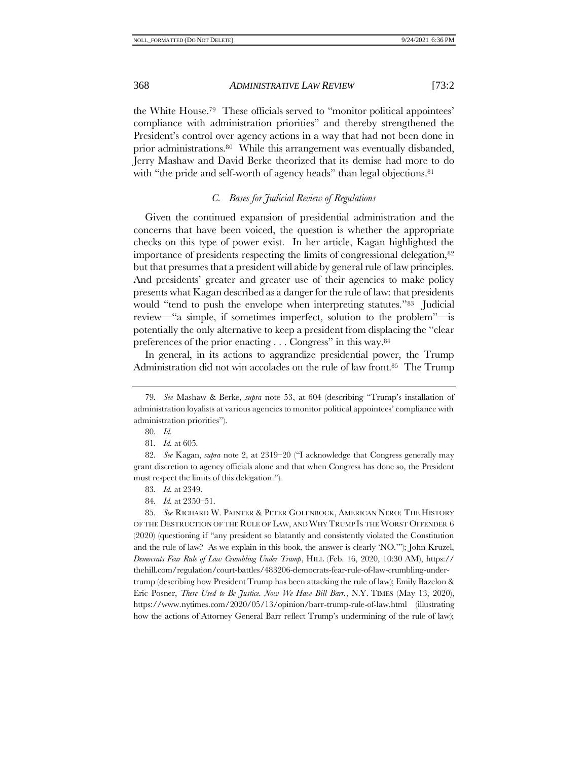the White House. <sup>79</sup> These officials served to "monitor political appointees' compliance with administration priorities" and thereby strengthened the President's control over agency actions in a way that had not been done in prior administrations.80 While this arrangement was eventually disbanded, Jerry Mashaw and David Berke theorized that its demise had more to do with "the pride and self-worth of agency heads" than legal objections.<sup>81</sup>

# *C. Bases for Judicial Review of Regulations*

Given the continued expansion of presidential administration and the concerns that have been voiced, the question is whether the appropriate checks on this type of power exist. In her article, Kagan highlighted the importance of presidents respecting the limits of congressional delegation,<sup>82</sup> but that presumes that a president will abide by general rule of law principles. And presidents' greater and greater use of their agencies to make policy presents what Kagan described as a danger for the rule of law: that presidents would "tend to push the envelope when interpreting statutes."<sup>83</sup> Judicial review—"a simple, if sometimes imperfect, solution to the problem"—is potentially the only alternative to keep a president from displacing the "clear preferences of the prior enacting . . . Congress" in this way.<sup>84</sup>

In general, in its actions to aggrandize presidential power, the Trump Administration did not win accolades on the rule of law front.85 The Trump

- 83*. Id.* at 2349.
- 84*. Id.* at 2350–51.

85*. See* RICHARD W. PAINTER & PETER GOLENBOCK, AMERICAN NERO: THE HISTORY OF THE DESTRUCTION OF THE RULE OF LAW, AND WHY TRUMP IS THE WORST OFFENDER 6 (2020) (questioning if "any president so blatantly and consistently violated the Constitution and the rule of law? As we explain in this book, the answer is clearly 'NO.'"); John Kruzel, *Democrats Fear Rule of Law Crumbling Under Trump*, HILL (Feb. 16, 2020, 10:30 AM), https:// thehill.com/regulation/court-battles/483206-democrats-fear-rule-of-law-crumbling-undertrump (describing how President Trump has been attacking the rule of law); Emily Bazelon & Eric Posner, *There Used to Be Justice. Now We Have Bill Barr.*, N.Y. TIMES (May 13, 2020), https://www.nytimes.com/2020/05/13/opinion/barr-trump-rule-of-law.html (illustrating how the actions of Attorney General Barr reflect Trump's undermining of the rule of law);

<sup>79</sup>*. See* Mashaw & Berke, *supra* note [53,](#page-11-1) at 604 (describing "Trump's installation of administration loyalists at various agencies to monitor political appointees' compliance with administration priorities").

<sup>80</sup>*. Id.*

<sup>81</sup>*. Id.* at 605.

<sup>82</sup>*. See* Kagan, *supra* note [2,](#page-2-0) at 2319–20 ("I acknowledge that Congress generally may grant discretion to agency officials alone and that when Congress has done so, the President must respect the limits of this delegation.").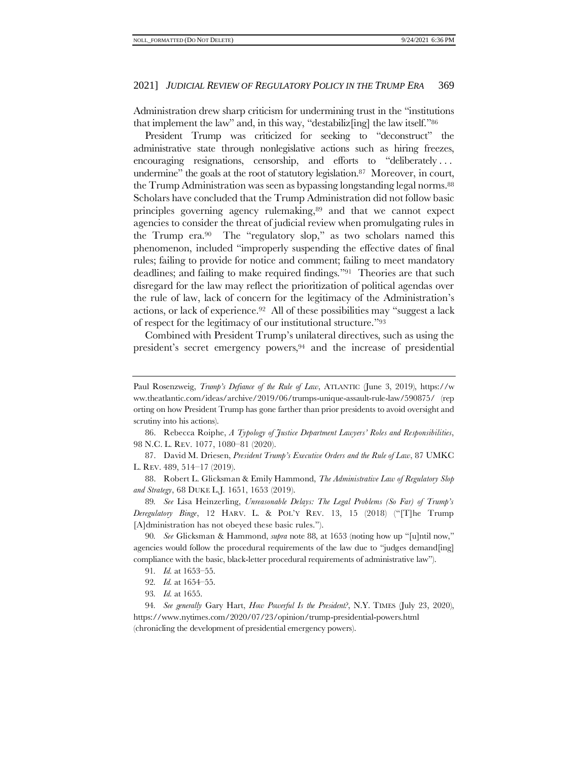Administration drew sharp criticism for undermining trust in the "institutions that implement the law" and, in this way, "destabiliz[ing] the law itself."<sup>86</sup>

<span id="page-16-0"></span>President Trump was criticized for seeking to "deconstruct" the administrative state through nonlegislative actions such as hiring freezes, encouraging resignations, censorship, and efforts to "deliberately . . . undermine" the goals at the root of statutory legislation.<sup>87</sup> Moreover, in court, the Trump Administration was seen as bypassing longstanding legal norms.<sup>88</sup> Scholars have concluded that the Trump Administration did not follow basic principles governing agency rulemaking,<sup>89</sup> and that we cannot expect agencies to consider the threat of judicial review when promulgating rules in the Trump era.90 The "regulatory slop," as two scholars named this phenomenon, included "improperly suspending the effective dates of final rules; failing to provide for notice and comment; failing to meet mandatory deadlines; and failing to make required findings."91 Theories are that such disregard for the law may reflect the prioritization of political agendas over the rule of law, lack of concern for the legitimacy of the Administration's actions, or lack of experience.92 All of these possibilities may "suggest a lack of respect for the legitimacy of our institutional structure."<sup>93</sup>

Combined with President Trump's unilateral directives, such as using the president's secret emergency powers,<sup>94</sup> and the increase of presidential

86. Rebecca Roiphe, *A Typology of Justice Department Lawyers' Roles and Responsibilities*, 98 N.C. L. REV. 1077, 1080–81 (2020).

87. David M. Driesen, *President Trump's Executive Orders and the Rule of Law*, 87 UMKC L. REV. 489, 514–17 (2019).

88. Robert L. Glicksman & Emily Hammond, *The Administrative Law of Regulatory Slop and Strategy*, 68 DUKE L.J. 1651, 1653 (2019).

89*. See* Lisa Heinzerling, *Unreasonable Delays: The Legal Problems (So Far) of Trump's Deregulatory Binge*, 12 HARV. L. & POL'Y REV. 13, 15 (2018) ("[T]he Trump [A]dministration has not obeyed these basic rules.").

90*. See* Glicksman & Hammond, *supra* note [88,](#page-16-0) at 1653 (noting how up "[u]ntil now," agencies would follow the procedural requirements of the law due to "judges demand[ing] compliance with the basic, black-letter procedural requirements of administrative law").

- 91*. Id.* at 1653–55.
- 92*. Id.* at 1654–55.
- 93*. Id.* at 1655.

Paul Rosenzweig, *Trump's Defiance of the Rule of Law*, ATLANTIC (June 3, 2019), https://w ww.theatlantic.com/ideas/archive/2019/06/trumps-unique-assault-rule-law/590875/ (rep orting on how President Trump has gone farther than prior presidents to avoid oversight and scrutiny into his actions).

<sup>94</sup>*. See generally* Gary Hart, *How Powerful Is the President?*, N.Y. TIMES (July 23, 2020), https://www.nytimes.com/2020/07/23/opinion/trump-presidential-powers.html (chronicling the development of presidential emergency powers).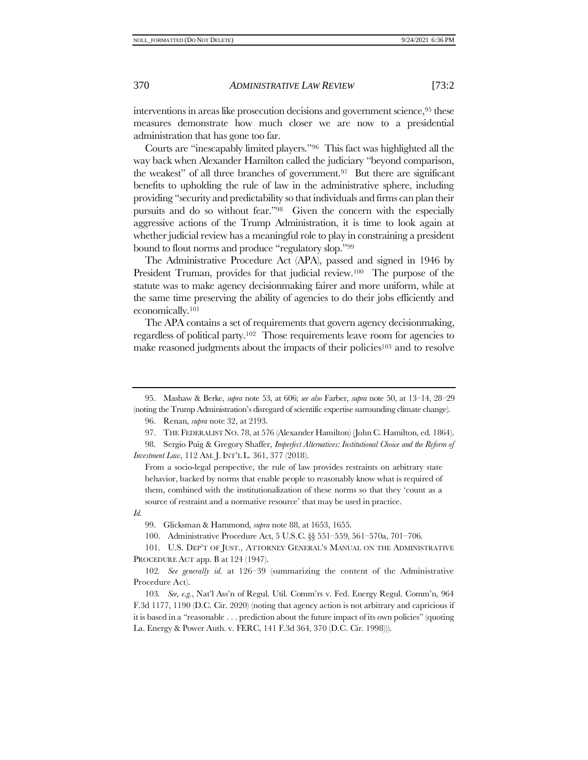interventions in areas like prosecution decisions and government science,<sup>95</sup> these measures demonstrate how much closer we are now to a presidential administration that has gone too far.

Courts are "inescapably limited players."96 This fact was highlighted all the way back when Alexander Hamilton called the judiciary "beyond comparison, the weakest" of all three branches of government.<sup>97</sup> But there are significant benefits to upholding the rule of law in the administrative sphere, including providing "security and predictability so that individuals and firms can plan their pursuits and do so without fear."<sup>98</sup> Given the concern with the especially aggressive actions of the Trump Administration, it is time to look again at whether judicial review has a meaningful role to play in constraining a president bound to flout norms and produce "regulatory slop."<sup>99</sup>

The Administrative Procedure Act (APA), passed and signed in 1946 by President Truman, provides for that judicial review.<sup>100</sup> The purpose of the statute was to make agency decisionmaking fairer and more uniform, while at the same time preserving the ability of agencies to do their jobs efficiently and economically.<sup>101</sup>

<span id="page-17-0"></span>The APA contains a set of requirements that govern agency decisionmaking, regardless of political party.102 Those requirements leave room for agencies to make reasoned judgments about the impacts of their policies<sup>103</sup> and to resolve

96. Renan, *supra* not[e 32,](#page-7-0) at 2193.

*Id.*

99. Glicksman & Hammond, *supra* not[e 88,](#page-16-0) at 1653, 1655.

100. Administrative Procedure Act, 5 U.S.C. §§ 551–559, 561–570a, 701–706.

101. U.S. DEP'T OF JUST., ATTORNEY GENERAL'S MANUAL ON THE ADMINISTRATIVE PROCEDURE ACT app. B at 124 (1947).

<sup>95.</sup> Mashaw & Berke, *supra* note [53,](#page-11-1) at 606; *see also* Farber, *supra* note [50,](#page-10-2) at 13–14, 28–29 (noting the Trump Administration's disregard of scientific expertise surrounding climate change).

<sup>97.</sup> THE FEDERALIST NO. 78, at 576 (Alexander Hamilton) (John C. Hamilton, ed. 1864).

<sup>98.</sup> Sergio Puig & Gregory Shaffer, *Imperfect Alternatives: Institutional Choice and the Reform of Investment Law*, 112 AM. J. INT'L L. 361, 377 (2018).

From a socio-legal perspective, the rule of law provides restraints on arbitrary state behavior, backed by norms that enable people to reasonably know what is required of them, combined with the institutionalization of these norms so that they 'count as a source of restraint and a normative resource' that may be used in practice.

<sup>102</sup>*. See generally id.* at 126–39 (summarizing the content of the Administrative Procedure Act).

<sup>103</sup>*. See, e.g.*, Nat'l Ass'n of Regul. Util. Comm'rs v. Fed. Energy Regul. Comm'n, 964 F.3d 1177, 1190 (D.C. Cir. 2020) (noting that agency action is not arbitrary and capricious if it is based in a "reasonable . . . prediction about the future impact of its own policies" (quoting La. Energy & Power Auth. v. FERC, 141 F.3d 364, 370 (D.C. Cir. 1998))).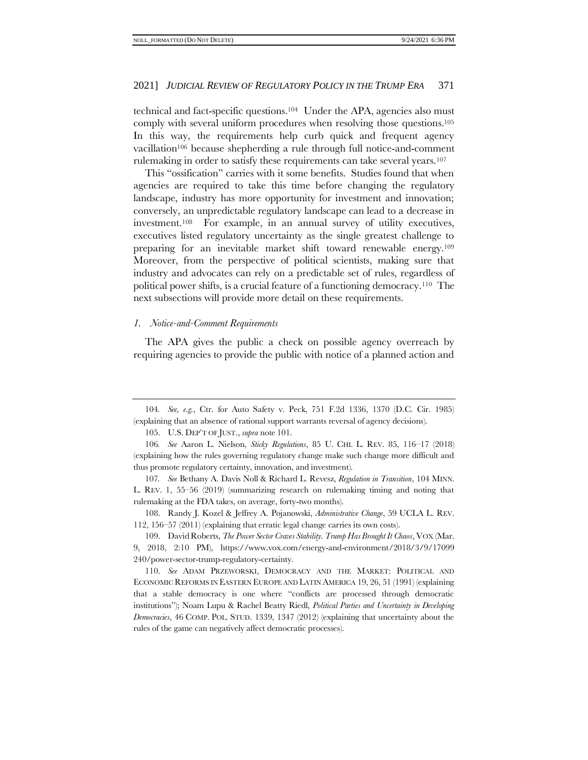technical and fact-specific questions.104 Under the APA, agencies also must comply with several uniform procedures when resolving those questions.<sup>105</sup> In this way, the requirements help curb quick and frequent agency vacillation<sup>106</sup> because shepherding a rule through full notice-and-comment rulemaking in order to satisfy these requirements can take several years.<sup>107</sup>

<span id="page-18-0"></span>This "ossification" carries with it some benefits. Studies found that when agencies are required to take this time before changing the regulatory landscape, industry has more opportunity for investment and innovation; conversely, an unpredictable regulatory landscape can lead to a decrease in investment.108 For example, in an annual survey of utility executives, executives listed regulatory uncertainty as the single greatest challenge to preparing for an inevitable market shift toward renewable energy.<sup>109</sup> Moreover, from the perspective of political scientists, making sure that industry and advocates can rely on a predictable set of rules, regardless of political power shifts, is a crucial feature of a functioning democracy.110 The next subsections will provide more detail on these requirements.

#### *1. Notice-and-Comment Requirements*

The APA gives the public a check on possible agency overreach by requiring agencies to provide the public with notice of a planned action and

105. U.S. DEP'T OF JUST., *supra* note [101.](#page-17-0)

108. Randy J. Kozel & Jeffrey A. Pojanowski, *Administrative Change*, 59 UCLA L. REV. 112, 156–57 (2011) (explaining that erratic legal change carries its own costs).

109. David Roberts, *The Power Sector Craves Stability. Trump Has Brought It Chaos*, VOX (Mar. 9, 2018, 2:10 PM), https://www.vox.com/energy-and-environment/2018/3/9/17099 240/power-sector-trump-regulatory-certainty.

110. *See* ADAM PRZEWORSKI, DEMOCRACY AND THE MARKET: POLITICAL AND ECONOMIC REFORMS IN EASTERN EUROPE AND LATIN AMERICA 19, 26, 51 (1991) (explaining that a stable democracy is one where "conflicts are processed through democratic institutions"); Noam Lupu & Rachel Beatty Riedl, *Political Parties and Uncertainty in Developing Democracies*, 46 COMP. POL. STUD. 1339, 1347 (2012) (explaining that uncertainty about the rules of the game can negatively affect democratic processes).

<sup>104</sup>*. See, e.g.*, Ctr. for Auto Safety v. Peck, 751 F.2d 1336, 1370 (D.C. Cir. 1985) (explaining that an absence of rational support warrants reversal of agency decisions).

<sup>106</sup>*. See* Aaron L. Nielson, *Sticky Regulations*, 85 U. CHI. L. REV. 85, 116–17 (2018) (explaining how the rules governing regulatory change make such change more difficult and thus promote regulatory certainty, innovation, and investment).

<sup>107</sup>*. See* Bethany A. Davis Noll & Richard L. Revesz, *Regulation in Transition*, 104 MINN. L. REV. 1, 55–56 (2019) (summarizing research on rulemaking timing and noting that rulemaking at the FDA takes, on average, forty-two months).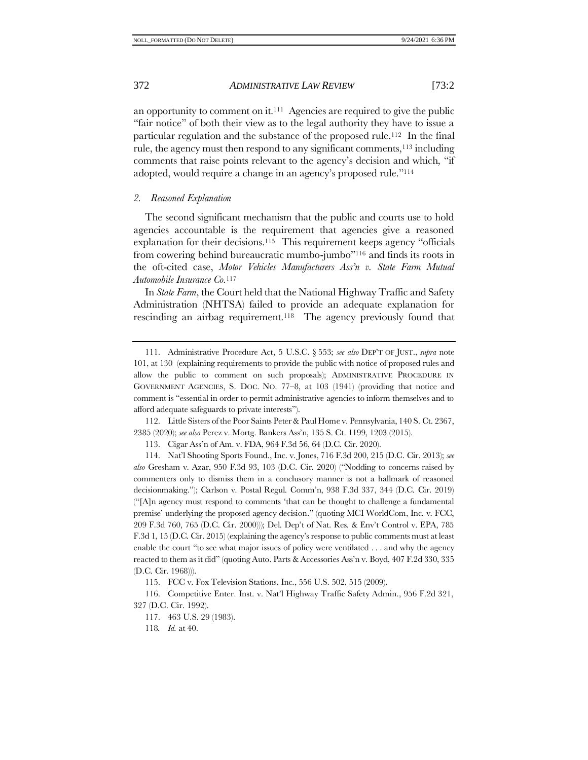an opportunity to comment on it.111 Agencies are required to give the public "fair notice" of both their view as to the legal authority they have to issue a particular regulation and the substance of the proposed rule.112 In the final rule, the agency must then respond to any significant comments,<sup>113</sup> including comments that raise points relevant to the agency's decision and which, "if adopted, would require a change in an agency's proposed rule."<sup>114</sup>

# *2. Reasoned Explanation*

<span id="page-19-0"></span>The second significant mechanism that the public and courts use to hold agencies accountable is the requirement that agencies give a reasoned explanation for their decisions.115 This requirement keeps agency "officials from cowering behind bureaucratic mumbo-jumbo"<sup>116</sup> and finds its roots in the oft-cited case, *Motor Vehicles Manufacturers Ass'n v. State Farm Mutual Automobile Insurance Co.*<sup>117</sup>

In *State Farm*, the Court held that the National Highway Traffic and Safety Administration (NHTSA) failed to provide an adequate explanation for rescinding an airbag requirement.118 The agency previously found that

112. Little Sisters of the Poor Saints Peter & Paul Home v. Pennsylvania, 140 S. Ct. 2367, 2385 (2020); *see also* Perez v. Mortg. Bankers Ass'n, 135 S. Ct. 1199, 1203 (2015).

113. Cigar Ass'n of Am. v. FDA, 964 F.3d 56, 64 (D.C. Cir. 2020).

115. FCC v. Fox Television Stations, Inc., 556 U.S. 502, 515 (2009).

116. Competitive Enter. Inst. v. Nat'l Highway Traffic Safety Admin., 956 F.2d 321, 327 (D.C. Cir. 1992).

117. 463 U.S. 29 (1983).

118*. Id.* at 40.

<sup>111.</sup> Administrative Procedure Act, 5 U.S.C. § 553; *see also* DEP'T OF JUST., *supra* note [101,](#page-17-0) at 130 (explaining requirements to provide the public with notice of proposed rules and allow the public to comment on such proposals); ADMINISTRATIVE PROCEDURE IN GOVERNMENT AGENCIES, S. DOC. NO. 77–8, at 103 (1941) (providing that notice and comment is "essential in order to permit administrative agencies to inform themselves and to afford adequate safeguards to private interests").

<sup>114.</sup> Nat'l Shooting Sports Found., Inc. v. Jones, 716 F.3d 200, 215 (D.C. Cir. 2013); *see also* Gresham v. Azar, 950 F.3d 93, 103 (D.C. Cir. 2020) ("Nodding to concerns raised by commenters only to dismiss them in a conclusory manner is not a hallmark of reasoned decisionmaking."); Carlson v. Postal Regul. Comm'n, 938 F.3d 337, 344 (D.C. Cir. 2019) ("[A]n agency must respond to comments 'that can be thought to challenge a fundamental premise' underlying the proposed agency decision." (quoting MCI WorldCom, Inc. v. FCC, 209 F.3d 760, 765 (D.C. Cir. 2000))); Del. Dep't of Nat. Res. & Env't Control v. EPA, 785 F.3d 1, 15 (D.C. Cir. 2015) (explaining the agency's response to public comments must at least enable the court "to see what major issues of policy were ventilated . . . and why the agency reacted to them as it did" (quoting Auto. Parts & Accessories Ass'n v. Boyd, 407 F.2d 330, 335 (D.C. Cir. 1968))).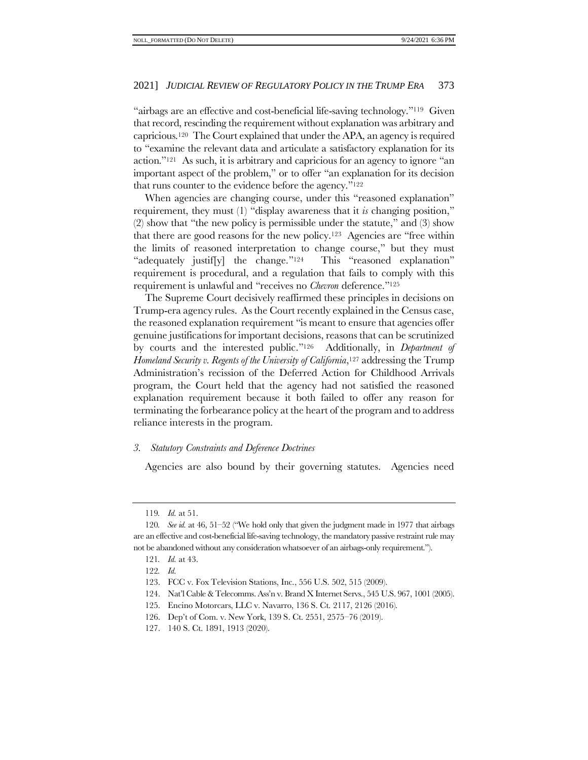"airbags are an effective and cost-beneficial life-saving technology."119 Given that record, rescinding the requirement without explanation was arbitrary and capricious.120 The Court explained that under the APA, an agency is required to "examine the relevant data and articulate a satisfactory explanation for its action."121 As such, it is arbitrary and capricious for an agency to ignore "an important aspect of the problem," or to offer "an explanation for its decision that runs counter to the evidence before the agency."<sup>122</sup>

When agencies are changing course, under this "reasoned explanation" requirement, they must (1) "display awareness that it *is* changing position," (2) show that "the new policy is permissible under the statute," and (3) show that there are good reasons for the new policy.123 Agencies are "free within the limits of reasoned interpretation to change course," but they must "adequately justif[y] the change."124 This "reasoned explanation" requirement is procedural, and a regulation that fails to comply with this requirement is unlawful and "receives no *Chevron* deference."<sup>125</sup>

<span id="page-20-0"></span>The Supreme Court decisively reaffirmed these principles in decisions on Trump-era agency rules. As the Court recently explained in the Census case, the reasoned explanation requirement "is meant to ensure that agencies offer genuine justifications for important decisions, reasons that can be scrutinized by courts and the interested public."126 Additionally, in *Department of Homeland Security v. Regents of the University of California*, <sup>127</sup> addressing the Trump Administration's recission of the Deferred Action for Childhood Arrivals program, the Court held that the agency had not satisfied the reasoned explanation requirement because it both failed to offer any reason for terminating the forbearance policy at the heart of the program and to address reliance interests in the program.

# *3. Statutory Constraints and Deference Doctrines*

Agencies are also bound by their governing statutes. Agencies need

<sup>119</sup>*. Id.* at 51.

<sup>120</sup>*. See id.* at 46, 51–52 ("We hold only that given the judgment made in 1977 that airbags are an effective and cost-beneficial life-saving technology, the mandatory passive restraint rule may not be abandoned without any consideration whatsoever of an airbags-only requirement.").

<sup>121</sup>*. Id.* at 43.

<sup>122</sup>*. Id.*

<sup>123.</sup> FCC v. Fox Television Stations, Inc., 556 U.S. 502, 515 (2009).

<sup>124.</sup> Nat'l Cable & Telecomms. Ass'n v. Brand X Internet Servs., 545 U.S. 967, 1001 (2005).

<sup>125.</sup> Encino Motorcars, LLC v. Navarro, 136 S. Ct. 2117, 2126 (2016).

<sup>126.</sup> Dep't of Com. v. New York, 139 S. Ct. 2551, 2575–76 (2019).

<sup>127.</sup> 140 S. Ct. 1891, 1913 (2020).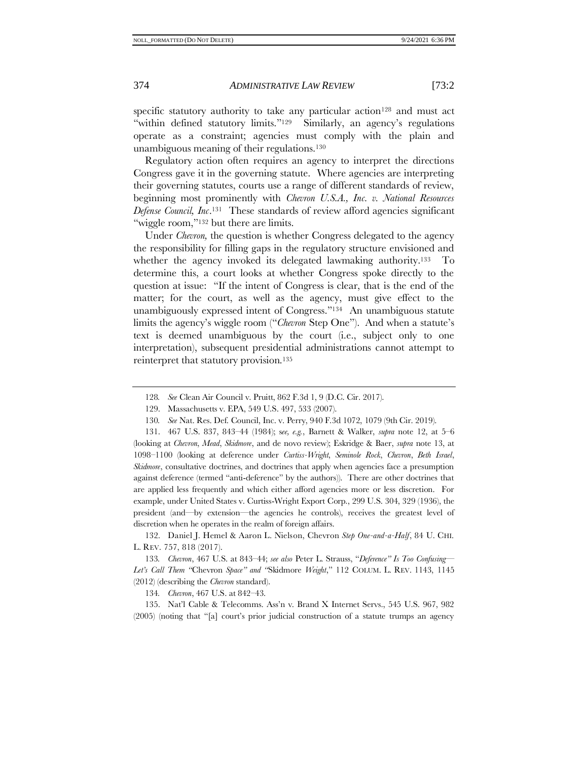specific statutory authority to take any particular action<sup>128</sup> and must act "within defined statutory limits."129 Similarly, an agency's regulations operate as a constraint; agencies must comply with the plain and unambiguous meaning of their regulations.<sup>130</sup>

Regulatory action often requires an agency to interpret the directions Congress gave it in the governing statute. Where agencies are interpreting their governing statutes, courts use a range of different standards of review, beginning most prominently with *Chevron U.S.A., Inc. v. National Resources Defense Council, Inc*. <sup>131</sup> These standards of review afford agencies significant "wiggle room,"<sup>132</sup> but there are limits.

<span id="page-21-0"></span>Under *Chevron,* the question is whether Congress delegated to the agency the responsibility for filling gaps in the regulatory structure envisioned and whether the agency invoked its delegated lawmaking authority.<sup>133</sup> To determine this, a court looks at whether Congress spoke directly to the question at issue: "If the intent of Congress is clear, that is the end of the matter; for the court, as well as the agency, must give effect to the unambiguously expressed intent of Congress."134 An unambiguous statute limits the agency's wiggle room ("*Chevron* Step One"). And when a statute's text is deemed unambiguous by the court (i.e., subject only to one interpretation), subsequent presidential administrations cannot attempt to reinterpret that statutory provision.<sup>135</sup>

131. 467 U.S. 837, 843–44 (1984); s*ee, e.g.*, Barnett & Walker, *supra* note [12,](#page-3-0) at 5–6 (looking at *Chevron*, *Mead*, *Skidmore*, and de novo review); Eskridge & Baer, *supra* note [13,](#page-3-2) at 1098–1100 (looking at deference under *Curtiss-Wright*, *Seminole Rock*, *Chevron*, *Beth Israel*, *Skidmore*, consultative doctrines, and doctrines that apply when agencies face a presumption against deference (termed "anti-deference" by the authors)). There are other doctrines that are applied less frequently and which either afford agencies more or less discretion. For example, under United States v. Curtiss-Wright Export Corp., 299 U.S. 304, 329 (1936), the president (and—by extension—the agencies he controls), receives the greatest level of discretion when he operates in the realm of foreign affairs.

132. Daniel J. Hemel & Aaron L. Nielson, Chevron *Step One-and-a-Half*, 84 U. CHI. L. REV. 757, 818 (2017).

133*. Chevron*, 467 U.S. at 843–44; *see also* Peter L. Strauss, "*Deference" Is Too Confusing— Let's Call Them "*Chevron *Space" and "*Skidmore *Weight*," 112 COLUM. L. REV. 1143, 1145 (2012) (describing the *Chevron* standard).

134*. Chevron*, 467 U.S. at 842–43.

135. Nat'l Cable & Telecomms. Ass'n v. Brand X Internet Servs., 545 U.S. 967, 982 (2005) (noting that "[a] court's prior judicial construction of a statute trumps an agency

<sup>128</sup>*. See* Clean Air Council v. Pruitt, 862 F.3d 1, 9 (D.C. Cir. 2017).

<sup>129.</sup> Massachusetts v. EPA, 549 U.S. 497, 533 (2007).

<sup>130</sup>*. See* Nat. Res. Def. Council, Inc. v. Perry, 940 F.3d 1072, 1079 (9th Cir. 2019).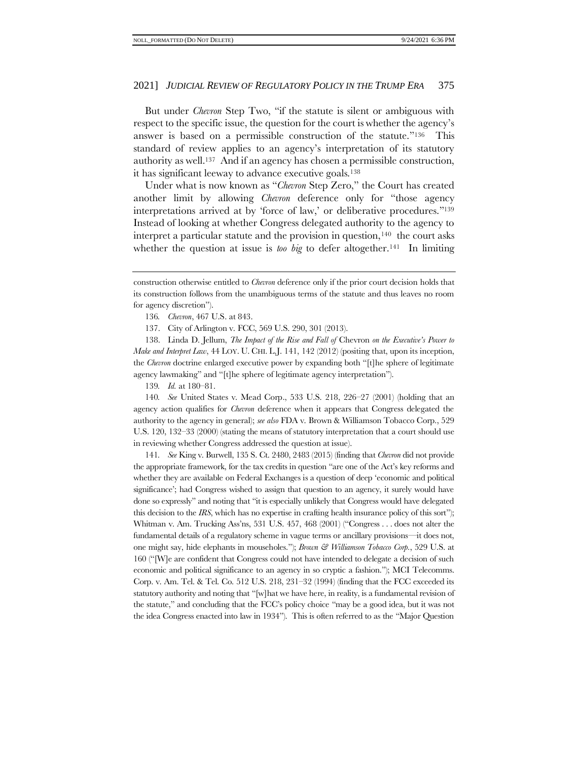But under *Chevron* Step Two, "if the statute is silent or ambiguous with respect to the specific issue, the question for the court is whether the agency's answer is based on a permissible construction of the statute."136 This standard of review applies to an agency's interpretation of its statutory authority as well.137 And if an agency has chosen a permissible construction, it has significant leeway to advance executive goals.<sup>138</sup>

<span id="page-22-0"></span>Under what is now known as "*Chevron* Step Zero," the Court has created another limit by allowing *Chevron* deference only for "those agency interpretations arrived at by 'force of law,' or deliberative procedures."<sup>139</sup> Instead of looking at whether Congress delegated authority to the agency to interpret a particular statute and the provision in question,  $140$  the court asks whether the question at issue is *too big* to defer altogether.<sup>141</sup> In limiting

137. City of Arlington v. FCC, 569 U.S. 290, 301 (2013).

138. Linda D. Jellum, *The Impact of the Rise and Fall of* Chevron *on the Executive's Power to Make and Interpret Law*, 44 LOY. U. CHI. L.J. 141, 142 (2012) (positing that, upon its inception, the *Chevron* doctrine enlarged executive power by expanding both "[t]he sphere of legitimate agency lawmaking" and "[t]he sphere of legitimate agency interpretation").

139*. Id.* at 180–81.

140*. See* United States v. Mead Corp., 533 U.S. 218, 226–27 (2001) (holding that an agency action qualifies for *Chevron* deference when it appears that Congress delegated the authority to the agency in general); *see also* FDA v. Brown & Williamson Tobacco Corp., 529 U.S. 120, 132–33 (2000) (stating the means of statutory interpretation that a court should use in reviewing whether Congress addressed the question at issue).

141*. See* King v. Burwell, 135 S. Ct. 2480, 2483 (2015) (finding that *Chevron* did not provide the appropriate framework, for the tax credits in question "are one of the Act's key reforms and whether they are available on Federal Exchanges is a question of deep 'economic and political significance'; had Congress wished to assign that question to an agency, it surely would have done so expressly" and noting that "it is especially unlikely that Congress would have delegated this decision to the *IRS*, which has no expertise in crafting health insurance policy of this sort"); Whitman v. Am. Trucking Ass'ns, 531 U.S. 457, 468 (2001) ("Congress . . . does not alter the fundamental details of a regulatory scheme in vague terms or ancillary provisions—it does not, one might say, hide elephants in mouseholes."); *Brown & Williamson Tobacco Corp.*, 529 U.S. at 160 ("[W]e are confident that Congress could not have intended to delegate a decision of such economic and political significance to an agency in so cryptic a fashion."); MCI Telecomms. Corp. v. Am. Tel. & Tel. Co. 512 U.S. 218, 231–32 (1994) (finding that the FCC exceeded its statutory authority and noting that "[w]hat we have here, in reality, is a fundamental revision of the statute," and concluding that the FCC's policy choice "may be a good idea, but it was not the idea Congress enacted into law in 1934"). This is often referred to as the "Major Question

construction otherwise entitled to *Chevron* deference only if the prior court decision holds that its construction follows from the unambiguous terms of the statute and thus leaves no room for agency discretion").

<sup>136</sup>*. Chevron*, 467 U.S. at 843.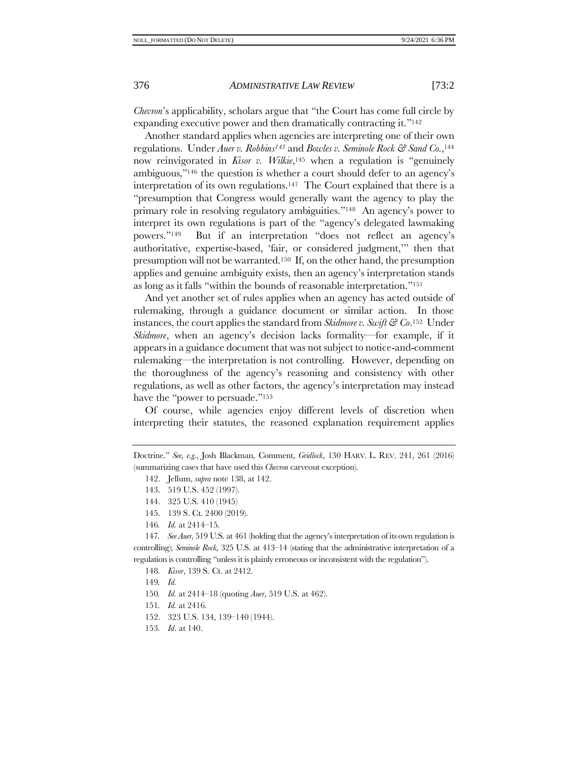*Chevron*'s applicability, scholars argue that "the Court has come full circle by expanding executive power and then dramatically contracting it."<sup>142</sup>

Another standard applies when agencies are interpreting one of their own regulations. Under *Auer v. Robbins<sup>143</sup>* and *Bowles v. Seminole Rock & Sand Co.*, 144 now reinvigorated in *Kisor v. Wilkie*, <sup>145</sup> when a regulation is "genuinely ambiguous,"<sup>146</sup> the question is whether a court should defer to an agency's interpretation of its own regulations.<sup>147</sup> The Court explained that there is a "presumption that Congress would generally want the agency to play the primary role in resolving regulatory ambiguities."148 An agency's power to interpret its own regulations is part of the "agency's delegated lawmaking powers."149 But if an interpretation "does not reflect an agency's authoritative, expertise-based, 'fair, or considered judgment,'" then that presumption will not be warranted.150 If, on the other hand, the presumption applies and genuine ambiguity exists, then an agency's interpretation stands as long as it falls "within the bounds of reasonable interpretation."<sup>151</sup>

And yet another set of rules applies when an agency has acted outside of rulemaking, through a guidance document or similar action. In those instances, the court applies the standard from *Skidmore v. Swift & Co*. <sup>152</sup> Under *Skidmore*, when an agency's decision lacks formality—for example, if it appears in a guidance document that was not subject to notice-and-comment rulemaking—the interpretation is not controlling. However, depending on the thoroughness of the agency's reasoning and consistency with other regulations, as well as other factors, the agency's interpretation may instead have the "power to persuade."<sup>153</sup>

Of course, while agencies enjoy different levels of discretion when interpreting their statutes, the reasoned explanation requirement applies

- 143. 519 U.S. 452 (1997).
- 144. 325 U.S. 410 (1945)
- 145. 139 S. Ct. 2400 (2019).
- 146*. Id.* at 2414–15.

147*. See Auer*, 519 U.S. at 461 (holding that the agency's interpretation of its own regulation is controlling); *Seminole Rock*, 325 U.S. at 413–14 (stating that the administrative interpretation of a regulation is controlling "unless it is plainly erroneous or inconsistent with the regulation").

- 148*. Kisor*, 139 S. Ct. at 2412.
- 149*. Id.*
- 150*. Id.* at 2414–18 (quoting *Auer*, 519 U.S. at 462).
- 151*. Id.* at 2416.
- 152. 323 U.S. 134, 139–140 (1944).
- 153*. Id*. at 140.

Doctrine." *See, e.g.*, Josh Blackman, Comment, *Gridlock*, 130 HARV. L. REV. 241, 261 (2016) (summarizing cases that have used this *Chevron* carveout exception).

<sup>142.</sup> Jellum, *supra* not[e 138,](#page-22-0) at 142.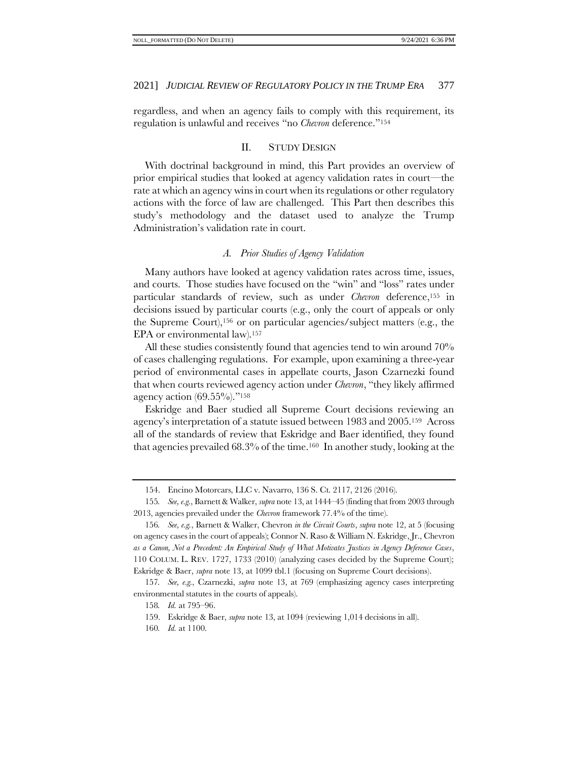<span id="page-24-2"></span>regardless, and when an agency fails to comply with this requirement, its regulation is unlawful and receives "no *Chevron* deference."<sup>154</sup>

#### II. STUDY DESIGN

With doctrinal background in mind, this Part provides an overview of prior empirical studies that looked at agency validation rates in court—the rate at which an agency wins in court when its regulations or other regulatory actions with the force of law are challenged. This Part then describes this study's methodology and the dataset used to analyze the Trump Administration's validation rate in court.

# <span id="page-24-0"></span>*A. Prior Studies of Agency Validation*

<span id="page-24-1"></span>Many authors have looked at agency validation rates across time, issues, and courts. Those studies have focused on the "win" and "loss" rates under particular standards of review, such as under *Chevron* deference,<sup>155</sup> in decisions issued by particular courts (e.g., only the court of appeals or only the Supreme Court),<sup>156</sup> or on particular agencies/subject matters (e.g., the EPA or environmental law).<sup>157</sup>

All these studies consistently found that agencies tend to win around 70% of cases challenging regulations. For example, upon examining a three-year period of environmental cases in appellate courts, Jason Czarnezki found that when courts reviewed agency action under *Chevron*, "they likely affirmed agency action  $(69.55\%)$ ."<sup>158</sup>

Eskridge and Baer studied all Supreme Court decisions reviewing an agency's interpretation of a statute issued between 1983 and 2005.159 Across all of the standards of review that Eskridge and Baer identified, they found that agencies prevailed  $68.3\%$  of the time.<sup>160</sup> In another study, looking at the

<sup>154.</sup> Encino Motorcars, LLC v. Navarro, 136 S. Ct. 2117, 2126 (2016).

<sup>155</sup>*. See, e.g.*, Barnett & Walker, *supra* not[e 13,](#page-3-2) at 1444–45 (finding that from 2003 through 2013, agencies prevailed under the *Chevron* framework 77.4% of the time).

<sup>156</sup>*. See, e.g.*, Barnett & Walker, Chevron *in the Circuit Courts*, *supra* not[e 12,](#page-3-0) at 5 (focusing on agency cases in the court of appeals); Connor N. Raso & William N. Eskridge, Jr., Chevron *as a Canon, Not a Precedent: An Empirical Study of What Motivates Justices in Agency Deference Cases*, 110 COLUM. L. REV. 1727, 1733 (2010) (analyzing cases decided by the Supreme Court); Eskridge & Baer, *supra* note [13,](#page-3-2) at 1099 tbl.1 (focusing on Supreme Court decisions).

<sup>157</sup>*. See, e.g.*, Czarnezki, *supra* note [13,](#page-3-2) at 769 (emphasizing agency cases interpreting environmental statutes in the courts of appeals).

<sup>158</sup>*. Id.* at 795–96.

<sup>159.</sup> Eskridge & Baer, *supra* not[e 13,](#page-3-2) at 1094 (reviewing 1,014 decisions in all).

<sup>160</sup>*. Id.* at 1100.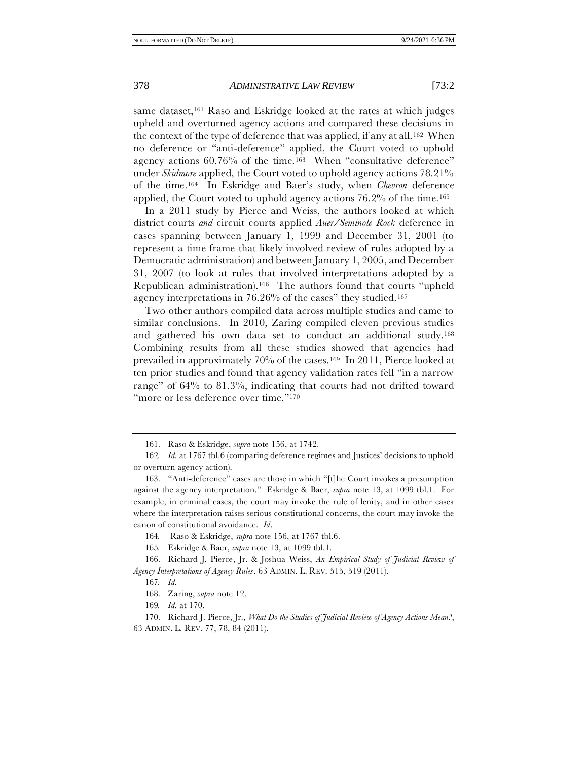same dataset,<sup>161</sup> Raso and Eskridge looked at the rates at which judges upheld and overturned agency actions and compared these decisions in the context of the type of deference that was applied, if any at all.<sup>162</sup> When no deference or "anti-deference" applied, the Court voted to uphold agency actions  $60.76\%$  of the time.<sup>163</sup> When "consultative deference" under *Skidmore* applied, the Court voted to uphold agency actions 78.21% of the time.<sup>164</sup> In Eskridge and Baer's study, when *Chevron* deference applied, the Court voted to uphold agency actions  $76.2\%$  of the time.<sup>165</sup>

In a 2011 study by Pierce and Weiss, the authors looked at which district courts *and* circuit courts applied *Auer/Seminole Rock* deference in cases spanning between January 1, 1999 and December 31, 2001 (to represent a time frame that likely involved review of rules adopted by a Democratic administration) and between January 1, 2005, and December 31, 2007 (to look at rules that involved interpretations adopted by a Republican administration).166 The authors found that courts "upheld agency interpretations in 76.26% of the cases" they studied.<sup>167</sup>

Two other authors compiled data across multiple studies and came to similar conclusions. In 2010, Zaring compiled eleven previous studies and gathered his own data set to conduct an additional study.<sup>168</sup> Combining results from all these studies showed that agencies had prevailed in approximately 70% of the cases.169 In 2011, Pierce looked at ten prior studies and found that agency validation rates fell "in a narrow range" of 64% to 81.3%, indicating that courts had not drifted toward "more or less deference over time."<sup>170</sup>

164*.* Raso & Eskridge, *supra* not[e 156,](#page-24-0) at 1767 tbl.6.

165*.* Eskridge & Baer, *supra* note [13,](#page-3-2) at 1099 tbl.1.

<span id="page-25-0"></span><sup>161.</sup> Raso & Eskridge, *supra* note [156,](#page-24-0) at 1742.

<sup>162</sup>*. Id.* at 1767 tbl.6 (comparing deference regimes and Justices' decisions to uphold or overturn agency action).

<sup>163.</sup> "Anti-deference" cases are those in which "[t]he Court invokes a presumption against the agency interpretation." Eskridge & Baer, *supra* note [13,](#page-3-2) at 1099 tbl.1. For example, in criminal cases, the court may invoke the rule of lenity, and in other cases where the interpretation raises serious constitutional concerns, the court may invoke the canon of constitutional avoidance. *Id*.

<sup>166.</sup> Richard J. Pierce, Jr. & Joshua Weiss, *An Empirical Study of Judicial Review of Agency Interpretations of Agency Rules*, 63 ADMIN. L. REV. 515, 519 (2011).

<sup>167</sup>*. Id.*

<sup>168.</sup> Zaring, *supra* note [12.](#page-3-0)

<sup>169</sup>*. Id.* at 170.

<sup>170.</sup> Richard J. Pierce, Jr., *What Do the Studies of Judicial Review of Agency Actions Mean?*, 63 ADMIN. L. REV. 77, 78, 84 (2011).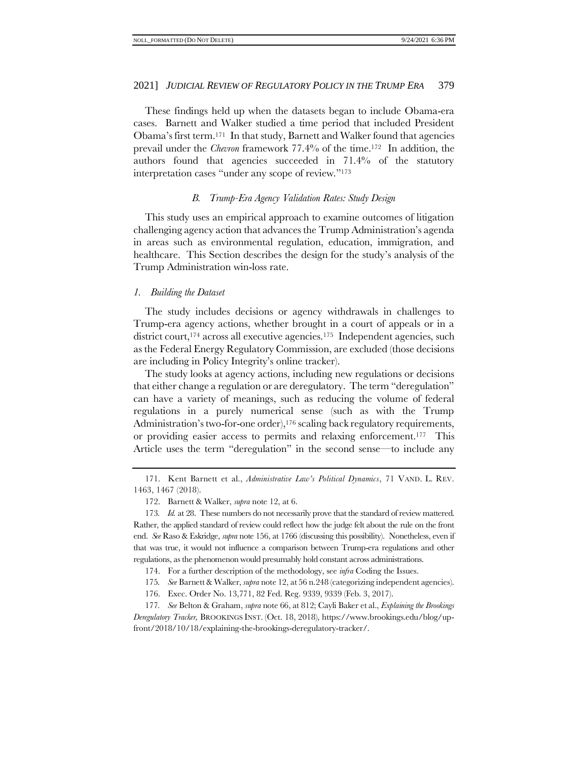These findings held up when the datasets began to include Obama-era cases. Barnett and Walker studied a time period that included President Obama's first term.171 In that study, Barnett and Walker found that agencies prevail under the *Chevron* framework 77.4% of the time. <sup>172</sup> In addition, the authors found that agencies succeeded in 71.4% of the statutory interpretation cases "under any scope of review."<sup>173</sup>

# *B. Trump-Era Agency Validation Rates: Study Design*

This study uses an empirical approach to examine outcomes of litigation challenging agency action that advances the Trump Administration's agenda in areas such as environmental regulation, education, immigration, and healthcare. This Section describes the design for the study's analysis of the Trump Administration win-loss rate.

#### *1. Building the Dataset*

The study includes decisions or agency withdrawals in challenges to Trump-era agency actions, whether brought in a court of appeals or in a district court,<sup>174</sup> across all executive agencies.<sup>175</sup> Independent agencies, such as the Federal Energy Regulatory Commission, are excluded (those decisions are including in Policy Integrity's online tracker).

The study looks at agency actions, including new regulations or decisions that either change a regulation or are deregulatory. The term "deregulation" can have a variety of meanings, such as reducing the volume of federal regulations in a purely numerical sense (such as with the Trump Administration's two-for-one order),<sup>176</sup> scaling back regulatory requirements, or providing easier access to permits and relaxing enforcement.177 This Article uses the term "deregulation" in the second sense—to include any

- 174. For a further description of the methodology, see *infra* [Coding the Issues.](#page-62-0)
- 175*. See* Barnett & Walker, *supra* not[e 12,](#page-3-0) at 56 n.248 (categorizing independent agencies).
- 176. Exec. Order No. 13,771, 82 Fed. Reg. 9339, 9339 (Feb. 3, 2017).
- 177*. See* Belton & Graham, *supra* not[e 66,](#page-13-1) at 812; Cayli Baker et al., *Explaining the Brookings Deregulatory Tracker,* BROOKINGS INST. (Oct. 18, 2018), https://www.brookings.edu/blog/upfront/2018/10/18/explaining-the-brookings-deregulatory-tracker/.

<sup>171.</sup> Kent Barnett et al., *Administrative Law's Political Dynamics*, 71 VAND. L. REV. 1463, 1467 (2018).

<sup>172.</sup> Barnett & Walker, *supra* not[e 12,](#page-3-0) at 6.

<sup>173</sup>*. Id.* at 28. These numbers do not necessarily prove that the standard of review mattered. Rather, the applied standard of review could reflect how the judge felt about the rule on the front end. *See* Raso & Eskridge, *supra* not[e 156,](#page-24-0) at 1766 (discussing this possibility). Nonetheless, even if that was true, it would not influence a comparison between Trump-era regulations and other regulations, as the phenomenon would presumably hold constant across administrations.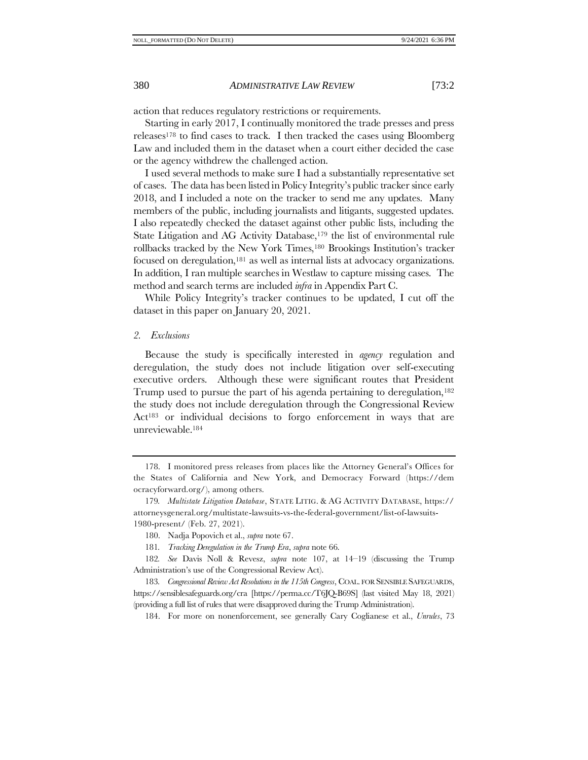action that reduces regulatory restrictions or requirements.

Starting in early 2017, I continually monitored the trade presses and press releases<sup>178</sup> to find cases to track. I then tracked the cases using Bloomberg Law and included them in the dataset when a court either decided the case or the agency withdrew the challenged action.

I used several methods to make sure I had a substantially representative set of cases. The data has been listed in Policy Integrity's public tracker since early 2018, and I included a note on the tracker to send me any updates. Many members of the public, including journalists and litigants, suggested updates. I also repeatedly checked the dataset against other public lists, including the State Litigation and AG Activity Database,<sup>179</sup> the list of environmental rule rollbacks tracked by the New York Times,<sup>180</sup> Brookings Institution's tracker focused on deregulation,<sup>181</sup> as well as internal lists at advocacy organizations. In addition, I ran multiple searches in Westlaw to capture missing cases. The method and search terms are included *infra* in Appendix Part C.

While Policy Integrity's tracker continues to be updated, I cut off the dataset in this paper on January 20, 2021.

#### *2. Exclusions*

Because the study is specifically interested in *agency* regulation and deregulation, the study does not include litigation over self-executing executive orders. Although these were significant routes that President Trump used to pursue the part of his agenda pertaining to deregulation,<sup>182</sup> the study does not include deregulation through the Congressional Review Act<sup>183</sup> or individual decisions to forgo enforcement in ways that are unreviewable.<sup>184</sup>

<sup>178.</sup> I monitored press releases from places like the Attorney General's Offices for the States of California and New York, and Democracy Forward [\(https://dem](https://democracyforward.org/) [ocracyforward.org/\)](https://democracyforward.org/), among others.

<sup>179</sup>*. Multistate Litigation Database*, STATE LITIG. & AG ACTIVITY DATABASE, https:// attorneysgeneral.org/multistate-lawsuits-vs-the-federal-government/list-of-lawsuits-1980-present/ (Feb. 27, 2021).

<sup>180.</sup> Nadja Popovich et al., *supra* not[e 67.](#page-13-2)

<sup>181</sup>*. Tracking Deregulation in the Trump Era*, *supra* not[e 66.](#page-13-1) 

<sup>182</sup>*. See* Davis Noll & Revesz, *supra* note [107,](#page-18-0) at 14–19 (discussing the Trump Administration's use of the Congressional Review Act).

<sup>183</sup>*. Congressional Review Act Resolutions in the 115th Congress*, COAL. FOR SENSIBLE SAFEGUARDS, https://sensiblesafeguards.org/cra [https://perma.cc/T6JQ-B69S] (last visited May 18, 2021) (providing a full list of rules that were disapproved during the Trump Administration).

<sup>184.</sup> For more on nonenforcement, see generally Cary Coglianese et al., *Unrules*, 73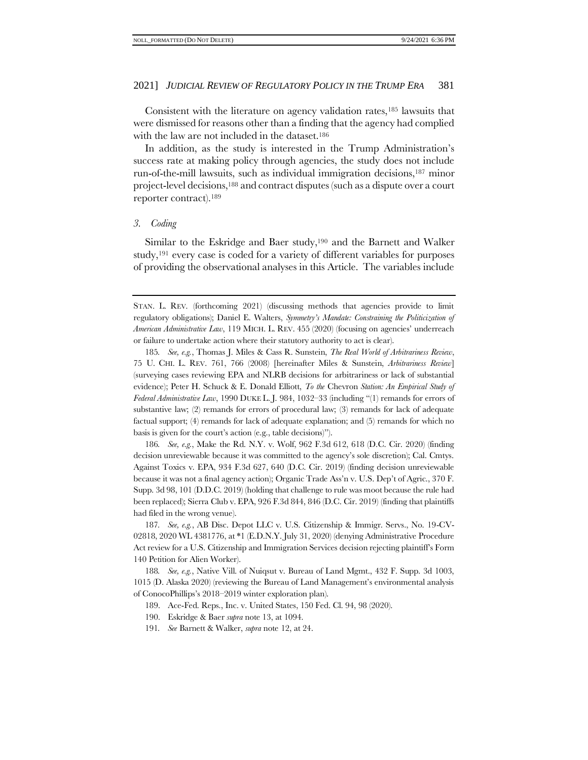<span id="page-28-0"></span>Consistent with the literature on agency validation rates,<sup>185</sup> lawsuits that were dismissed for reasons other than a finding that the agency had complied with the law are not included in the dataset.<sup>186</sup>

In addition, as the study is interested in the Trump Administration's success rate at making policy through agencies, the study does not include run-of-the-mill lawsuits, such as individual immigration decisions,<sup>187</sup> minor project-level decisions,<sup>188</sup> and contract disputes (such as a dispute over a court reporter contract).<sup>189</sup>

#### *3. Coding*

Similar to the Eskridge and Baer study, <sup>190</sup> and the Barnett and Walker study,<sup>191</sup> every case is coded for a variety of different variables for purposes of providing the observational analyses in this Article. The variables include

185*. See, e.g.*, Thomas J. Miles & Cass R. Sunstein, *The Real World of Arbitrariness Review*, 75 U. CHI. L. REV. 761, 766 (2008) [hereinafter Miles & Sunstein, *Arbitrariness Review*] (surveying cases reviewing EPA and NLRB decisions for arbitrariness or lack of substantial evidence); Peter H. Schuck & E. Donald Elliott, *To the* Chevron *Station: An Empirical Study of Federal Administrative Law*, 1990 DUKE L. J. 984, 1032–33 (including "(1) remands for errors of substantive law; (2) remands for errors of procedural law; (3) remands for lack of adequate factual support; (4) remands for lack of adequate explanation; and (5) remands for which no basis is given for the court's action (e.g., table decisions)").

186*. See, e.g.*, Make the Rd. N.Y. v. Wolf, 962 F.3d 612, 618 (D.C. Cir. 2020) (finding decision unreviewable because it was committed to the agency's sole discretion); Cal. Cmtys. Against Toxics v. EPA, 934 F.3d 627, 640 (D.C. Cir. 2019) (finding decision unreviewable because it was not a final agency action); Organic Trade Ass'n v. U.S. Dep't of Agric., 370 F. Supp. 3d 98, 101 (D.D.C. 2019) (holding that challenge to rule was moot because the rule had been replaced); Sierra Club v. EPA, 926 F.3d 844, 846 (D.C. Cir. 2019) (finding that plaintiffs had filed in the wrong venue).

187*. See, e.g.*, AB Disc. Depot LLC v. U.S. Citizenship & Immigr. Servs., No. 19-CV-02818, 2020 WL 4381776, at \*1 (E.D.N.Y. July 31, 2020) (denying Administrative Procedure Act review for a U.S. Citizenship and Immigration Services decision rejecting plaintiff's Form 140 Petition for Alien Worker).

188*. See, e.g.*, Native Vill. of Nuiqsut v. Bureau of Land Mgmt., 432 F. Supp. 3d 1003, 1015 (D. Alaska 2020) (reviewing the Bureau of Land Management's environmental analysis of ConocoPhillips's 2018–2019 winter exploration plan).

189. Ace-Fed. Reps., Inc. v. United States, 150 Fed. Cl. 94, 98 (2020).

190. Eskridge & Baer *supra* note [13,](#page-3-2) at 1094.

191*. See* Barnett & Walker, *supra* not[e 12,](#page-3-0) at 24.

STAN. L. REV. (forthcoming 2021) (discussing methods that agencies provide to limit regulatory obligations); Daniel E. Walters, *Symmetry's Mandate: Constraining the Politicization of American Administrative Law*, 119 MICH. L. REV. 455 (2020) (focusing on agencies' underreach or failure to undertake action where their statutory authority to act is clear).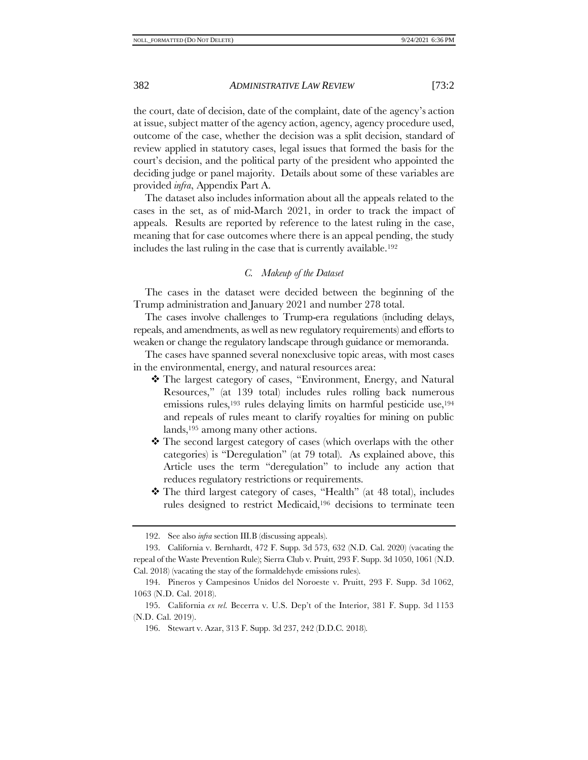the court, date of decision, date of the complaint, date of the agency's action at issue, subject matter of the agency action, agency, agency procedure used, outcome of the case, whether the decision was a split decision, standard of review applied in statutory cases, legal issues that formed the basis for the court's decision, and the political party of the president who appointed the deciding judge or panel majority. Details about some of these variables are provided *infra*, Appendix Part A.

The dataset also includes information about all the appeals related to the cases in the set, as of mid-March 2021, in order to track the impact of appeals. Results are reported by reference to the latest ruling in the case, meaning that for case outcomes where there is an appeal pending, the study includes the last ruling in the case that is currently available.<sup>192</sup>

# *C. Makeup of the Dataset*

The cases in the dataset were decided between the beginning of the Trump administration and January 2021 and number 278 total.

The cases involve challenges to Trump-era regulations (including delays, repeals, and amendments, as well as new regulatory requirements) and efforts to weaken or change the regulatory landscape through guidance or memoranda.

The cases have spanned several nonexclusive topic areas, with most cases in the environmental, energy, and natural resources area:

- ❖ The largest category of cases, "Environment, Energy, and Natural Resources," (at 139 total) includes rules rolling back numerous emissions rules,<sup>193</sup> rules delaying limits on harmful pesticide use,<sup>194</sup> and repeals of rules meant to clarify royalties for mining on public lands,<sup>195</sup> among many other actions.
- ❖ The second largest category of cases (which overlaps with the other categories) is "Deregulation" (at 79 total). As explained above, this Article uses the term "deregulation" to include any action that reduces regulatory restrictions or requirements.
- ❖ The third largest category of cases, "Health" (at 48 total), includes rules designed to restrict Medicaid,<sup>196</sup> decisions to terminate teen

<sup>192.</sup> See also *infra* section III[.B](#page-34-0) (discussing appeals).

<sup>193.</sup> California v. Bernhardt, 472 F. Supp. 3d 573, 632 (N.D. Cal. 2020) (vacating the repeal of the Waste Prevention Rule); Sierra Club v. Pruitt, 293 F. Supp. 3d 1050, 1061 (N.D. Cal. 2018) (vacating the stay of the formaldehyde emissions rules).

<sup>194.</sup> Pineros y Campesinos Unidos del Noroeste v. Pruitt, 293 F. Supp. 3d 1062, 1063 (N.D. Cal. 2018).

<sup>195.</sup> California *ex rel.* Becerra v. U.S. Dep't of the Interior, 381 F. Supp. 3d 1153 (N.D. Cal. 2019).

<sup>196.</sup> Stewart v. Azar, 313 F. Supp. 3d 237, 242 (D.D.C. 2018).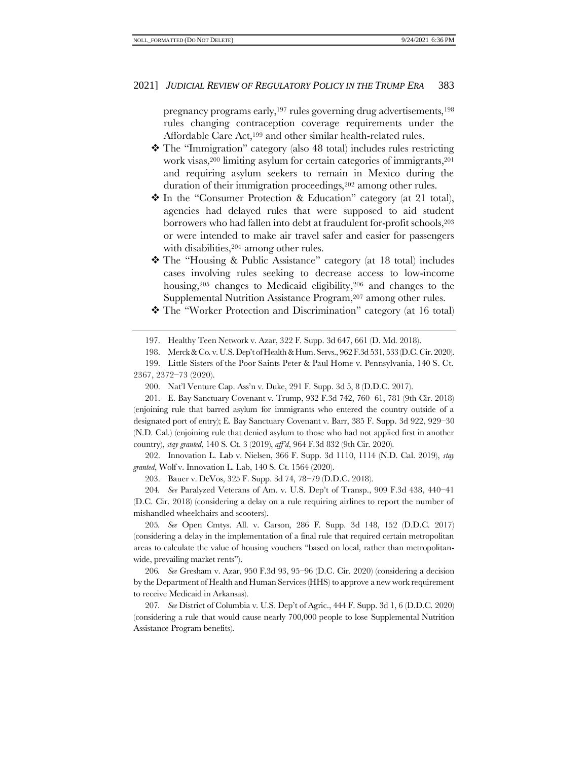pregnancy programs early,<sup>197</sup> rules governing drug advertisements,<sup>198</sup> rules changing contraception coverage requirements under the Affordable Care Act,<sup>199</sup> and other similar health-related rules.

- ❖ The "Immigration" category (also 48 total) includes rules restricting work visas,<sup>200</sup> limiting asylum for certain categories of immigrants,<sup>201</sup> and requiring asylum seekers to remain in Mexico during the duration of their immigration proceedings, <sup>202</sup> among other rules.
- ❖ In the "Consumer Protection & Education" category (at 21 total), agencies had delayed rules that were supposed to aid student borrowers who had fallen into debt at fraudulent for-profit schools,<sup>203</sup> or were intended to make air travel safer and easier for passengers with disabilities, <sup>204</sup> among other rules.
- ❖ The "Housing & Public Assistance" category (at 18 total) includes cases involving rules seeking to decrease access to low-income housing,<sup>205</sup> changes to Medicaid eligibility,<sup>206</sup> and changes to the Supplemental Nutrition Assistance Program, <sup>207</sup> among other rules.
- ❖ The "Worker Protection and Discrimination" category (at 16 total)

200. Nat'l Venture Cap. Ass'n v. Duke, 291 F. Supp. 3d 5, 8 (D.D.C. 2017).

201. E. Bay Sanctuary Covenant v. Trump, 932 F.3d 742, 760–61, 781 (9th Cir. 2018) (enjoining rule that barred asylum for immigrants who entered the country outside of a designated port of entry); E. Bay Sanctuary Covenant v. Barr, 385 F. Supp. 3d 922, 929–30 (N.D. Cal.) (enjoining rule that denied asylum to those who had not applied first in another country), *stay granted*, 140 S. Ct. 3 (2019), *aff'd*, 964 F.3d 832 (9th Cir. 2020).

202. Innovation L. Lab v. Nielsen, 366 F. Supp. 3d 1110, 1114 (N.D. Cal. 2019), *stay granted*, Wolf v. Innovation L. Lab, 140 S. Ct. 1564 (2020).

203. Bauer v. DeVos, 325 F. Supp. 3d 74, 78–79 (D.D.C. 2018).

204*. See* Paralyzed Veterans of Am. v. U.S. Dep't of Transp., 909 F.3d 438, 440–41 (D.C. Cir. 2018) (considering a delay on a rule requiring airlines to report the number of mishandled wheelchairs and scooters).

205*. See* Open Cmtys. All. v. Carson, 286 F. Supp. 3d 148, 152 (D.D.C. 2017) (considering a delay in the implementation of a final rule that required certain metropolitan areas to calculate the value of housing vouchers "based on local, rather than metropolitanwide, prevailing market rents").

206*. See* Gresham v. Azar, 950 F.3d 93, 95–96 (D.C. Cir. 2020) (considering a decision by the Department of Health and Human Services (HHS) to approve a new work requirement to receive Medicaid in Arkansas).

207*. See* District of Columbia v. U.S. Dep't of Agric., 444 F. Supp. 3d 1, 6 (D.D.C. 2020) (considering a rule that would cause nearly 700,000 people to lose Supplemental Nutrition Assistance Program benefits).

<sup>197.</sup> Healthy Teen Network v. Azar, 322 F. Supp. 3d 647, 661 (D. Md. 2018).

<sup>198.</sup> Merck & Co. v. U.S. Dep't of Health & Hum. Servs., 962 F.3d 531, 533 (D.C. Cir. 2020).

<sup>199.</sup> Little Sisters of the Poor Saints Peter & Paul Home v. Pennsylvania, 140 S. Ct. 2367, 2372–73 (2020).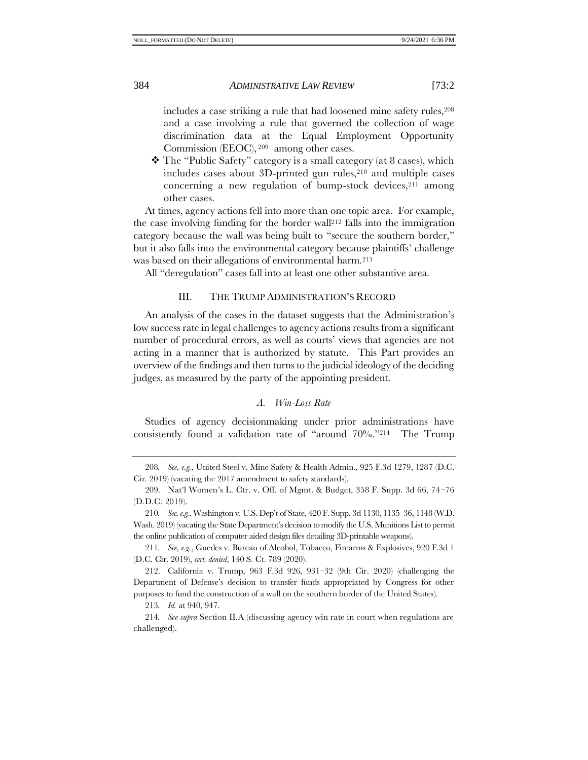includes a case striking a rule that had loosened mine safety rules,  $208$ and a case involving a rule that governed the collection of wage discrimination data at the Equal Employment Opportunity Commission (EEOC), <sup>209</sup> among other cases.

❖ The "Public Safety" category is a small category (at 8 cases), which includes cases about 3D-printed gun rules, $210$  and multiple cases concerning a new regulation of bump-stock devices, $211$  among other cases.

At times, agency actions fell into more than one topic area. For example, the case involving funding for the border wall<sup>212</sup> falls into the immigration category because the wall was being built to "secure the southern border," but it also falls into the environmental category because plaintiffs' challenge was based on their allegations of environmental harm.<sup>213</sup>

<span id="page-31-1"></span>All "deregulation" cases fall into at least one other substantive area.

#### III. THE TRUMP ADMINISTRATION'S RECORD

An analysis of the cases in the dataset suggests that the Administration's low success rate in legal challenges to agency actions results from a significant number of procedural errors, as well as courts' views that agencies are not acting in a manner that is authorized by statute. This Part provides an overview of the findings and then turns to the judicial ideology of the deciding judges, as measured by the party of the appointing president.

# *A. Win-Loss Rate*

<span id="page-31-0"></span>Studies of agency decisionmaking under prior administrations have consistently found a validation rate of "around 70%."214 The Trump

213*. Id.* at 940, 947.

<sup>208</sup>*. See, e.g.*, United Steel v. Mine Safety & Health Admin., 925 F.3d 1279, 1287 (D.C. Cir. 2019) (vacating the 2017 amendment to safety standards).

<sup>209.</sup> Nat'l Women's L. Ctr. v. Off. of Mgmt. & Budget, 358 F. Supp. 3d 66, 74–76 (D.D.C. 2019).

<sup>210</sup>*. See, e.g.*, Washington v. U.S. Dep't of State, 420 F. Supp. 3d 1130, 1135–36, 1148 (W.D. Wash. 2019) (vacating the State Department's decision to modify the U.S. Munitions List to permit the online publication of computer aided design files detailing 3D-printable weapons).

<sup>211</sup>*. See, e.g.*, Guedes v. Bureau of Alcohol, Tobacco, Firearms & Explosives, 920 F.3d 1 (D.C. Cir. 2019), *cert. denied*, 140 S. Ct. 789 (2020).

<sup>212.</sup> California v. Trump, 963 F.3d 926, 931–32 (9th Cir. 2020) (challenging the Department of Defense's decision to transfer funds appropriated by Congress for other purposes to fund the construction of a wall on the southern border of the United States).

<sup>214</sup>*. See supra* Section II[.A](#page-24-1) (discussing agency win rate in court when regulations are challenged).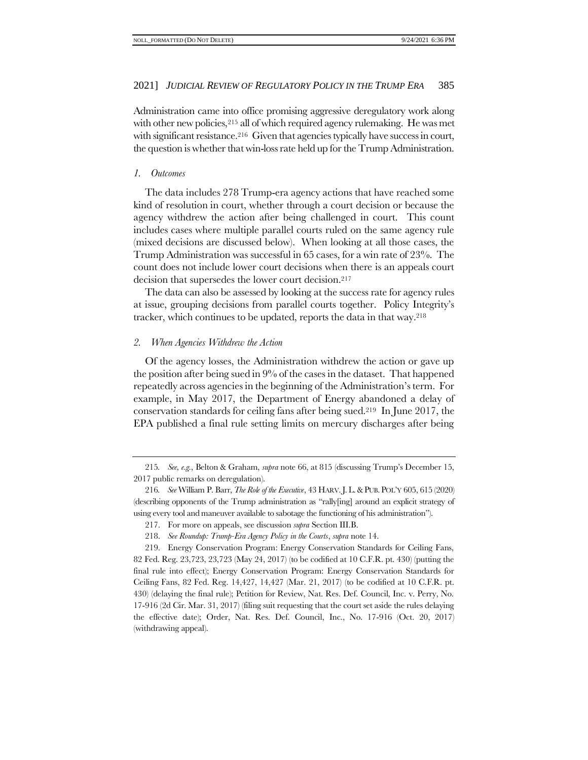Administration came into office promising aggressive deregulatory work along with other new policies,<sup>215</sup> all of which required agency rulemaking. He was met with significant resistance.<sup>216</sup> Given that agencies typically have success in court, the question is whether that win-loss rate held up for the Trump Administration.

# <span id="page-32-0"></span>*1. Outcomes*

The data includes 278 Trump-era agency actions that have reached some kind of resolution in court, whether through a court decision or because the agency withdrew the action after being challenged in court. This count includes cases where multiple parallel courts ruled on the same agency rule (mixed decisions are discussed below). When looking at all those cases, the Trump Administration was successful in 65 cases, for a win rate of 23%. The count does not include lower court decisions when there is an appeals court decision that supersedes the lower court decision. <sup>217</sup>

The data can also be assessed by looking at the success rate for agency rules at issue, grouping decisions from parallel courts together. Policy Integrity's tracker, which continues to be updated, reports the data in that way. <sup>218</sup>

# *2. When Agencies Withdrew the Action*

Of the agency losses, the Administration withdrew the action or gave up the position after being sued in 9% of the cases in the dataset. That happened repeatedly across agencies in the beginning of the Administration's term. For example, in May 2017, the Department of Energy abandoned a delay of conservation standards for ceiling fans after being sued.219 In June 2017, the EPA published a final rule setting limits on mercury discharges after being

<sup>215</sup>*. See, e.g.*, Belton & Graham, *supra* note [66](#page-13-1), at 815 (discussing Trump's December 15, 2017 public remarks on deregulation).

<sup>216</sup>*. See* William P. Barr, *The Role of the Executive*, 43 HARV.J.L.&PUB. POL'Y 605, 615 (2020) (describing opponents of the Trump administration as "rally[ing] around an explicit strategy of using every tool and maneuver available to sabotage the functioning of his administration").

<sup>217.</sup> For more on appeals, see discussion *supra* Section II[I.B.](#page-34-0)

<sup>218.</sup> *See Roundup: Trump-Era Agency Policy in the Courts*, *supra* not[e 14.](#page-4-0)

<sup>219.</sup> Energy Conservation Program: Energy Conservation Standards for Ceiling Fans, 82 Fed. Reg. 23,723, 23,723 (May 24, 2017) (to be codified at 10 C.F.R. pt. 430) (putting the final rule into effect); Energy Conservation Program: Energy Conservation Standards for Ceiling Fans, 82 Fed. Reg. 14,427, 14,427 (Mar. 21, 2017) (to be codified at 10 C.F.R. pt. 430) (delaying the final rule); Petition for Review, Nat. Res. Def. Council, Inc. v. Perry, No. 17-916 (2d Cir. Mar. 31, 2017) (filing suit requesting that the court set aside the rules delaying the effective date); Order, Nat. Res. Def. Council, Inc., No. 17-916 (Oct. 20, 2017) (withdrawing appeal).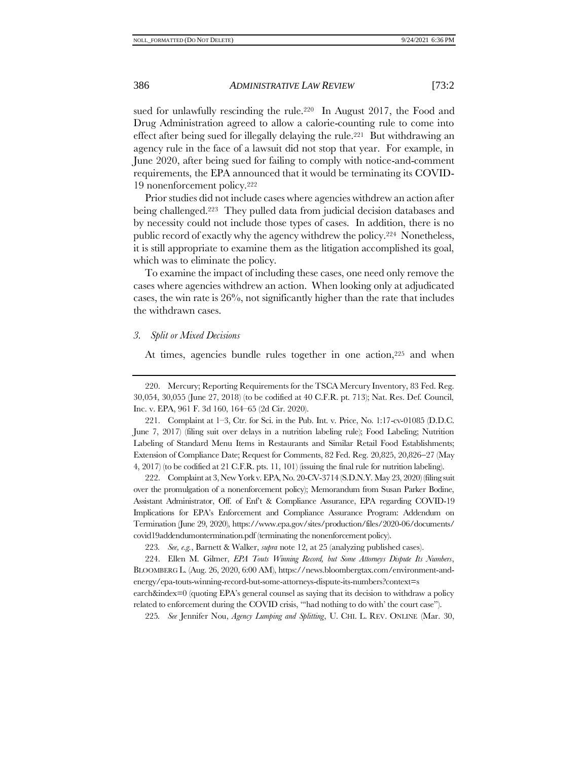sued for unlawfully rescinding the rule.<sup>220</sup> In August 2017, the Food and Drug Administration agreed to allow a calorie-counting rule to come into effect after being sued for illegally delaying the rule.221 But withdrawing an agency rule in the face of a lawsuit did not stop that year. For example, in June 2020, after being sued for failing to comply with notice-and-comment requirements, the EPA announced that it would be terminating its COVID-19 nonenforcement policy.<sup>222</sup>

Prior studies did not include cases where agencies withdrew an action after being challenged.223 They pulled data from judicial decision databases and by necessity could not include those types of cases. In addition, there is no public record of exactly why the agency withdrew the policy.224 Nonetheless, it is still appropriate to examine them as the litigation accomplished its goal, which was to eliminate the policy.

To examine the impact of including these cases, one need only remove the cases where agencies withdrew an action. When looking only at adjudicated cases, the win rate is 26%, not significantly higher than the rate that includes the withdrawn cases.

# *3. Split or Mixed Decisions*

At times, agencies bundle rules together in one action,<sup>225</sup> and when

221. Complaint at 1–3, Ctr. for Sci. in the Pub. Int. v. Price, No. 1:17-cv-01085 (D.D.C. June 7, 2017) (filing suit over delays in a nutrition labeling rule); Food Labeling; Nutrition Labeling of Standard Menu Items in Restaurants and Similar Retail Food Establishments; Extension of Compliance Date; Request for Comments, 82 Fed. Reg. 20,825, 20,826−27 (May 4, 2017) (to be codified at 21 C.F.R. pts. 11, 101) (issuing the final rule for nutrition labeling).

222. Complaint at 3, New York v. EPA, No. 20-CV-3714 (S.D.N.Y. May 23, 2020) (filing suit over the promulgation of a nonenforcement policy); Memorandum from Susan Parker Bodine, Assistant Administrator, Off. of Enf't & Compliance Assurance, EPA regarding COVID-19 Implications for EPA's Enforcement and Compliance Assurance Program: Addendum on Termination (June 29, 2020), https://www.epa.gov/sites/production/files/2020-06/documents/ covid19addendumontermination.pdf (terminating the nonenforcement policy).

223*. See, e.g.*, Barnett & Walker, *supra* not[e 12,](#page-3-0) at 25 (analyzing published cases).

224. Ellen M. Gilmer, *EPA Touts Winning Record, but Some Attorneys Dispute Its Numbers*, BLOOMBERG L. (Aug. 26, 2020, 6:00 AM), https://news.bloombergtax.com/environment-andenergy/epa-touts-winning-record-but-some-attorneys-dispute-its-numbers?context=s

earch&index=0 (quoting EPA's general counsel as saying that its decision to withdraw a policy related to enforcement during the COVID crisis, "'had nothing to do with' the court case").

225*. See* Jennifer Nou, *Agency Lumping and Splitting*, U. CHI. L. REV. ONLINE (Mar. 30,

<sup>220.</sup> Mercury; Reporting Requirements for the TSCA Mercury Inventory, 83 Fed. Reg. 30,054, 30,055 (June 27, 2018) (to be codified at 40 C.F.R. pt. 713); Nat. Res. Def. Council, Inc. v. EPA, 961 F. 3d 160, 164–65 (2d Cir. 2020).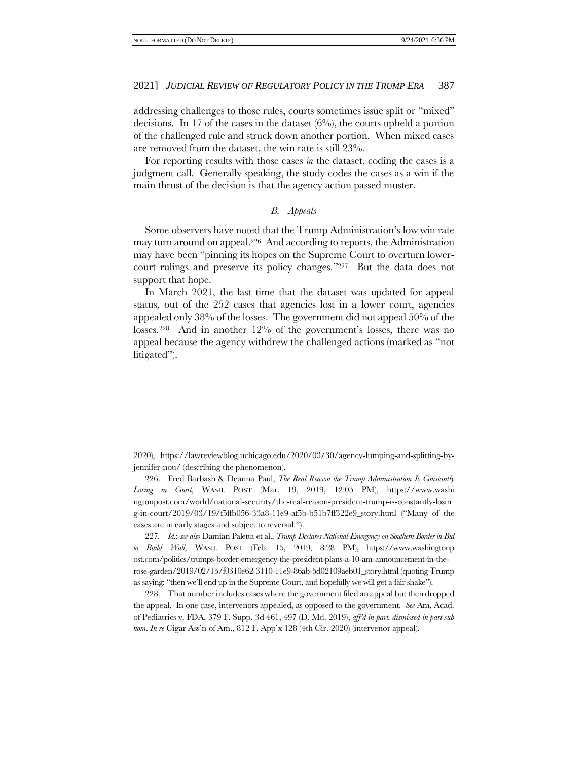addressing challenges to those rules, courts sometimes issue split or "mixed" decisions. In 17 of the cases in the dataset  $(6\%)$ , the courts upheld a portion of the challenged rule and struck down another portion. When mixed cases are removed from the dataset, the win rate is still 23%.

For reporting results with those cases *in* the dataset, coding the cases is a judgment call. Generally speaking, the study codes the cases as a win if the main thrust of the decision is that the agency action passed muster.

# <span id="page-34-1"></span>*B. Appeals*

<span id="page-34-0"></span>Some observers have noted that the Trump Administration's low win rate may turn around on appeal.226 And according to reports, the Administration may have been "pinning its hopes on the Supreme Court to overturn lowercourt rulings and preserve its policy changes."227 But the data does not support that hope.

In March 2021, the last time that the dataset was updated for appeal status, out of the 252 cases that agencies lost in a lower court, agencies appealed only 38% of the losses. The government did not appeal 50% of the losses.228 And in another 12% of the government's losses, there was no appeal because the agency withdrew the challenged actions (marked as "not litigated").

<sup>2020),</sup> https://lawreviewblog.uchicago.edu/2020/03/30/agency-lumping-and-splitting-byjennifer-nou/ (describing the phenomenon).

<sup>226.</sup> Fred Barbash & Deanna Paul, *The Real Reason the Trump Administration Is Constantly Losing in Court*, WASH. POST (Mar. 19, 2019, 12:05 PM), https://www.washi ngtonpost.com/world/national-security/the-real-reason-president-trump-is-constantly-losin g-in-court/2019/03/19/f5ffb056-33a8-11e9-af5b-b51b7ff322e9\_story.html ("Many of the cases are in early stages and subject to reversal.").

<sup>227</sup>*. Id.*; *see also* Damian Paletta et al., *Trump Declares National Emergency on Southern Border in Bid to Build Wall*, WASH. POST (Feb. 15, 2019, 8:28 PM), https://www.washingtonp ost.com/politics/trumps-border-emergency-the-president-plans-a-10-am-announcement-in-therose-garden/2019/02/15/f0310e62-3110-11e9-86ab-5d02109aeb01\_story.html (quoting Trump as saying: "then we'll end up in the Supreme Court, and hopefully we will get a fair shake").

<sup>228.</sup> That number includes cases where the government filed an appeal but then dropped the appeal. In one case, intervenors appealed, as opposed to the government. *See* Am. Acad. of Pediatrics v. FDA, 379 F. Supp. 3d 461, 497 (D. Md. 2019), *aff'd in part, dismissed in part sub nom*. *In re* Cigar Ass'n of Am., 812 F. App'x 128 (4th Cir. 2020) (intervenor appeal).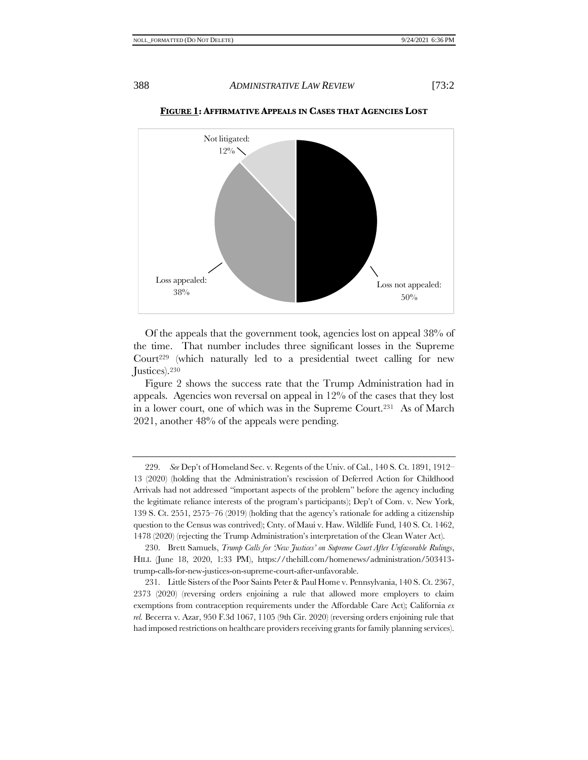

**FIGURE 1: AFFIRMATIVE APPEALS IN CASES THAT AGENCIES LOST**

Of the appeals that the government took, agencies lost on appeal 38% of the time. That number includes three significant losses in the Supreme Court<sup>229</sup> (which naturally led to a presidential tweet calling for new Justices).<sup>230</sup>

Figure 2 shows the success rate that the Trump Administration had in appeals. Agencies won reversal on appeal in  $12\%$  of the cases that they lost in a lower court, one of which was in the Supreme Court.231 As of March 2021, another 48% of the appeals were pending.

<sup>229.</sup> *See* Dep't of Homeland Sec. v. Regents of the Univ. of Cal., 140 S. Ct. 1891, 1912– 13 (2020) (holding that the Administration's rescission of Deferred Action for Childhood Arrivals had not addressed "important aspects of the problem" before the agency including the legitimate reliance interests of the program's participants); Dep't of Com. v. New York, 139 S. Ct. 2551, 2575–76 (2019) (holding that the agency's rationale for adding a citizenship question to the Census was contrived); Cnty. of Maui v. Haw. Wildlife Fund, 140 S. Ct. 1462, 1478 (2020) (rejecting the Trump Administration's interpretation of the Clean Water Act).

<sup>230.</sup> Brett Samuels, *Trump Calls for 'New Justices' on Supreme Court After Unfavorable Rulings*, HILL (June 18, 2020, 1:33 PM), https://thehill.com/homenews/administration/503413 trump-calls-for-new-justices-on-supreme-court-after-unfavorable.

<sup>231.</sup> Little Sisters of the Poor Saints Peter & Paul Home v. Pennsylvania, 140 S. Ct. 2367, 2373 (2020) (reversing orders enjoining a rule that allowed more employers to claim exemptions from contraception requirements under the Affordable Care Act); California *ex rel.* Becerra v. Azar, 950 F.3d 1067, 1105 (9th Cir. 2020) (reversing orders enjoining rule that had imposed restrictions on healthcare providers receiving grants for family planning services).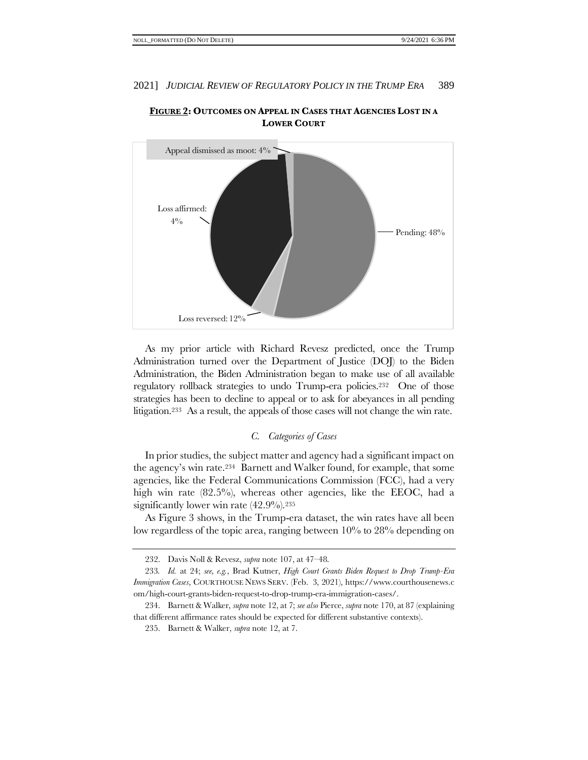

**FIGURE 2: OUTCOMES ON APPEAL IN CASES THAT AGENCIES LOST IN A LOWER COURT**

As my prior article with Richard Revesz predicted, once the Trump Administration turned over the Department of Justice (DOJ) to the Biden Administration, the Biden Administration began to make use of all available regulatory rollback strategies to undo Trump-era policies.232 One of those strategies has been to decline to appeal or to ask for abeyances in all pending litigation.233 As a result, the appeals of those cases will not change the win rate.

# *C. Categories of Cases*

In prior studies, the subject matter and agency had a significant impact on the agency's win rate.234 Barnett and Walker found, for example, that some agencies, like the Federal Communications Commission (FCC), had a very high win rate (82.5%), whereas other agencies, like the EEOC, had a significantly lower win rate  $(42.9\%)$ <sup>235</sup>

As Figure 3 shows, in the Trump-era dataset, the win rates have all been low regardless of the topic area, ranging between 10% to 28% depending on

<sup>232.</sup> Davis Noll & Revesz, *supra* note [107,](#page-18-0) at 47–48.

<sup>233</sup>*. Id.* at 24; *see, e.g.*, Brad Kutner, *High Court Grants Biden Request to Drop Trump-Era Immigration Cases*, COURTHOUSE NEWS SERV. (Feb. 3, 2021), https://www.courthousenews.c om/high-court-grants-biden-request-to-drop-trump-era-immigration-cases/.

<sup>234.</sup> Barnett & Walker, *supra* not[e 12,](#page-3-3) at 7; *see also* Pierce, *supra* not[e 170,](#page-25-0) at 87 (explaining that different affirmance rates should be expected for different substantive contexts).

<sup>235.</sup> Barnett & Walker, *supra* not[e 12,](#page-3-3) at 7.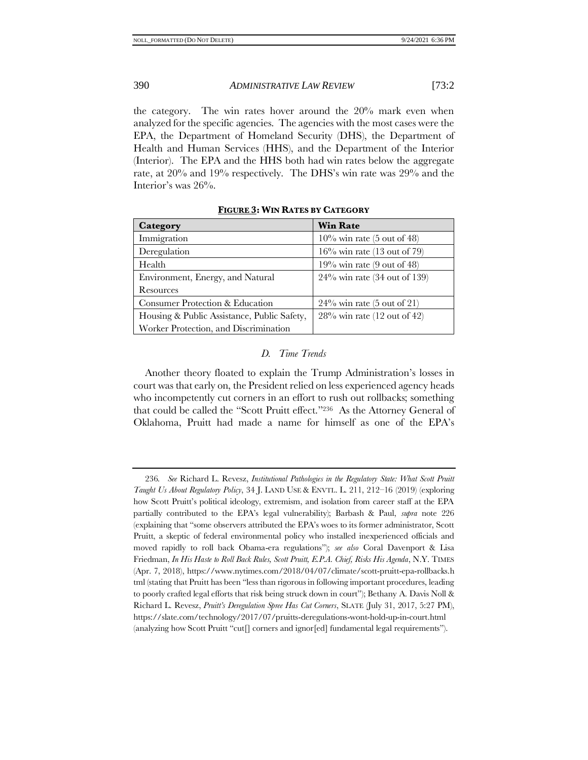the category. The win rates hover around the 20% mark even when analyzed for the specific agencies. The agencies with the most cases were the EPA, the Department of Homeland Security (DHS), the Department of Health and Human Services (HHS), and the Department of the Interior (Interior). The EPA and the HHS both had win rates below the aggregate rate, at 20% and 19% respectively. The DHS's win rate was 29% and the Interior's was 26%.

| Category                                    | <b>Win Rate</b>                 |
|---------------------------------------------|---------------------------------|
| Immigration                                 | $10\%$ win rate (5 out of 48)   |
| Deregulation                                | $16\%$ win rate (13 out of 79)  |
| Health                                      | $19\%$ win rate (9 out of 48)   |
| Environment, Energy, and Natural            | $24\%$ win rate (34 out of 139) |
| Resources                                   |                                 |
| Consumer Protection & Education             | $24\%$ win rate (5 out of 21)   |
| Housing & Public Assistance, Public Safety, | $28\%$ win rate (12 out of 42)  |
| Worker Protection, and Discrimination       |                                 |

**FIGURE 3: WIN RATES BY CATEGORY**

# *D. Time Trends*

<span id="page-37-0"></span>Another theory floated to explain the Trump Administration's losses in court was that early on, the President relied on less experienced agency heads who incompetently cut corners in an effort to rush out rollbacks; something that could be called the "Scott Pruitt effect."236 As the Attorney General of Oklahoma, Pruitt had made a name for himself as one of the EPA's

<sup>236</sup>*. See* Richard L. Revesz, *Institutional Pathologies in the Regulatory State: What Scott Pruitt Taught Us About Regulatory Policy*, 34 J. LAND USE & ENVTL. L. 211, 212–16 (2019) (exploring how Scott Pruitt's political ideology, extremism, and isolation from career staff at the EPA partially contributed to the EPA's legal vulnerability); Barbash & Paul, *supra* note [226](#page-34-1) (explaining that "some observers attributed the EPA's woes to its former administrator, Scott Pruitt, a skeptic of federal environmental policy who installed inexperienced officials and moved rapidly to roll back Obama-era regulations"); *see also* Coral Davenport & Lisa Friedman, *In His Haste to Roll Back Rules, Scott Pruitt, E.P.A. Chief, Risks His Agenda*, N.Y. TIMES (Apr. 7, 2018), https://www.nytimes.com/2018/04/07/climate/scott-pruitt-epa-rollbacks.h tml (stating that Pruitt has been "less than rigorous in following important procedures, leading to poorly crafted legal efforts that risk being struck down in court"); Bethany A. Davis Noll & Richard L. Revesz, *Pruitt's Deregulation Spree Has Cut Corners*, SLATE (July 31, 2017, 5:27 PM), https://slate.com/technology/2017/07/pruitts-deregulations-wont-hold-up-in-court.html (analyzing how Scott Pruitt "cut[] corners and ignor[ed] fundamental legal requirements").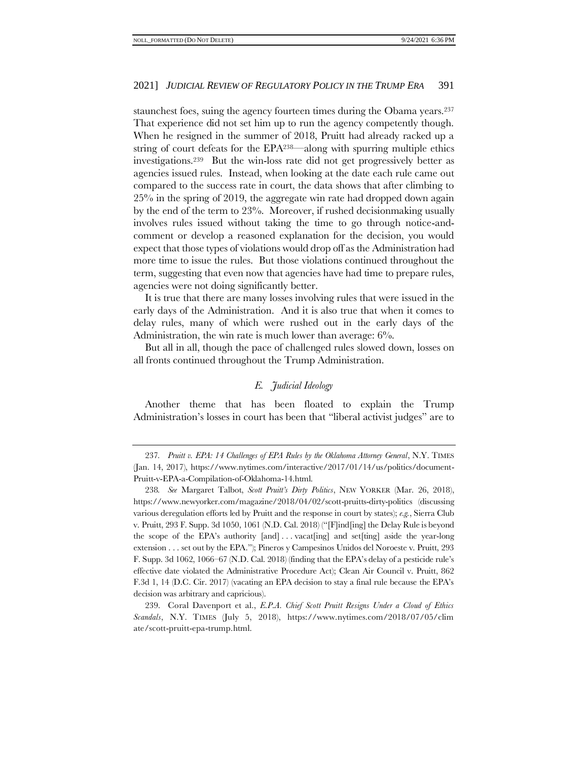staunchest foes, suing the agency fourteen times during the Obama years.<sup>237</sup> That experience did not set him up to run the agency competently though. When he resigned in the summer of 2018, Pruitt had already racked up a string of court defeats for the EPA238—along with spurring multiple ethics investigations.239 But the win-loss rate did not get progressively better as agencies issued rules. Instead, when looking at the date each rule came out compared to the success rate in court, the data shows that after climbing to 25% in the spring of 2019, the aggregate win rate had dropped down again by the end of the term to 23%. Moreover, if rushed decisionmaking usually involves rules issued without taking the time to go through notice-andcomment or develop a reasoned explanation for the decision, you would expect that those types of violations would drop off as the Administration had more time to issue the rules. But those violations continued throughout the term, suggesting that even now that agencies have had time to prepare rules, agencies were not doing significantly better.

It is true that there are many losses involving rules that were issued in the early days of the Administration. And it is also true that when it comes to delay rules, many of which were rushed out in the early days of the Administration, the win rate is much lower than average:  $6\%$ .

<span id="page-38-0"></span>But all in all, though the pace of challenged rules slowed down, losses on all fronts continued throughout the Trump Administration.

# *E. Judicial Ideology*

Another theme that has been floated to explain the Trump Administration's losses in court has been that "liberal activist judges" are to

<sup>237</sup>*. Pruitt v. EPA: 14 Challenges of EPA Rules by the Oklahoma Attorney General*, N.Y. TIMES (Jan. 14, 2017), https://www.nytimes.com/interactive/2017/01/14/us/politics/document-Pruitt-v-EPA-a-Compilation-of-Oklahoma-14.html.

<sup>238</sup>*. See* Margaret Talbot, *Scott Pruitt's Dirty Politics*, NEW YORKER (Mar. 26, 2018), https://www.newyorker.com/magazine/2018/04/02/scott-pruitts-dirty-politics (discussing various deregulation efforts led by Pruitt and the response in court by states); *e.g.*, Sierra Club v. Pruitt, 293 F. Supp. 3d 1050, 1061 (N.D. Cal. 2018) ("[F]ind[ing] the Delay Rule is beyond the scope of the EPA's authority [and] . . . vacat[ing] and set[ting] aside the year-long extension . . . set out by the EPA."); Pineros y Campesinos Unidos del Noroeste v. Pruitt, 293 F. Supp. 3d 1062, 1066–67 (N.D. Cal. 2018) (finding that the EPA's delay of a pesticide rule's effective date violated the Administrative Procedure Act); Clean Air Council v. Pruitt, 862 F.3d 1, 14 (D.C. Cir. 2017) (vacating an EPA decision to stay a final rule because the EPA's decision was arbitrary and capricious).

<sup>239.</sup> Coral Davenport et al., *E.P.A. Chief Scott Pruitt Resigns Under a Cloud of Ethics Scandals*, N.Y. TIMES (July 5, 2018), https://www.nytimes.com/2018/07/05/clim ate/scott-pruitt-epa-trump.html.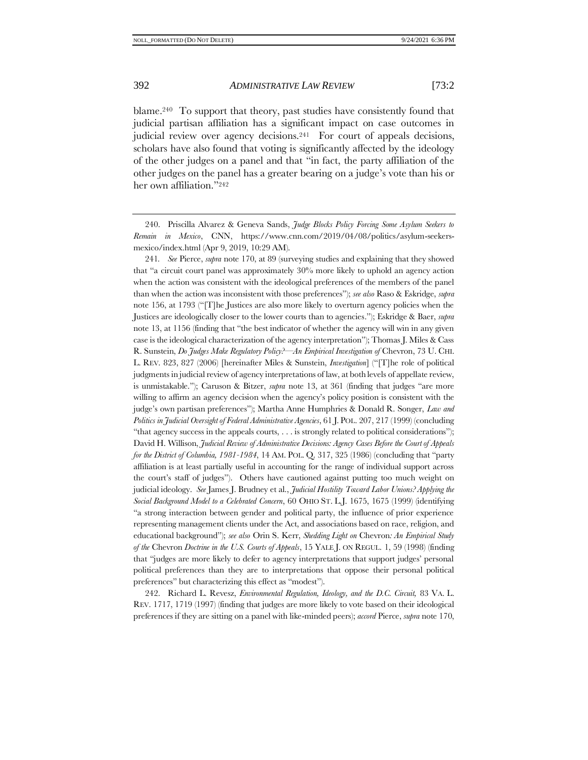<span id="page-39-0"></span>blame.240 To support that theory, past studies have consistently found that judicial partisan affiliation has a significant impact on case outcomes in judicial review over agency decisions.<sup>241</sup> For court of appeals decisions, scholars have also found that voting is significantly affected by the ideology of the other judges on a panel and that "in fact, the party affiliation of the other judges on the panel has a greater bearing on a judge's vote than his or her own affiliation."<sup>242</sup>

<span id="page-39-1"></span>240. Priscilla Alvarez & Geneva Sands, *Judge Blocks Policy Forcing Some Asylum Seekers to Remain in Mexico*, CNN, https://www.cnn.com/2019/04/08/politics/asylum-seekersmexico/index.html (Apr 9, 2019, 10:29 AM).

241*. See* Pierce, *supra* note [170,](#page-25-0) at 89 (surveying studies and explaining that they showed that "a circuit court panel was approximately 30% more likely to uphold an agency action when the action was consistent with the ideological preferences of the members of the panel than when the action was inconsistent with those preferences"); *see also* Raso & Eskridge, *supra*  not[e 156,](#page-24-0) at 1793 ("[T]he Justices are also more likely to overturn agency policies when the Justices are ideologically closer to the lower courts than to agencies."); Eskridge & Baer, *supra* not[e 13](#page-3-2), at 1156 (finding that "the best indicator of whether the agency will win in any given case is the ideological characterization of the agency interpretation"); Thomas J. Miles & Cass R. Sunstein, *Do Judges Make Regulatory Policy?—An Empirical Investigation of* Chevron, 73 U. CHI. L. REV. 823, 827 (2006) [hereinafter Miles & Sunstein, *Investigation*] ("[T]he role of political judgments in judicial review of agency interpretations of law, at both levels of appellate review, is unmistakable."); Caruson & Bitzer, *supra* note [13,](#page-3-2) at 361 (finding that judges "are more willing to affirm an agency decision when the agency's policy position is consistent with the judge's own partisan preferences"); Martha Anne Humphries & Donald R. Songer, *Law and Politics in Judicial Oversight of Federal Administrative Agencies*, 61 J. POL. 207, 217 (1999) (concluding "that agency success in the appeals courts, . . . is strongly related to political considerations"); David H. Willison, *Judicial Review of Administrative Decisions: Agency Cases Before the Court of Appeals for the District of Columbia, 1981-1984*, 14 AM. POL. Q. 317, 325 (1986) (concluding that "party affiliation is at least partially useful in accounting for the range of individual support across the court's staff of judges"). Others have cautioned against putting too much weight on judicial ideology. *See* James J. Brudney et al., *Judicial Hostility Toward Labor Unions? Applying the Social Background Model to a Celebrated Concern*, 60 OHIO ST. L.J. 1675, 1675 (1999) (identifying "a strong interaction between gender and political party, the influence of prior experience representing management clients under the Act, and associations based on race, religion, and educational background"); *see also* Orin S. Kerr, *Shedding Light on* Chevron*: An Empirical Study of the* Chevron *Doctrine in the U.S. Courts of Appeals*, 15 YALE J. ON REGUL. 1, 59 (1998) (finding that "judges are more likely to defer to agency interpretations that support judges' personal political preferences than they are to interpretations that oppose their personal political preferences" but characterizing this effect as "modest").

242. Richard L. Revesz, *Environmental Regulation, Ideology, and the D.C. Circuit,* 83 VA. L. REV. 1717, 1719 (1997) (finding that judges are more likely to vote based on their ideological preferences if they are sitting on a panel with like-minded peers); *accord* Pierce, *supra* not[e 170,](#page-25-0)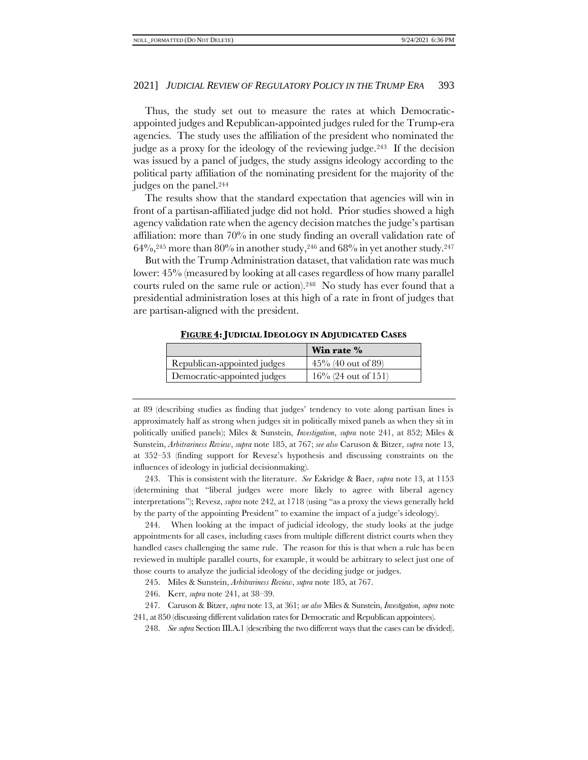Thus, the study set out to measure the rates at which Democraticappointed judges and Republican-appointed judges ruled for the Trump-era agencies. The study uses the affiliation of the president who nominated the judge as a proxy for the ideology of the reviewing judge.<sup>243</sup> If the decision was issued by a panel of judges, the study assigns ideology according to the political party affiliation of the nominating president for the majority of the judges on the panel.<sup>244</sup>

The results show that the standard expectation that agencies will win in front of a partisan-affiliated judge did not hold. Prior studies showed a high agency validation rate when the agency decision matches the judge's partisan affiliation: more than 70% in one study finding an overall validation rate of  $64\%,^{245}$  more than  $80\%$  in another study,<sup>246</sup> and  $68\%$  in yet another study.<sup>247</sup>

But with the Trump Administration dataset, that validation rate was much lower: 45% (measured by looking at all cases regardless of how many parallel courts ruled on the same rule or action). <sup>248</sup> No study has ever found that a presidential administration loses at this high of a rate in front of judges that are partisan-aligned with the president.

|                             | Win rate %             |
|-----------------------------|------------------------|
| Republican-appointed judges | $45\%$ (40 out of 89)  |
| Democratic-appointed judges | $16\%$ (24 out of 151) |

**FIGURE 4:JUDICIAL IDEOLOGY IN ADJUDICATED CASES**

at 89 (describing studies as finding that judges' tendency to vote along partisan lines is approximately half as strong when judges sit in politically mixed panels as when they sit in politically unified panels); Miles & Sunstein, *Investigation*, *supra* note [241,](#page-39-0) at 852; Miles & Sunstein, *Arbitrariness Review*, *supra* note [185,](#page-28-0) at 767; *see also* Caruson & Bitzer, *supra* note [13,](#page-3-2) at 352–53 (finding support for Revesz's hypothesis and discussing constraints on the influences of ideology in judicial decisionmaking).

243. This is consistent with the literature. *See* Eskridge & Baer, *supra* note [13,](#page-3-2) at 1153 (determining that "liberal judges were more likely to agree with liberal agency interpretations"); Revesz, *supra* not[e 242,](#page-39-1) at 1718 (using "as a proxy the views generally held by the party of the appointing President" to examine the impact of a judge's ideology).

244. When looking at the impact of judicial ideology, the study looks at the judge appointments for all cases, including cases from multiple different district courts when they handled cases challenging the same rule. The reason for this is that when a rule has been reviewed in multiple parallel courts, for example, it would be arbitrary to select just one of those courts to analyze the judicial ideology of the deciding judge or judges.

245. Miles & Sunstein, *Arbitrariness Review*, *supra* note [185,](#page-28-0) at 767.

246. Kerr, *supra* note [241,](#page-39-0) at 38–39.

247. Caruson & Bitzer, *supra* not[e 13,](#page-3-2) at 361; *see also* Miles & Sunstein, *Investigation*, *supra* note [241,](#page-39-0) at 850 (discussing different validation rates for Democratic and Republican appointees).

248. *See supra* Section III.A.[1](#page-32-0) (describing the two different ways that the cases can be divided).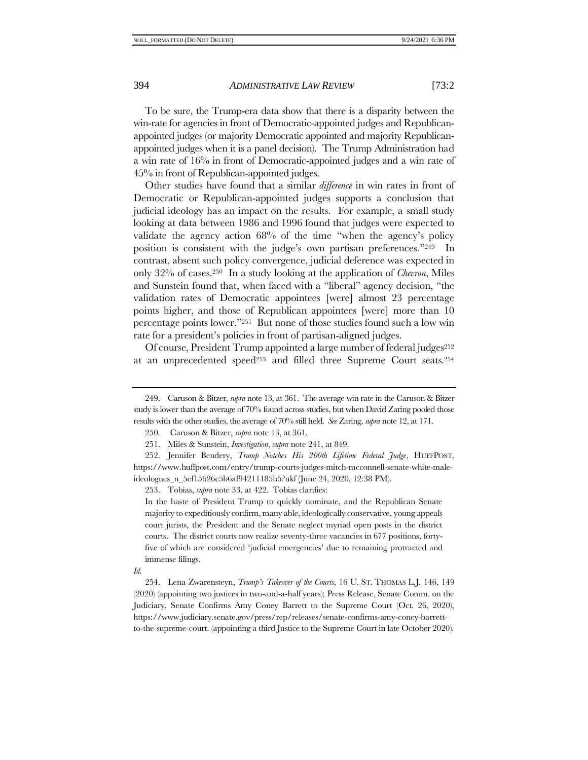To be sure, the Trump-era data show that there is a disparity between the win-rate for agencies in front of Democratic-appointed judges and Republicanappointed judges (or majority Democratic appointed and majority Republicanappointed judges when it is a panel decision). The Trump Administration had a win rate of 16% in front of Democratic-appointed judges and a win rate of 45% in front of Republican-appointed judges.

Other studies have found that a similar *difference* in win rates in front of Democratic or Republican-appointed judges supports a conclusion that judicial ideology has an impact on the results. For example, a small study looking at data between 1986 and 1996 found that judges were expected to validate the agency action 68% of the time "when the agency's policy position is consistent with the judge's own partisan preferences."249 In contrast, absent such policy convergence, judicial deference was expected in only 32% of cases.250 In a study looking at the application of *Chevron*, Miles and Sunstein found that, when faced with a "liberal" agency decision, "the validation rates of Democratic appointees [were] almost 23 percentage points higher, and those of Republican appointees [were] more than 10 percentage points lower."251 But none of those studies found such a low win rate for a president's policies in front of partisan-aligned judges.

Of course, President Trump appointed a large number of federal judges<sup>252</sup> at an unprecedented speed<sup>253</sup> and filled three Supreme Court seats.<sup>254</sup>

253. Tobias, *supra* not[e 33,](#page-7-1) at 422. Tobias clarifies:

In the haste of President Trump to quickly nominate, and the Republican Senate majority to expeditiously confirm, many able, ideologically conservative, young appeals court jurists, the President and the Senate neglect myriad open posts in the district courts. The district courts now realize seventy-three vacancies in 677 positions, fortyfive of which are considered 'judicial emergencies' due to remaining protracted and immense filings.

*Id.* 

254. Lena Zwarensteyn, *Trump's Takeover of the Courts*, 16 U. ST. THOMAS L.J. 146, 149 (2020) (appointing two justices in two-and-a-half years); Press Release, Senate Comm. on the Judiciary, Senate Confirms Amy Coney Barrett to the Supreme Court (Oct. 26, 2020), https://www.judiciary.senate.gov/press/rep/releases/senate-confirms-amy-coney-barrettto-the-supreme-court. (appointing a third Justice to the Supreme Court in late October 2020).

<sup>249.</sup> Caruson & Bitzer, *supra* not[e 13,](#page-3-2) at 361. The average win rate in the Caruson & Bitzer study is lower than the average of 70% found across studies, but when David Zaring pooled those results with the other studies, the average of 70% still held. *See* Zaring, *supra* not[e 12,](#page-3-0) at 171.

<span id="page-41-0"></span><sup>250</sup>*.* Caruson & Bitzer, *supra* not[e 13,](#page-3-2) at 361.

<sup>251.</sup> Miles & Sunstein, *Investigation*, *supra* not[e 241,](#page-39-0) at 849.

<sup>252.</sup> Jennifer Bendery, *Trump Notches His 200th Lifetime Federal Judge*, HUFFPOST, https://www.huffpost.com/entry/trump-courts-judges-mitch-mcconnell-senate-white-maleideologues\_n\_5ef15626c5b6af94211185b5?ukf (June 24, 2020, 12:38 PM).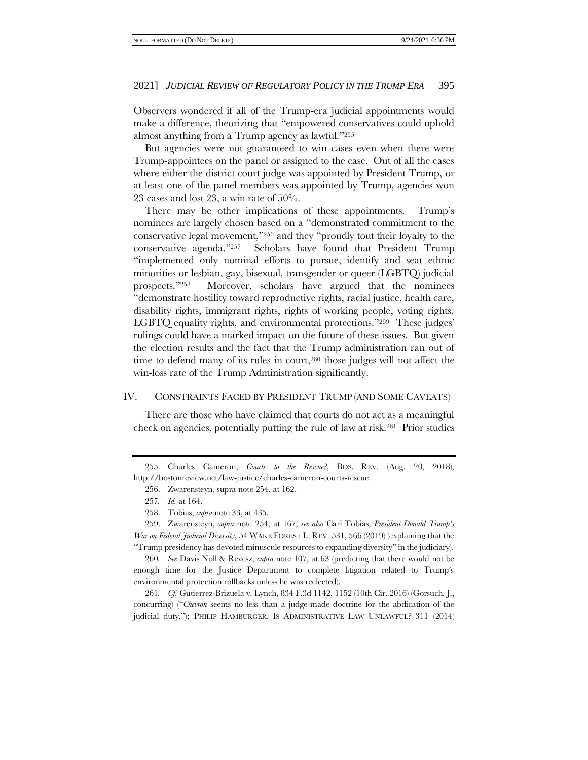Observers wondered if all of the Trump-era judicial appointments would make a difference, theorizing that "empowered conservatives could uphold almost anything from a Trump agency as lawful."<sup>255</sup>

But agencies were not guaranteed to win cases even when there were Trump-appointees on the panel or assigned to the case. Out of all the cases where either the district court judge was appointed by President Trump, or at least one of the panel members was appointed by Trump, agencies won 23 cases and lost 23, a win rate of 50%.

There may be other implications of these appointments. Trump's nominees are largely chosen based on a "demonstrated commitment to the conservative legal movement,"<sup>256</sup> and they "proudly tout their loyalty to the conservative agenda."257 Scholars have found that President Trump "implemented only nominal efforts to pursue, identify and seat ethnic minorities or lesbian, gay, bisexual, transgender or queer (LGBTQ) judicial prospects."258 Moreover, scholars have argued that the nominees "demonstrate hostility toward reproductive rights, racial justice, health care, disability rights, immigrant rights, rights of working people, voting rights, LGBTQ equality rights, and environmental protections."259 These judges' rulings could have a marked impact on the future of these issues. But given the election results and the fact that the Trump administration ran out of time to defend many of its rules in court, <sup>260</sup> those judges will not affect the win-loss rate of the Trump Administration significantly.

# <span id="page-42-0"></span>IV. CONSTRAINTS FACED BY PRESIDENT TRUMP (AND SOME CAVEATS)

There are those who have claimed that courts do not act as a meaningful check on agencies, potentially putting the rule of law at risk.261 Prior studies

260*. See* Davis Noll & Revesz, *supra* not[e 107,](#page-18-0) at 63 (predicting that there would not be enough time for the Justice Department to complete litigation related to Trump's environmental protection rollbacks unless he was reelected).

261*. Cf.* Gutierrez-Brizuela v. Lynch, 834 F.3d 1142, 1152 (10th Cir. 2016) (Gorsuch, J., concurring) ("*Chevron* seems no less than a judge-made doctrine for the abdication of the judicial duty."); PHILIP HAMBURGER, IS ADMINISTRATIVE LAW UNLAWFUL? 311 (2014)

<sup>255.</sup> Charles Cameron, *Courts to the Rescue?*, BOS. REV. (Aug. 20, 2018), http://bostonreview.net/law-justice/charles-cameron-courts-rescue.

<sup>256.</sup> Zwarensteyn*,* supra not[e 254,](#page-41-0) at 162.

<sup>257</sup>*. Id.* at 164.

<sup>258.</sup> Tobias, *supra* note [33,](#page-7-1) at 435.

<sup>259.</sup> Zwarensteyn, *supra* note [254,](#page-41-0) at 167; *see also* Carl Tobias, *President Donald Trump's War on Federal Judicial Diversity*, 54 WAKE FOREST L. REV. 531, 566 (2019) (explaining that the "Trump presidency has devoted minuscule resources to expanding diversity" in the judiciary).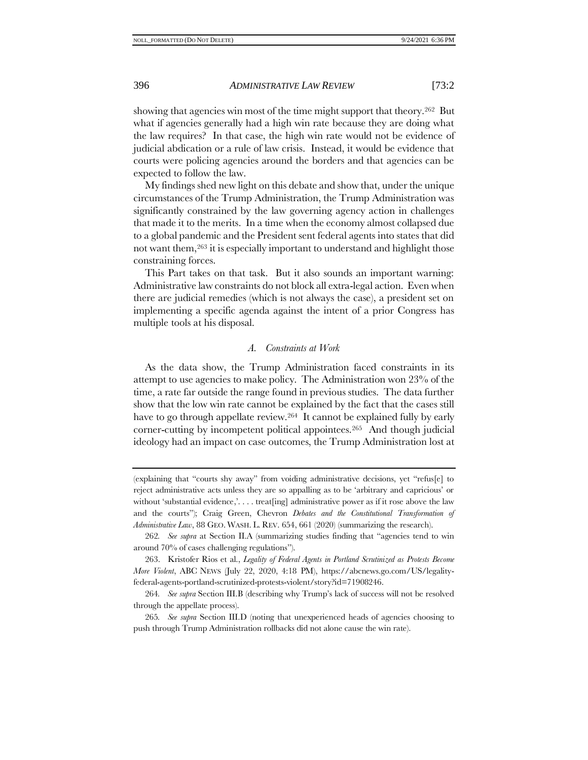showing that agencies win most of the time might support that theory.<sup>262</sup> But what if agencies generally had a high win rate because they are doing what the law requires? In that case, the high win rate would not be evidence of judicial abdication or a rule of law crisis. Instead, it would be evidence that courts were policing agencies around the borders and that agencies can be expected to follow the law.

My findings shed new light on this debate and show that, under the unique circumstances of the Trump Administration, the Trump Administration was significantly constrained by the law governing agency action in challenges that made it to the merits. In a time when the economy almost collapsed due to a global pandemic and the President sent federal agents into states that did not want them,<sup>263</sup> it is especially important to understand and highlight those constraining forces.

This Part takes on that task. But it also sounds an important warning: Administrative law constraints do not block all extra-legal action. Even when there are judicial remedies (which is not always the case), a president set on implementing a specific agenda against the intent of a prior Congress has multiple tools at his disposal.

## *A. Constraints at Work*

As the data show, the Trump Administration faced constraints in its attempt to use agencies to make policy. The Administration won 23% of the time, a rate far outside the range found in previous studies. The data further show that the low win rate cannot be explained by the fact that the cases still have to go through appellate review.<sup>264</sup> It cannot be explained fully by early corner-cutting by incompetent political appointees.265 And though judicial ideology had an impact on case outcomes, the Trump Administration lost at

<sup>(</sup>explaining that "courts shy away" from voiding administrative decisions, yet "refus[e] to reject administrative acts unless they are so appalling as to be 'arbitrary and capricious' or without 'substantial evidence,'.... treat [ing] administrative power as if it rose above the law and the courts"); Craig Green, Chevron *Debates and the Constitutional Transformation of Administrative Law*, 88 GEO. WASH. L. REV. 654, 661 (2020) (summarizing the research).

<sup>262</sup>*. See supra* at Section [II](#page-24-2)[.A](#page-24-1) (summarizing studies finding that "agencies tend to win around 70% of cases challenging regulations").

<sup>263.</sup> Kristofer Rios et al., *Legality of Federal Agents in Portland Scrutinized as Protests Become More Violent*, ABC NEWS (July 22, 2020, 4:18 PM), https://abcnews.go.com/US/legalityfederal-agents-portland-scrutinized-protests-violent/story?id=71908246.

<sup>264</sup>*. See supra* Sectio[n III](#page-31-1)[.B](#page-34-0) (describing why Trump's lack of success will not be resolved through the appellate process).

<sup>265</sup>*. See supra* Section III[.D](#page-37-0) (noting that unexperienced heads of agencies choosing to push through Trump Administration rollbacks did not alone cause the win rate).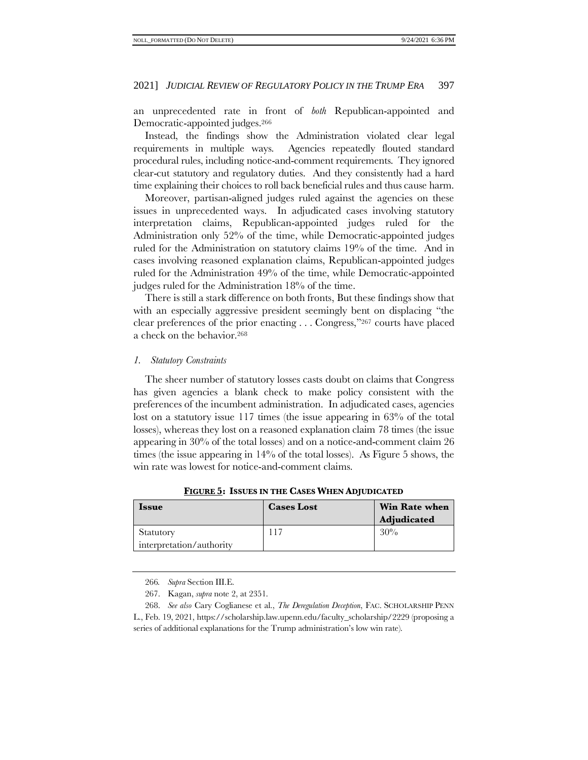an unprecedented rate in front of *both* Republican-appointed and Democratic-appointed judges.<sup>266</sup>

Instead, the findings show the Administration violated clear legal requirements in multiple ways. Agencies repeatedly flouted standard procedural rules, including notice-and-comment requirements. They ignored clear-cut statutory and regulatory duties. And they consistently had a hard time explaining their choices to roll back beneficial rules and thus cause harm.

Moreover, partisan-aligned judges ruled against the agencies on these issues in unprecedented ways. In adjudicated cases involving statutory interpretation claims, Republican-appointed judges ruled for the Administration only 52% of the time, while Democratic-appointed judges ruled for the Administration on statutory claims 19% of the time. And in cases involving reasoned explanation claims, Republican-appointed judges ruled for the Administration 49% of the time, while Democratic-appointed judges ruled for the Administration 18% of the time.

There is still a stark difference on both fronts, But these findings show that with an especially aggressive president seemingly bent on displacing "the clear preferences of the prior enacting . . . Congress,"<sup>267</sup> courts have placed a check on the behavior.<sup>268</sup>

# *1. Statutory Constraints*

The sheer number of statutory losses casts doubt on claims that Congress has given agencies a blank check to make policy consistent with the preferences of the incumbent administration. In adjudicated cases, agencies lost on a statutory issue 117 times (the issue appearing in 63% of the total losses), whereas they lost on a reasoned explanation claim 78 times (the issue appearing in 30% of the total losses) and on a notice-and-comment claim 26 times (the issue appearing in  $14\%$  of the total losses). As Figure 5 shows, the win rate was lowest for notice-and-comment claims.

| <b>Issue</b>                          | <b>Cases Lost</b> | <b>Win Rate when</b><br>Adjudicated |
|---------------------------------------|-------------------|-------------------------------------|
| Statutory<br>interpretation/authority |                   | 30%                                 |

**FIGURE 5: ISSUES IN THE CASES WHEN ADJUDICATED**

<sup>266</sup>*. Supra* Section III[.E.](#page-38-0)

<sup>267.</sup> Kagan, *supra* note [2,](#page-2-1) at 2351.

<sup>268.</sup> *See also* Cary Coglianese et al., *The Deregulation Deception*, FAC. SCHOLARSHIP PENN

L., Feb. 19, 2021, https://scholarship.law.upenn.edu/faculty\_scholarship/2229 (proposing a series of additional explanations for the Trump administration's low win rate).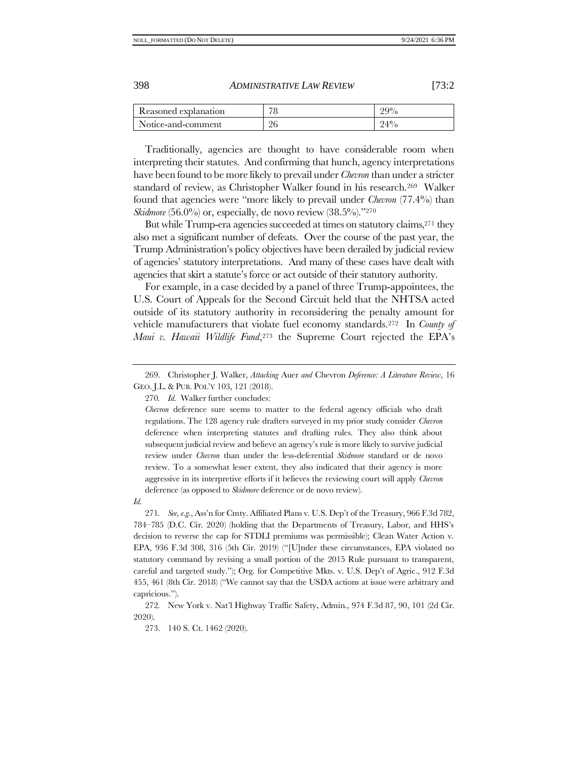| Reasoned explanation | 70 | $99\%$ |
|----------------------|----|--------|
| Notice-and-comment   | 26 | 940.   |

Traditionally, agencies are thought to have considerable room when interpreting their statutes. And confirming that hunch, agency interpretations have been found to be more likely to prevail under *Chevron* than under a stricter standard of review, as Christopher Walker found in his research.269 Walker found that agencies were "more likely to prevail under *Chevron* (77.4%) than *Skidmore* (56.0%) or, especially, de novo review (38.5%)."270

But while Trump-era agencies succeeded at times on statutory claims,<sup>271</sup> they also met a significant number of defeats. Over the course of the past year, the Trump Administration's policy objectives have been derailed by judicial review of agencies' statutory interpretations. And many of these cases have dealt with agencies that skirt a statute's force or act outside of their statutory authority.

For example, in a case decided by a panel of three Trump-appointees, the U.S. Court of Appeals for the Second Circuit held that the NHTSA acted outside of its statutory authority in reconsidering the penalty amount for vehicle manufacturers that violate fuel economy standards.<sup>272</sup> In *County of Maui v. Hawaii Wildlife Fund*, <sup>273</sup> the Supreme Court rejected the EPA's

271*. See, e.g.*, Ass'n for Cmty. Affiliated Plans v. U.S. Dep't of the Treasury, 966 F.3d 782, 784–785 (D.C. Cir. 2020) (holding that the Departments of Treasury, Labor, and HHS's decision to reverse the cap for STDLI premiums was permissible); Clean Water Action v. EPA, 936 F.3d 308, 316 (5th Cir. 2019) ("[U]nder these circumstances, EPA violated no statutory command by revising a small portion of the 2015 Rule pursuant to transparent, careful and targeted study."); Org. for Competitive Mkts. v. U.S. Dep't of Agric., 912 F.3d 455, 461 (8th Cir. 2018) ("We cannot say that the USDA actions at issue were arbitrary and capricious.").

272*.* New York v. Nat'l Highway Traffic Safety, Admin., 974 F.3d 87, 90, 101 (2d Cir. 2020).

273. 140 S. Ct. 1462 (2020).

<sup>269.</sup> Christopher J. Walker, *Attacking* Auer *and* Chevron *Deference: A Literature Review*, 16 GEO. J.L. & PUB. POL'Y 103, 121 (2018).

<sup>270</sup>*. Id.* Walker further concludes:

*Chevron* deference sure seems to matter to the federal agency officials who draft regulations. The 128 agency rule drafters surveyed in my prior study consider *Chevron* deference when interpreting statutes and drafting rules. They also think about subsequent judicial review and believe an agency's rule is more likely to survive judicial review under *Chevron* than under the less-deferential *Skidmore* standard or de novo review. To a somewhat lesser extent, they also indicated that their agency is more aggressive in its interpretive efforts if it believes the reviewing court will apply *Chevron* deference (as opposed to *Skidmore* deference or de novo review).

*Id.*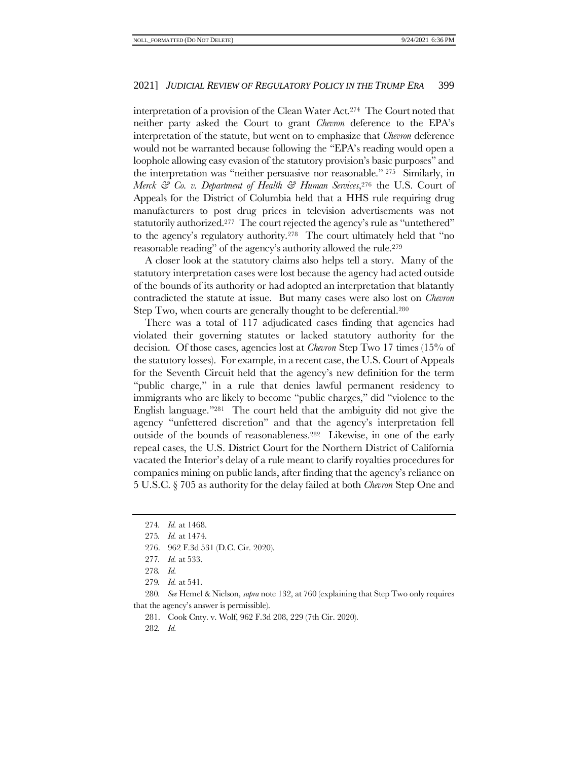interpretation of a provision of the Clean Water Act.274 The Court noted that neither party asked the Court to grant *Chevron* deference to the EPA's interpretation of the statute, but went on to emphasize that *Chevron* deference would not be warranted because following the "EPA's reading would open a loophole allowing easy evasion of the statutory provision's basic purposes" and the interpretation was "neither persuasive nor reasonable." <sup>275</sup> Similarly, in *Merck & Co. v. Department of Health & Human Services*, <sup>276</sup> the U.S. Court of Appeals for the District of Columbia held that a HHS rule requiring drug manufacturers to post drug prices in television advertisements was not statutorily authorized.<sup>277</sup> The court rejected the agency's rule as "untethered" to the agency's regulatory authority.<sup>278</sup> The court ultimately held that "no reasonable reading" of the agency's authority allowed the rule.<sup>279</sup>

A closer look at the statutory claims also helps tell a story. Many of the statutory interpretation cases were lost because the agency had acted outside of the bounds of its authority or had adopted an interpretation that blatantly contradicted the statute at issue. But many cases were also lost on *Chevron* Step Two, when courts are generally thought to be deferential.<sup>280</sup>

There was a total of 117 adjudicated cases finding that agencies had violated their governing statutes or lacked statutory authority for the decision. Of those cases, agencies lost at *Chevron* Step Two 17 times (15% of the statutory losses). For example, in a recent case, the U.S. Court of Appeals for the Seventh Circuit held that the agency's new definition for the term "public charge," in a rule that denies lawful permanent residency to immigrants who are likely to become "public charges," did "violence to the English language."281 The court held that the ambiguity did not give the agency "unfettered discretion" and that the agency's interpretation fell outside of the bounds of reasonableness.282 Likewise, in one of the early repeal cases, the U.S. District Court for the Northern District of California vacated the Interior's delay of a rule meant to clarify royalties procedures for companies mining on public lands, after finding that the agency's reliance on 5 U.S.C. § 705 as authority for the delay failed at both *Chevron* Step One and

280*. See* Hemel & Nielson, *supra* not[e 132,](#page-21-0) at 760 (explaining that Step Two only requires that the agency's answer is permissible).

281. Cook Cnty. v. Wolf, 962 F.3d 208, 229 (7th Cir. 2020).

282*. Id.*

<sup>274</sup>*. Id.* at 1468.

<sup>275</sup>*. Id.* at 1474.

<sup>276.</sup> 962 F.3d 531 (D.C. Cir. 2020).

<sup>277</sup>*. Id.* at 533.

<sup>278</sup>*. Id.*

<sup>279</sup>*. Id.* at 541.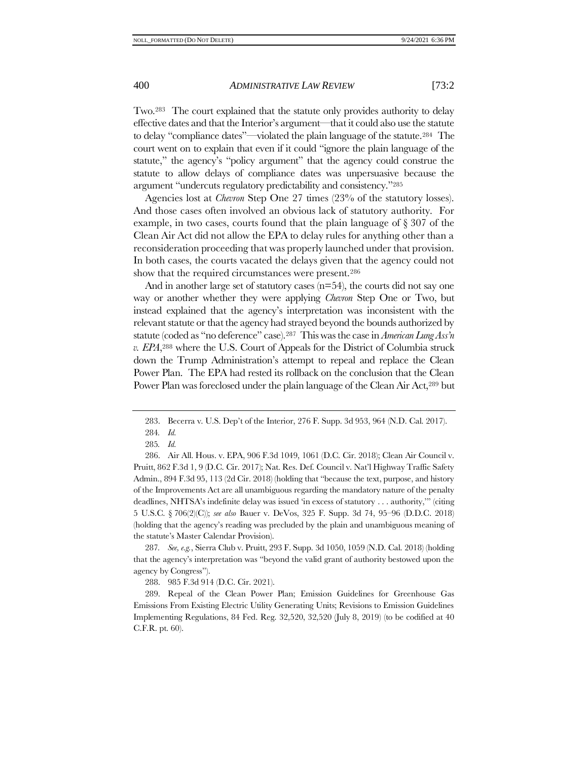Two.283 The court explained that the statute only provides authority to delay effective dates and that the Interior's argument—that it could also use the statute to delay "compliance dates"—violated the plain language of the statute.284 The court went on to explain that even if it could "ignore the plain language of the statute," the agency's "policy argument" that the agency could construe the statute to allow delays of compliance dates was unpersuasive because the argument "undercuts regulatory predictability and consistency."<sup>285</sup>

Agencies lost at *Chevron* Step One 27 times (23% of the statutory losses). And those cases often involved an obvious lack of statutory authority. For example, in two cases, courts found that the plain language of § 307 of the Clean Air Act did not allow the EPA to delay rules for anything other than a reconsideration proceeding that was properly launched under that provision. In both cases, the courts vacated the delays given that the agency could not show that the required circumstances were present.<sup>286</sup>

And in another large set of statutory cases  $(n=54)$ , the courts did not say one way or another whether they were applying *Chevron* Step One or Two, but instead explained that the agency's interpretation was inconsistent with the relevant statute or that the agency had strayed beyond the bounds authorized by statute (coded as "no deference" case). <sup>287</sup> This was the case in *American Lung Ass'n v. EPA*, <sup>288</sup> where the U.S. Court of Appeals for the District of Columbia struck down the Trump Administration's attempt to repeal and replace the Clean Power Plan. The EPA had rested its rollback on the conclusion that the Clean Power Plan was foreclosed under the plain language of the Clean Air Act,<sup>289</sup> but

287*. See, e.g.*, Sierra Club v. Pruitt, 293 F. Supp. 3d 1050, 1059 (N.D. Cal. 2018) (holding that the agency's interpretation was "beyond the valid grant of authority bestowed upon the agency by Congress").

288. 985 F.3d 914 (D.C. Cir. 2021).

289. Repeal of the Clean Power Plan; Emission Guidelines for Greenhouse Gas Emissions From Existing Electric Utility Generating Units; Revisions to Emission Guidelines Implementing Regulations, 84 Fed. Reg. 32,520, 32,520 (July 8, 2019) (to be codified at 40 C.F.R. pt. 60).

<sup>283.</sup> Becerra v. U.S. Dep't of the Interior, 276 F. Supp. 3d 953, 964 (N.D. Cal. 2017).

<sup>284</sup>*. Id.*

<sup>285</sup>*. Id.*

<sup>286.</sup> Air All. Hous. v. EPA, 906 F.3d 1049, 1061 (D.C. Cir. 2018); Clean Air Council v. Pruitt, 862 F.3d 1, 9 (D.C. Cir. 2017); Nat. Res. Def. Council v. Nat'l Highway Traffic Safety Admin., 894 F.3d 95, 113 (2d Cir. 2018) (holding that "because the text, purpose, and history of the Improvements Act are all unambiguous regarding the mandatory nature of the penalty deadlines, NHTSA's indefinite delay was issued 'in excess of statutory . . . authority,'" (citing 5 U.S.C. § 706(2)(C)); *see also* Bauer v. DeVos, 325 F. Supp. 3d 74, 95–96 (D.D.C. 2018) (holding that the agency's reading was precluded by the plain and unambiguous meaning of the statute's Master Calendar Provision).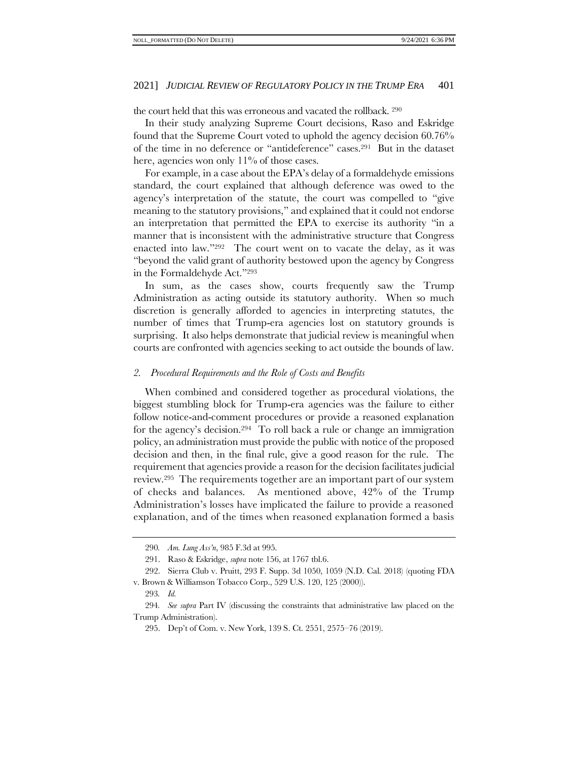the court held that this was erroneous and vacated the rollback. <sup>290</sup>

In their study analyzing Supreme Court decisions, Raso and Eskridge found that the Supreme Court voted to uphold the agency decision 60.76% of the time in no deference or "antideference" cases.291 But in the dataset here, agencies won only 11% of those cases.

For example, in a case about the EPA's delay of a formaldehyde emissions standard, the court explained that although deference was owed to the agency's interpretation of the statute, the court was compelled to "give meaning to the statutory provisions," and explained that it could not endorse an interpretation that permitted the EPA to exercise its authority "in a manner that is inconsistent with the administrative structure that Congress enacted into law."292 The court went on to vacate the delay, as it was "beyond the valid grant of authority bestowed upon the agency by Congress in the Formaldehyde Act."<sup>293</sup>

In sum, as the cases show, courts frequently saw the Trump Administration as acting outside its statutory authority. When so much discretion is generally afforded to agencies in interpreting statutes, the number of times that Trump-era agencies lost on statutory grounds is surprising. It also helps demonstrate that judicial review is meaningful when courts are confronted with agencies seeking to act outside the bounds of law.

# *2. Procedural Requirements and the Role of Costs and Benefits*

When combined and considered together as procedural violations, the biggest stumbling block for Trump-era agencies was the failure to either follow notice-and-comment procedures or provide a reasoned explanation for the agency's decision.294 To roll back a rule or change an immigration policy, an administration must provide the public with notice of the proposed decision and then, in the final rule, give a good reason for the rule. The requirement that agencies provide a reason for the decision facilitates judicial review.295 The requirements together are an important part of our system of checks and balances. As mentioned above, 42% of the Trump Administration's losses have implicated the failure to provide a reasoned explanation, and of the times when reasoned explanation formed a basis

<sup>290</sup>*. Am. Lung Ass'n*, 985 F.3d at 995.

<sup>291.</sup> Raso & Eskridge, *supra* not[e 156,](#page-24-0) at 1767 tbl.6.

<sup>292.</sup> Sierra Club v. Pruitt, 293 F. Supp. 3d 1050, 1059 (N.D. Cal. 2018) (quoting FDA v. Brown & Williamson Tobacco Corp., 529 U.S. 120, 125 (2000)).

<sup>293</sup>*. Id.*

<sup>294</sup>*. See supra* Part [IV](#page-42-0) (discussing the constraints that administrative law placed on the Trump Administration).

<sup>295.</sup> Dep't of Com. v. New York, 139 S. Ct. 2551, 2575–76 (2019).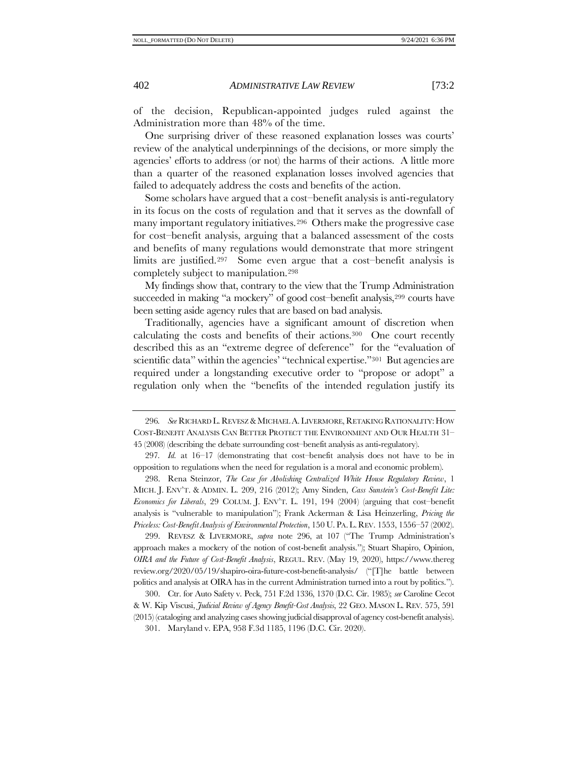of the decision, Republican-appointed judges ruled against the Administration more than 48% of the time.

One surprising driver of these reasoned explanation losses was courts' review of the analytical underpinnings of the decisions, or more simply the agencies' efforts to address (or not) the harms of their actions. A little more than a quarter of the reasoned explanation losses involved agencies that failed to adequately address the costs and benefits of the action.

<span id="page-49-0"></span>Some scholars have argued that a cost–benefit analysis is anti-regulatory in its focus on the costs of regulation and that it serves as the downfall of many important regulatory initiatives.296 Others make the progressive case for cost–benefit analysis, arguing that a balanced assessment of the costs and benefits of many regulations would demonstrate that more stringent limits are justified.297 Some even argue that a cost–benefit analysis is completely subject to manipulation.<sup>298</sup>

My findings show that, contrary to the view that the Trump Administration succeeded in making "a mockery" of good cost-benefit analysis,<sup>299</sup> courts have been setting aside agency rules that are based on bad analysis.

Traditionally, agencies have a significant amount of discretion when calculating the costs and benefits of their actions.300 One court recently described this as an "extreme degree of deference" for the "evaluation of scientific data" within the agencies' "technical expertise."<sup>301</sup> But agencies are required under a longstanding executive order to "propose or adopt" a regulation only when the "benefits of the intended regulation justify its

297*. Id.* at 16–17 (demonstrating that cost–benefit analysis does not have to be in opposition to regulations when the need for regulation is a moral and economic problem).

298. Rena Steinzor, *The Case for Abolishing Centralized White House Regulatory Review*, 1 MICH. J. ENV'T. & ADMIN. L. 209, 216 (2012); Amy Sinden, *Cass Sunstein's Cost-Benefit Lite: Economics for Liberals*, 29 COLUM. J. ENV'T. L. 191, 194 (2004) (arguing that cost–benefit analysis is "vulnerable to manipulation"); Frank Ackerman & Lisa Heinzerling, *Pricing the Priceless: Cost-Benefit Analysis of Environmental Protection*, 150 U. PA.L.REV. 1553, 1556–57 (2002).

299. REVESZ & LIVERMORE, *supra* note [296,](#page-49-0) at 107 ("The Trump Administration's approach makes a mockery of the notion of cost-benefit analysis."); Stuart Shapiro, Opinion, *OIRA and the Future of Cost-Benefit Analysis*, REGUL. REV. (May 19, 2020), https://www.thereg review.org/2020/05/19/shapiro-oira-future-cost-benefit-analysis/ ("[T]he battle between politics and analysis at OIRA has in the current Administration turned into a rout by politics.").

300. Ctr. for Auto Safety v. Peck, 751 F.2d 1336, 1370 (D.C. Cir. 1985); *see* Caroline Cecot & W. Kip Viscusi, *Judicial Review of Agency Benefit-Cost Analysis*, 22 GEO. MASON L. REV. 575, 591 (2015) (cataloging and analyzing cases showing judicial disapproval of agency cost-benefit analysis).

301. Maryland v. EPA, 958 F.3d 1185, 1196 (D.C. Cir. 2020).

<sup>296</sup>*. See* RICHARD L. REVESZ &MICHAEL A.LIVERMORE, RETAKING RATIONALITY: HOW COST-BENEFIT ANALYSIS CAN BETTER PROTECT THE ENVIRONMENT AND OUR HEALTH 31– 45 (2008) (describing the debate surrounding cost–benefit analysis as anti-regulatory).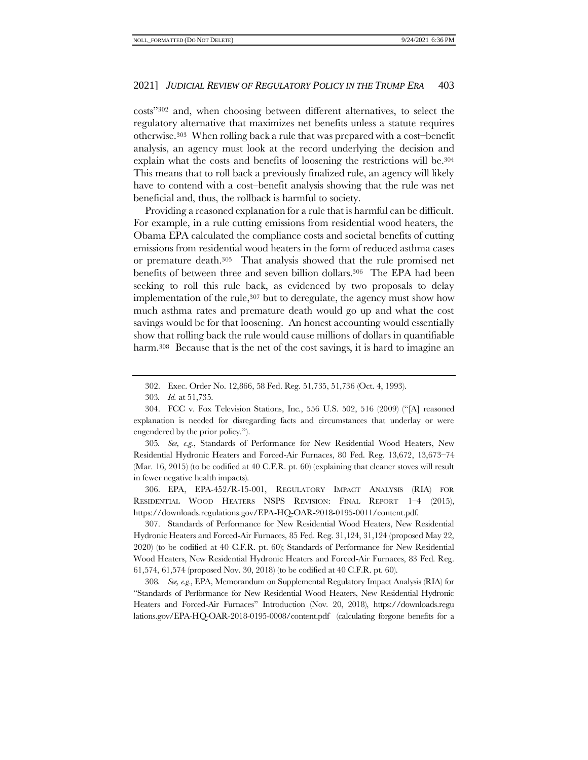costs"<sup>302</sup> and, when choosing between different alternatives, to select the regulatory alternative that maximizes net benefits unless a statute requires otherwise.303 When rolling back a rule that was prepared with a cost–benefit analysis, an agency must look at the record underlying the decision and explain what the costs and benefits of loosening the restrictions will be.<sup>304</sup> This means that to roll back a previously finalized rule, an agency will likely have to contend with a cost–benefit analysis showing that the rule was net beneficial and, thus, the rollback is harmful to society.

Providing a reasoned explanation for a rule that is harmful can be difficult. For example, in a rule cutting emissions from residential wood heaters, the Obama EPA calculated the compliance costs and societal benefits of cutting emissions from residential wood heaters in the form of reduced asthma cases or premature death.305 That analysis showed that the rule promised net benefits of between three and seven billion dollars.<sup>306</sup> The EPA had been seeking to roll this rule back, as evidenced by two proposals to delay implementation of the rule,<sup>307</sup> but to deregulate, the agency must show how much asthma rates and premature death would go up and what the cost savings would be for that loosening. An honest accounting would essentially show that rolling back the rule would cause millions of dollars in quantifiable harm.<sup>308</sup> Because that is the net of the cost savings, it is hard to imagine an

305*. See, e.g.*, Standards of Performance for New Residential Wood Heaters, New Residential Hydronic Heaters and Forced-Air Furnaces, 80 Fed. Reg. 13,672, 13,673–74 (Mar. 16, 2015) (to be codified at 40 C.F.R. pt. 60) (explaining that cleaner stoves will result in fewer negative health impacts).

306. EPA, EPA-452/R-15-001, REGULATORY IMPACT ANALYSIS (RIA) FOR RESIDENTIAL WOOD HEATERS NSPS REVISION: FINAL REPORT 1–4 (2015), https://downloads.regulations.gov/EPA-HQ-OAR-2018-0195-0011/content.pdf.

307. Standards of Performance for New Residential Wood Heaters, New Residential Hydronic Heaters and Forced-Air Furnaces, 85 Fed. Reg. 31,124, 31,124 (proposed May 22, 2020) (to be codified at 40 C.F.R. pt. 60); Standards of Performance for New Residential Wood Heaters, New Residential Hydronic Heaters and Forced-Air Furnaces, 83 Fed. Reg. 61,574, 61,574 (proposed Nov. 30, 2018) (to be codified at 40 C.F.R. pt. 60).

308*. See, e.g.*, EPA, Memorandum on Supplemental Regulatory Impact Analysis (RIA) for "Standards of Performance for New Residential Wood Heaters, New Residential Hydronic Heaters and Forced-Air Furnaces" Introduction (Nov. 20, 2018), [https://downloads.regu](https://downloads.regulations.gov/EPA-HQ-OAR-2018-0195-0008/content.pdf) [lations.gov/EPA-HQ-OAR-2018-0195-0008/content.pdf](https://downloads.regulations.gov/EPA-HQ-OAR-2018-0195-0008/content.pdf) (calculating forgone benefits for a

<sup>302.</sup> Exec. Order No. 12,866, 58 Fed. Reg. 51,735, 51,736 (Oct. 4, 1993).

<sup>303</sup>*. Id.* at 51,735.

<sup>304.</sup> FCC v. Fox Television Stations, Inc., 556 U.S. 502, 516 (2009) ("[A] reasoned explanation is needed for disregarding facts and circumstances that underlay or were engendered by the prior policy.").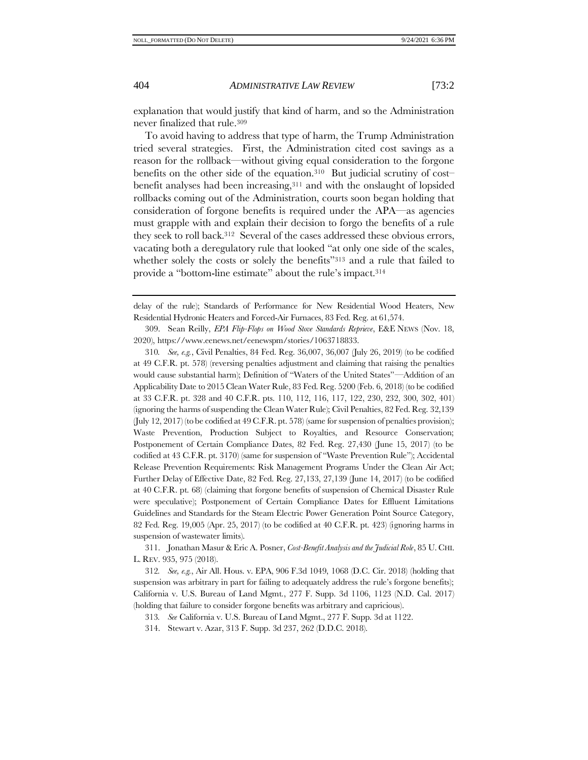explanation that would justify that kind of harm, and so the Administration never finalized that rule.<sup>309</sup>

To avoid having to address that type of harm, the Trump Administration tried several strategies. First, the Administration cited cost savings as a reason for the rollback—without giving equal consideration to the forgone benefits on the other side of the equation.<sup>310</sup> But judicial scrutiny of cost– benefit analyses had been increasing,<sup>311</sup> and with the onslaught of lopsided rollbacks coming out of the Administration, courts soon began holding that consideration of forgone benefits is required under the APA—as agencies must grapple with and explain their decision to forgo the benefits of a rule they seek to roll back.312 Several of the cases addressed these obvious errors, vacating both a deregulatory rule that looked "at only one side of the scales, whether solely the costs or solely the benefits"<sup>313</sup> and a rule that failed to provide a "bottom-line estimate" about the rule's impact.<sup>314</sup>

delay of the rule); Standards of Performance for New Residential Wood Heaters, New Residential Hydronic Heaters and Forced-Air Furnaces, 83 Fed. Reg. at 61,574.

309. Sean Reilly, *EPA Flip-Flops on Wood Stove Standards Reprieve*, E&E NEWS (Nov. 18, 2020), https://www.eenews.net/eenewspm/stories/1063718833.

310*. See, e.g.*, Civil Penalties, 84 Fed. Reg. 36,007, 36,007 (July 26, 2019) (to be codified at 49 C.F.R. pt. 578) (reversing penalties adjustment and claiming that raising the penalties would cause substantial harm); Definition of "Waters of the United States"—Addition of an Applicability Date to 2015 Clean Water Rule, 83 Fed. Reg. 5200 (Feb. 6, 2018) (to be codified at 33 C.F.R. pt. 328 and 40 C.F.R. pts. 110, 112, 116, 117, 122, 230, 232, 300, 302, 401) (ignoring the harms of suspending the Clean Water Rule); Civil Penalties, 82 Fed. Reg. 32,139 (July 12, 2017) (to be codified at 49 C.F.R. pt. 578) (same for suspension of penalties provision); Waste Prevention, Production Subject to Royalties, and Resource Conservation; Postponement of Certain Compliance Dates, 82 Fed. Reg. 27,430 (June 15, 2017) (to be codified at 43 C.F.R. pt. 3170) (same for suspension of "Waste Prevention Rule"); Accidental Release Prevention Requirements: Risk Management Programs Under the Clean Air Act; Further Delay of Effective Date, 82 Fed. Reg. 27,133, 27,139 (June 14, 2017) (to be codified at 40 C.F.R. pt. 68) (claiming that forgone benefits of suspension of Chemical Disaster Rule were speculative); Postponement of Certain Compliance Dates for Effluent Limitations Guidelines and Standards for the Steam Electric Power Generation Point Source Category, 82 Fed. Reg. 19,005 (Apr. 25, 2017) (to be codified at 40 C.F.R. pt. 423) (ignoring harms in suspension of wastewater limits).

311. Jonathan Masur & Eric A. Posner, *Cost-Benefit Analysis and the Judicial Role*, 85 U. CHI. L. REV. 935, 975 (2018).

312*. See, e.g.*, Air All. Hous. v. EPA, 906 F.3d 1049, 1068 (D.C. Cir. 2018) (holding that suspension was arbitrary in part for failing to adequately address the rule's forgone benefits); California v. U.S. Bureau of Land Mgmt*.*, 277 F. Supp. 3d 1106, 1123 (N.D. Cal. 2017) (holding that failure to consider forgone benefits was arbitrary and capricious).

313*. See* California v. U.S. Bureau of Land Mgmt., 277 F. Supp. 3d at 1122.

314. Stewart v. Azar, 313 F. Supp. 3d 237, 262 (D.D.C. 2018).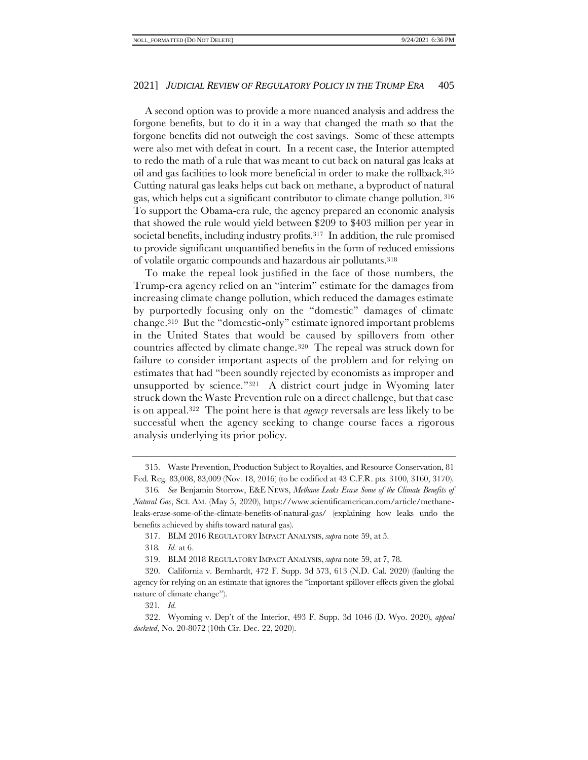A second option was to provide a more nuanced analysis and address the forgone benefits, but to do it in a way that changed the math so that the forgone benefits did not outweigh the cost savings. Some of these attempts were also met with defeat in court. In a recent case, the Interior attempted to redo the math of a rule that was meant to cut back on natural gas leaks at oil and gas facilities to look more beneficial in order to make the rollback.<sup>315</sup> Cutting natural gas leaks helps cut back on methane, a byproduct of natural gas, which helps cut a significant contributor to climate change pollution. <sup>316</sup> To support the Obama-era rule, the agency prepared an economic analysis that showed the rule would yield between \$209 to \$403 million per year in societal benefits, including industry profits.<sup>317</sup> In addition, the rule promised to provide significant unquantified benefits in the form of reduced emissions of volatile organic compounds and hazardous air pollutants.<sup>318</sup>

To make the repeal look justified in the face of those numbers, the Trump-era agency relied on an "interim" estimate for the damages from increasing climate change pollution, which reduced the damages estimate by purportedly focusing only on the "domestic" damages of climate change.<sup>319</sup> But the "domestic-only" estimate ignored important problems in the United States that would be caused by spillovers from other countries affected by climate change.320 The repeal was struck down for failure to consider important aspects of the problem and for relying on estimates that had "been soundly rejected by economists as improper and unsupported by science."321 A district court judge in Wyoming later struck down the Waste Prevention rule on a direct challenge, but that case is on appeal.322 The point here is that *agency* reversals are less likely to be successful when the agency seeking to change course faces a rigorous analysis underlying its prior policy.

<sup>315.</sup> Waste Prevention, Production Subject to Royalties, and Resource Conservation, 81 Fed. Reg. 83,008, 83,009 (Nov. 18, 2016) (to be codified at 43 C.F.R. pts. 3100, 3160, 3170).

<sup>316</sup>*. See* Benjamin Storrow, E&E NEWS, *Methane Leaks Erase Some of the Climate Benefits of Natural Gas*, SCI. AM. (May 5, 2020), https://www.scientificamerican.com/article/methaneleaks-erase-some-of-the-climate-benefits-of-natural-gas/ (explaining how leaks undo the benefits achieved by shifts toward natural gas).

<sup>317.</sup> BLM 2016 REGULATORY IMPACT ANALYSIS, *supra* note [59,](#page-12-0) at 5.

<sup>318</sup>*. Id.* at 6.

<sup>319.</sup> BLM 2018 REGULATORY IMPACT ANALYSIS, *supra* note [59,](#page-12-0) at 7, 78.

<sup>320.</sup> California v. Bernhardt, 472 F. Supp. 3d 573, 613 (N.D. Cal. 2020) (faulting the agency for relying on an estimate that ignores the "important spillover effects given the global nature of climate change").

<sup>321</sup>*. Id.*

<sup>322.</sup> Wyoming v. Dep't of the Interior, 493 F. Supp. 3d 1046 (D. Wyo. 2020), *appeal docketed*, No. 20-8072 (10th Cir. Dec. 22, 2020).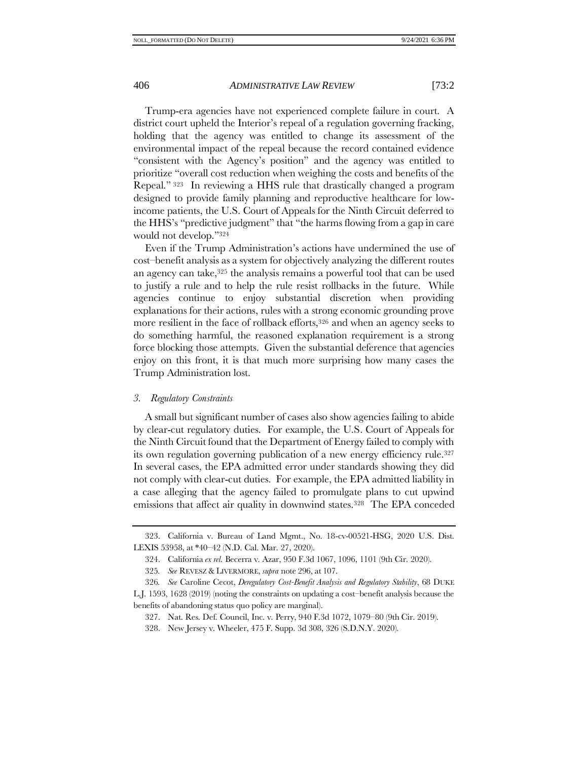Trump-era agencies have not experienced complete failure in court. A district court upheld the Interior's repeal of a regulation governing fracking, holding that the agency was entitled to change its assessment of the environmental impact of the repeal because the record contained evidence "consistent with the Agency's position" and the agency was entitled to prioritize "overall cost reduction when weighing the costs and benefits of the Repeal." <sup>323</sup> In reviewing a HHS rule that drastically changed a program designed to provide family planning and reproductive healthcare for lowincome patients, the U.S. Court of Appeals for the Ninth Circuit deferred to the HHS's "predictive judgment" that "the harms flowing from a gap in care would not develop."<sup>324</sup>

Even if the Trump Administration's actions have undermined the use of cost–benefit analysis as a system for objectively analyzing the different routes an agency can take,<sup>325</sup> the analysis remains a powerful tool that can be used to justify a rule and to help the rule resist rollbacks in the future. While agencies continue to enjoy substantial discretion when providing explanations for their actions, rules with a strong economic grounding prove more resilient in the face of rollback efforts,<sup>326</sup> and when an agency seeks to do something harmful, the reasoned explanation requirement is a strong force blocking those attempts. Given the substantial deference that agencies enjoy on this front, it is that much more surprising how many cases the Trump Administration lost.

# *3. Regulatory Constraints*

A small but significant number of cases also show agencies failing to abide by clear-cut regulatory duties. For example, the U.S. Court of Appeals for the Ninth Circuit found that the Department of Energy failed to comply with its own regulation governing publication of a new energy efficiency rule.<sup>327</sup> In several cases, the EPA admitted error under standards showing they did not comply with clear-cut duties. For example, the EPA admitted liability in a case alleging that the agency failed to promulgate plans to cut upwind emissions that affect air quality in downwind states.<sup>328</sup> The EPA conceded

<sup>323.</sup> California v. Bureau of Land Mgmt., No. 18-cv-00521-HSG, 2020 U.S. Dist. LEXIS 53958, at \*40–42 (N.D. Cal. Mar. 27, 2020).

<sup>324.</sup> California *ex rel.* Becerra v. Azar, 950 F.3d 1067, 1096, 1101 (9th Cir. 2020).

<sup>325</sup>*. See* REVESZ & LIVERMORE, *supra* note [296,](#page-49-0) at 107.

<sup>326</sup>*. See* Caroline Cecot, *Deregulatory Cost-Benefit Analysis and Regulatory Stability*, 68 DUKE L.J. 1593, 1628 (2019) (noting the constraints on updating a cost–benefit analysis because the benefits of abandoning status quo policy are marginal).

<sup>327.</sup> Nat. Res. Def. Council, Inc. v. Perry, 940 F.3d 1072, 1079–80 (9th Cir. 2019).

<sup>328.</sup> New Jersey v. Wheeler, 475 F. Supp. 3d 308, 326 (S.D.N.Y. 2020).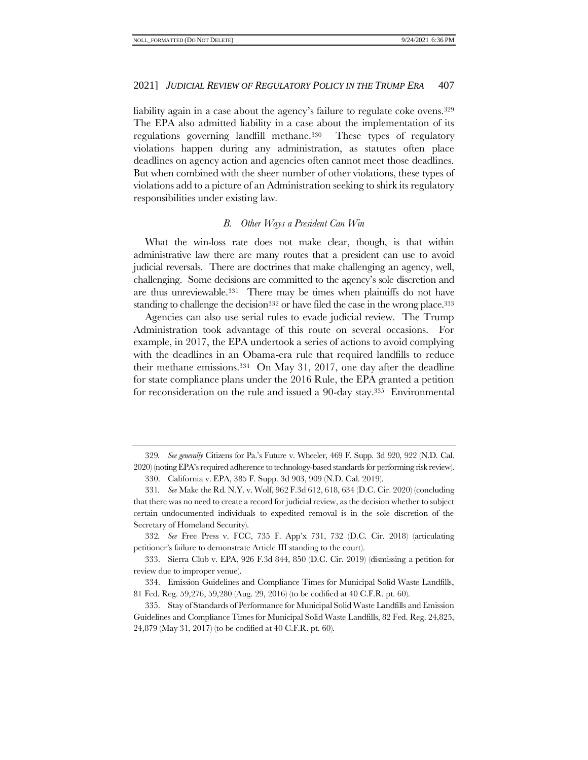liability again in a case about the agency's failure to regulate coke ovens.<sup>329</sup> The EPA also admitted liability in a case about the implementation of its regulations governing landfill methane.330 These types of regulatory violations happen during any administration, as statutes often place deadlines on agency action and agencies often cannot meet those deadlines. But when combined with the sheer number of other violations, these types of violations add to a picture of an Administration seeking to shirk its regulatory responsibilities under existing law.

# *B. Other Ways a President Can Win*

<span id="page-54-0"></span>What the win-loss rate does not make clear, though, is that within administrative law there are many routes that a president can use to avoid judicial reversals. There are doctrines that make challenging an agency, well, challenging. Some decisions are committed to the agency's sole discretion and are thus unreviewable.331 There may be times when plaintiffs do not have standing to challenge the decision<sup>332</sup> or have filed the case in the wrong place.<sup>333</sup>

Agencies can also use serial rules to evade judicial review. The Trump Administration took advantage of this route on several occasions. For example, in 2017, the EPA undertook a series of actions to avoid complying with the deadlines in an Obama-era rule that required landfills to reduce their methane emissions.334 On May 31, 2017, one day after the deadline for state compliance plans under the 2016 Rule, the EPA granted a petition for reconsideration on the rule and issued a 90-day stay.335 Environmental

<sup>329</sup>*. See generally* Citizens for Pa.'s Future v. Wheeler, 469 F. Supp. 3d 920, 922 (N.D. Cal. 2020) (noting EPA's required adherence to technology-based standards for performing risk review).

<sup>330.</sup> California v. EPA, 385 F. Supp. 3d 903, 909 (N.D. Cal. 2019).

<sup>331</sup>*. See* Make the Rd. N.Y. v. Wolf, 962 F.3d 612, 618, 634 (D.C. Cir. 2020) (concluding that there was no need to create a record for judicial review, as the decision whether to subject certain undocumented individuals to expedited removal is in the sole discretion of the Secretary of Homeland Security).

<sup>332</sup>*. See* Free Press v. FCC, 735 F. App'x 731, 732 (D.C. Cir. 2018) (articulating petitioner's failure to demonstrate Article III standing to the court).

<sup>333.</sup> Sierra Club v. EPA, 926 F.3d 844, 850 (D.C. Cir. 2019) (dismissing a petition for review due to improper venue).

<sup>334.</sup> Emission Guidelines and Compliance Times for Municipal Solid Waste Landfills, 81 Fed. Reg. 59,276, 59,280 (Aug. 29, 2016) (to be codified at 40 C.F.R. pt. 60).

<sup>335.</sup> Stay of Standards of Performance for Municipal Solid Waste Landfills and Emission Guidelines and Compliance Times for Municipal Solid Waste Landfills, 82 Fed. Reg. 24,825, 24,879 (May 31, 2017) (to be codified at 40 C.F.R. pt. 60).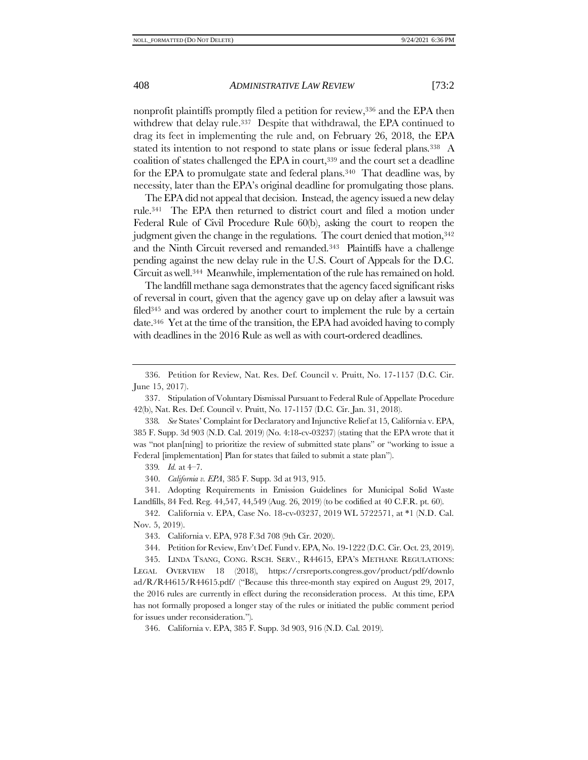nonprofit plaintiffs promptly filed a petition for review, <sup>336</sup> and the EPA then withdrew that delay rule.<sup>337</sup> Despite that withdrawal, the EPA continued to drag its feet in implementing the rule and, on February 26, 2018, the EPA stated its intention to not respond to state plans or issue federal plans.<sup>338</sup> A coalition of states challenged the EPA in court, <sup>339</sup> and the court set a deadline for the EPA to promulgate state and federal plans.340 That deadline was, by necessity, later than the EPA's original deadline for promulgating those plans.

The EPA did not appeal that decision. Instead, the agency issued a new delay rule.341 The EPA then returned to district court and filed a motion under Federal Rule of Civil Procedure Rule 60(b), asking the court to reopen the judgment given the change in the regulations. The court denied that motion,<sup>342</sup> and the Ninth Circuit reversed and remanded.343 Plaintiffs have a challenge pending against the new delay rule in the U.S. Court of Appeals for the D.C. Circuit as well.<sup>344</sup> Meanwhile, implementation of the rule has remained on hold.

The landfill methane saga demonstrates that the agency faced significant risks of reversal in court, given that the agency gave up on delay after a lawsuit was filed<sup>345</sup> and was ordered by another court to implement the rule by a certain date.346 Yet at the time of the transition, the EPA had avoided having to comply with deadlines in the 2016 Rule as well as with court-ordered deadlines.

339*. Id.* at 4–7.

340. *California v. EPA*, 385 F. Supp. 3d at 913, 915.

341. Adopting Requirements in Emission Guidelines for Municipal Solid Waste Landfills, 84 Fed. Reg. 44,547, 44,549 (Aug. 26, 2019) (to be codified at 40 C.F.R. pt. 60).

342. California v. EPA, Case No. 18-cv-03237, 2019 WL 5722571, at \*1 (N.D. Cal. Nov. 5, 2019).

343. California v. EPA, 978 F.3d 708 (9th Cir. 2020).

344. Petition for Review, Env't Def. Fund v. EPA, No. 19-1222 (D.C. Cir. Oct. 23, 2019).

345. LINDA TSANG, CONG. RSCH. SERV., R44615, EPA'S METHANE REGULATIONS: LEGAL OVERVIEW 18 (2018), [https://crsreports.congress.gov/product/pdf/downlo](https://crsreports.congress.gov/product/pdf/download/R/R44615/R44615.pdf/) [ad/R/R44615/R44615.pdf/](https://crsreports.congress.gov/product/pdf/download/R/R44615/R44615.pdf/) ("Because this three-month stay expired on August 29, 2017, the 2016 rules are currently in effect during the reconsideration process. At this time, EPA has not formally proposed a longer stay of the rules or initiated the public comment period for issues under reconsideration.").

346. California v. EPA, 385 F. Supp. 3d 903, 916 (N.D. Cal. 2019).

<sup>336.</sup> Petition for Review, Nat. Res. Def. Council v. Pruitt, No. 17-1157 (D.C. Cir. June 15, 2017).

<sup>337.</sup> Stipulation of Voluntary Dismissal Pursuant to Federal Rule of Appellate Procedure 42(b), Nat. Res. Def. Council v. Pruitt, No. 17-1157 (D.C. Cir. Jan. 31, 2018).

<sup>338</sup>*. See* States' Complaint for Declaratory and Injunctive Relief at 15, California v. EPA, 385 F. Supp. 3d 903 (N.D. Cal. 2019) (No. 4:18-cv-03237) (stating that the EPA wrote that it was "not plan[ning] to prioritize the review of submitted state plans" or "working to issue a Federal [implementation] Plan for states that failed to submit a state plan").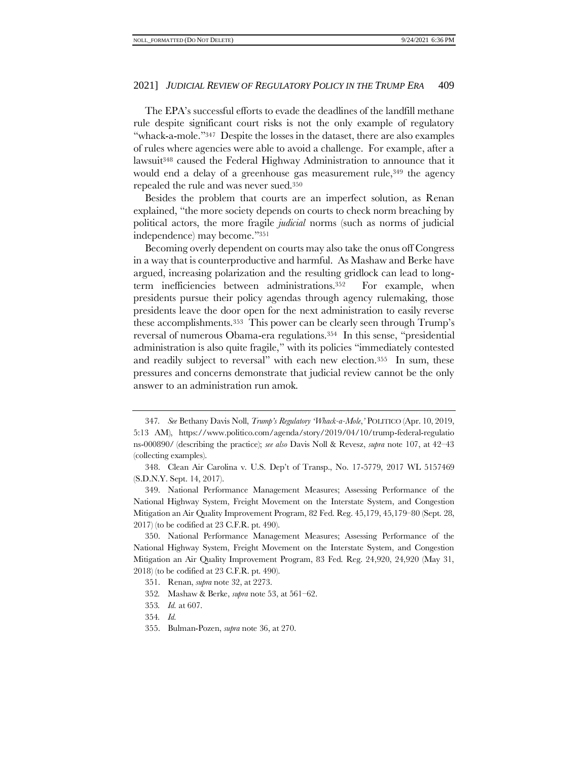The EPA's successful efforts to evade the deadlines of the landfill methane rule despite significant court risks is not the only example of regulatory "whack-a-mole."347 Despite the losses in the dataset, there are also examples of rules where agencies were able to avoid a challenge. For example, after a lawsuit<sup>348</sup> caused the Federal Highway Administration to announce that it would end a delay of a greenhouse gas measurement rule,<sup>349</sup> the agency repealed the rule and was never sued.<sup>350</sup>

Besides the problem that courts are an imperfect solution, as Renan explained, "the more society depends on courts to check norm breaching by political actors, the more fragile *judicial* norms (such as norms of judicial independence) may become."<sup>351</sup>

Becoming overly dependent on courts may also take the onus off Congress in a way that is counterproductive and harmful. As Mashaw and Berke have argued, increasing polarization and the resulting gridlock can lead to longterm inefficiencies between administrations.352 For example, when presidents pursue their policy agendas through agency rulemaking, those presidents leave the door open for the next administration to easily reverse these accomplishments.353 This power can be clearly seen through Trump's reversal of numerous Obama-era regulations.354 In this sense, "presidential administration is also quite fragile," with its policies "immediately contested and readily subject to reversal" with each new election.<sup>355</sup> In sum, these pressures and concerns demonstrate that judicial review cannot be the only answer to an administration run amok.

<sup>347</sup>*. See* Bethany Davis Noll, *Trump's Regulatory 'Whack-a-Mole*,*'* POLITICO (Apr. 10, 2019, 5:13 AM), https://www.politico.com/agenda/story/2019/04/10/trump-federal-regulatio ns-000890/ (describing the practice); *see also* Davis Noll & Revesz, *supra* note [107,](#page-18-0) at 42–43 (collecting examples).

<sup>348.</sup> Clean Air Carolina v. U.S. Dep't of Transp., No. 17-5779, 2017 WL 5157469 (S.D.N.Y. Sept. 14, 2017).

<sup>349.</sup> National Performance Management Measures; Assessing Performance of the National Highway System, Freight Movement on the Interstate System, and Congestion Mitigation an Air Quality Improvement Program, 82 Fed. Reg. 45,179, 45,179–80 (Sept. 28, 2017) (to be codified at 23 C.F.R. pt. 490).

<sup>350.</sup> National Performance Management Measures; Assessing Performance of the National Highway System, Freight Movement on the Interstate System, and Congestion Mitigation an Air Quality Improvement Program, 83 Fed. Reg. 24,920, 24,920 (May 31, 2018) (to be codified at 23 C.F.R. pt. 490).

<sup>351.</sup> Renan, *supra* not[e 32,](#page-7-2) at 2273.

<sup>352</sup>*.* Mashaw & Berke, *supra* note [53,](#page-11-1) at 561–62.

<sup>353</sup>*. Id.* at 607.

<sup>354</sup>*. Id.*

<sup>355.</sup> Bulman-Pozen, *supra* note [36,](#page-8-0) at 270.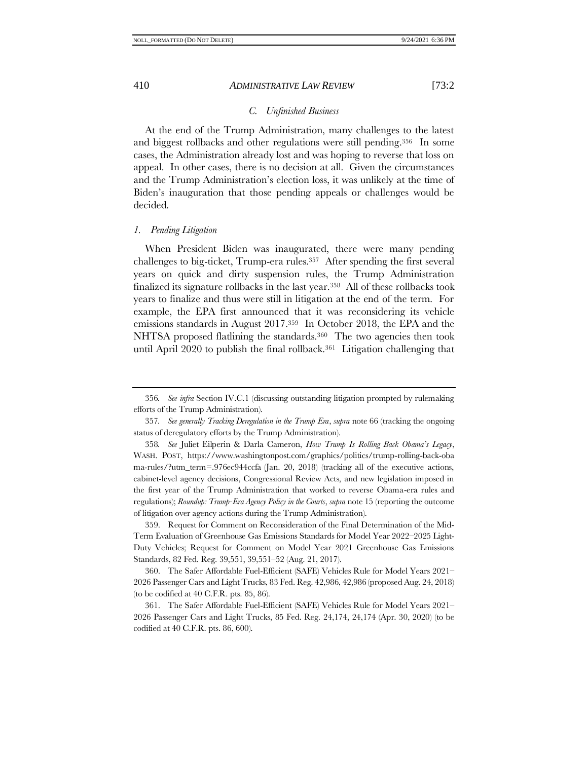# *C. Unfinished Business*

At the end of the Trump Administration, many challenges to the latest and biggest rollbacks and other regulations were still pending.356 In some cases, the Administration already lost and was hoping to reverse that loss on appeal. In other cases, there is no decision at all. Given the circumstances and the Trump Administration's election loss, it was unlikely at the time of Biden's inauguration that those pending appeals or challenges would be decided.

#### <span id="page-57-0"></span>*1. Pending Litigation*

When President Biden was inaugurated, there were many pending challenges to big-ticket, Trump-era rules.<sup>357</sup> After spending the first several years on quick and dirty suspension rules, the Trump Administration finalized its signature rollbacks in the last year.358 All of these rollbacks took years to finalize and thus were still in litigation at the end of the term. For example, the EPA first announced that it was reconsidering its vehicle emissions standards in August 2017.359 In October 2018, the EPA and the NHTSA proposed flatlining the standards.360 The two agencies then took until April 2020 to publish the final rollback.<sup>361</sup> Litigation challenging that

359. Request for Comment on Reconsideration of the Final Determination of the Mid-Term Evaluation of Greenhouse Gas Emissions Standards for Model Year 2022–2025 Light-Duty Vehicles; Request for Comment on Model Year 2021 Greenhouse Gas Emissions Standards, 82 Fed. Reg. 39,551, 39,551–52 (Aug. 21, 2017).

360. The Safer Affordable Fuel-Efficient (SAFE) Vehicles Rule for Model Years 2021– 2026 Passenger Cars and Light Trucks, 83 Fed. Reg. 42,986, 42,986 (proposed Aug. 24, 2018) (to be codified at 40 C.F.R. pts. 85, 86).

361. The Safer Affordable Fuel-Efficient (SAFE) Vehicles Rule for Model Years 2021– 2026 Passenger Cars and Light Trucks, 85 Fed. Reg. 24,174, 24,174 (Apr. 30, 2020) (to be codified at 40 C.F.R. pts. 86, 600).

<sup>356</sup>*. See infra* Section IV.[C.1](#page-57-0) (discussing outstanding litigation prompted by rulemaking efforts of the Trump Administration).

<sup>357</sup>*. See generally Tracking Deregulation in the Trump Era*, *supra* not[e 66](#page-13-1) (tracking the ongoing status of deregulatory efforts by the Trump Administration).

<sup>358</sup>*. See* Juliet Eilperin & Darla Cameron, *How Trump Is Rolling Back Obama's Legacy*, WASH. POST, https://www.washingtonpost.com/graphics/politics/trump-rolling-back-oba ma-rules/?utm\_term=.976ec944ccfa (Jan. 20, 2018) (tracking all of the executive actions, cabinet-level agency decisions, Congressional Review Acts, and new legislation imposed in the first year of the Trump Administration that worked to reverse Obama-era rules and regulations); *Roundup: Trump-Era Agency Policy in the Courts*, *supra* not[e 15](#page-5-0) (reporting the outcome of litigation over agency actions during the Trump Administration).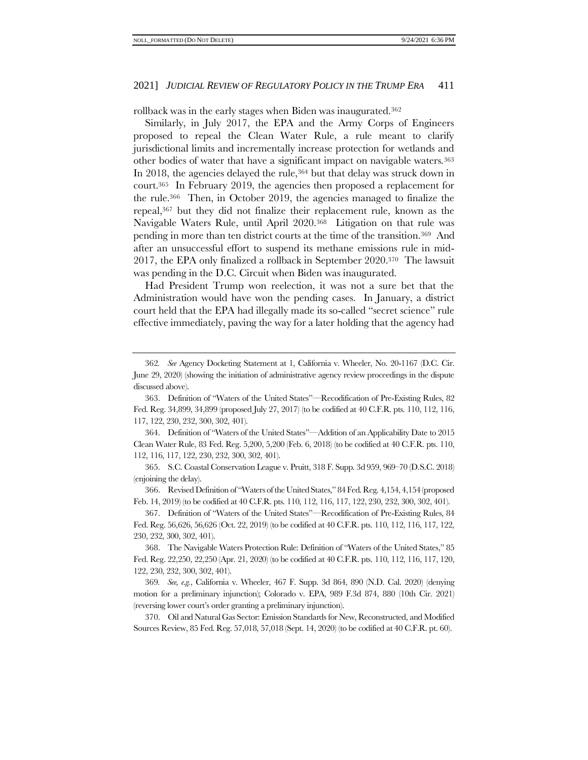rollback was in the early stages when Biden was inaugurated.<sup>362</sup>

Similarly, in July 2017, the EPA and the Army Corps of Engineers proposed to repeal the Clean Water Rule, a rule meant to clarify jurisdictional limits and incrementally increase protection for wetlands and other bodies of water that have a significant impact on navigable waters.<sup>363</sup> In 2018, the agencies delayed the rule,<sup>364</sup> but that delay was struck down in court.365 In February 2019, the agencies then proposed a replacement for the rule.366 Then, in October 2019, the agencies managed to finalize the repeal,<sup>367</sup> but they did not finalize their replacement rule, known as the Navigable Waters Rule, until April 2020.368 Litigation on that rule was pending in more than ten district courts at the time of the transition.369 And after an unsuccessful effort to suspend its methane emissions rule in mid-2017, the EPA only finalized a rollback in September 2020.370 The lawsuit was pending in the D.C. Circuit when Biden was inaugurated.

Had President Trump won reelection, it was not a sure bet that the Administration would have won the pending cases. In January, a district court held that the EPA had illegally made its so-called "secret science" rule effective immediately, paving the way for a later holding that the agency had

364. Definition of "Waters of the United States"—Addition of an Applicability Date to 2015 Clean Water Rule, 83 Fed. Reg. 5,200, 5,200 (Feb. 6, 2018) (to be codified at 40 C.F.R. pts. 110, 112, 116, 117, 122, 230, 232, 300, 302, 401).

365. S.C. Coastal Conservation League v. Pruitt, 318 F. Supp. 3d 959, 969–70 (D.S.C. 2018) (enjoining the delay).

366. Revised Definition of "Waters of the United States," 84 Fed. Reg. 4,154, 4,154 (proposed Feb. 14, 2019) (to be codified at 40 C.F.R. pts. 110, 112, 116, 117, 122, 230, 232, 300, 302, 401).

367. Definition of "Waters of the United States"—Recodification of Pre-Existing Rules, 84 Fed. Reg. 56,626, 56,626 (Oct. 22, 2019) (to be codified at 40 C.F.R. pts. 110, 112, 116, 117, 122, 230, 232, 300, 302, 401).

368. The Navigable Waters Protection Rule: Definition of "Waters of the United States," 85 Fed. Reg. 22,250, 22,250 (Apr. 21, 2020) (to be codified at 40 C.F.R. pts. 110, 112, 116, 117, 120, 122, 230, 232, 300, 302, 401).

369*. See, e.g.*, California v. Wheeler, 467 F. Supp. 3d 864, 890 (N.D. Cal. 2020) (denying motion for a preliminary injunction); Colorado v. EPA, 989 F.3d 874, 880 (10th Cir. 2021) (reversing lower court's order granting a preliminary injunction).

370. Oil and Natural Gas Sector: Emission Standards for New, Reconstructed, and Modified Sources Review, 85 Fed. Reg. 57,018, 57,018 (Sept. 14, 2020) (to be codified at 40 C.F.R. pt. 60).

<sup>362</sup>*. See* Agency Docketing Statement at 1, California v. Wheeler, No. 20-1167 (D.C. Cir. June 29, 2020) (showing the initiation of administrative agency review proceedings in the dispute discussed above).

<sup>363.</sup> Definition of "Waters of the United States"—Recodification of Pre-Existing Rules, 82 Fed. Reg. 34,899, 34,899 (proposed July 27, 2017) (to be codified at 40 C.F.R. pts. 110, 112, 116, 117, 122, 230, 232, 300, 302, 401).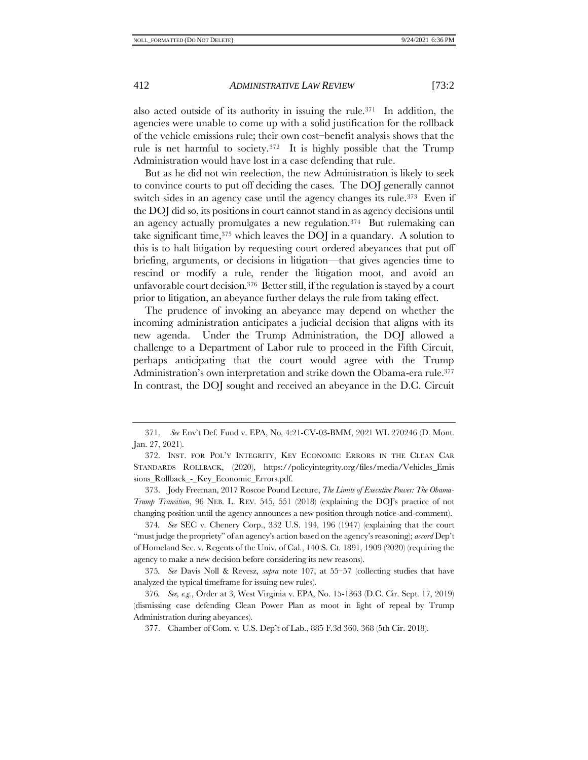also acted outside of its authority in issuing the rule.<sup>371</sup> In addition, the agencies were unable to come up with a solid justification for the rollback of the vehicle emissions rule; their own cost–benefit analysis shows that the rule is net harmful to society.372 It is highly possible that the Trump Administration would have lost in a case defending that rule.

But as he did not win reelection, the new Administration is likely to seek to convince courts to put off deciding the cases. The DOJ generally cannot switch sides in an agency case until the agency changes its rule.<sup>373</sup> Even if the DOJ did so, its positions in court cannot stand in as agency decisions until an agency actually promulgates a new regulation.374 But rulemaking can take significant time,  $375$  which leaves the DOJ in a quandary. A solution to this is to halt litigation by requesting court ordered abeyances that put off briefing, arguments, or decisions in litigation—that gives agencies time to rescind or modify a rule, render the litigation moot, and avoid an unfavorable court decision.376 Better still, if the regulation is stayed by a court prior to litigation, an abeyance further delays the rule from taking effect.

<span id="page-59-0"></span>The prudence of invoking an abeyance may depend on whether the incoming administration anticipates a judicial decision that aligns with its new agenda. Under the Trump Administration, the DOJ allowed a challenge to a Department of Labor rule to proceed in the Fifth Circuit, perhaps anticipating that the court would agree with the Trump Administration's own interpretation and strike down the Obama-era rule.<sup>377</sup> In contrast, the DOJ sought and received an abeyance in the D.C. Circuit

<sup>371.</sup> *See* Env't Def. Fund v. EPA, No. 4:21-CV-03-BMM, 2021 WL 270246 (D. Mont. Jan. 27, 2021).

<sup>372.</sup> INST. FOR POL'Y INTEGRITY, KEY ECONOMIC ERRORS IN THE CLEAN CAR STANDARDS ROLLBACK, (2020), https://policyintegrity.org/files/media/Vehicles\_Emis sions\_Rollback\_-\_Key\_Economic\_Errors.pdf.

<sup>373.</sup> Jody Freeman, 2017 Roscoe Pound Lecture, *The Limits of Executive Power: The Obama-Trump Transition*, 96 NEB. L. REV. 545, 551 (2018) (explaining the DOJ's practice of not changing position until the agency announces a new position through notice-and-comment).

<sup>374</sup>*. See* SEC v. Chenery Corp., 332 U.S. 194, 196 (1947) (explaining that the court "must judge the propriety" of an agency's action based on the agency's reasoning); *accord* Dep't of Homeland Sec. v. Regents of the Univ. of Cal., 140 S. Ct. 1891, 1909 (2020) (requiring the agency to make a new decision before considering its new reasons).

<sup>375</sup>*. See* Davis Noll & Revesz, *supra* note [107,](#page-18-0) at 55–57 (collecting studies that have analyzed the typical timeframe for issuing new rules).

<sup>376</sup>*. See, e.g.*, Order at 3, West Virginia v. EPA, No. 15-1363 (D.C. Cir. Sept. 17, 2019) (dismissing case defending Clean Power Plan as moot in light of repeal by Trump Administration during abeyances).

<sup>377.</sup> Chamber of Com. v. U.S. Dep't of Lab., 885 F.3d 360, 368 (5th Cir. 2018).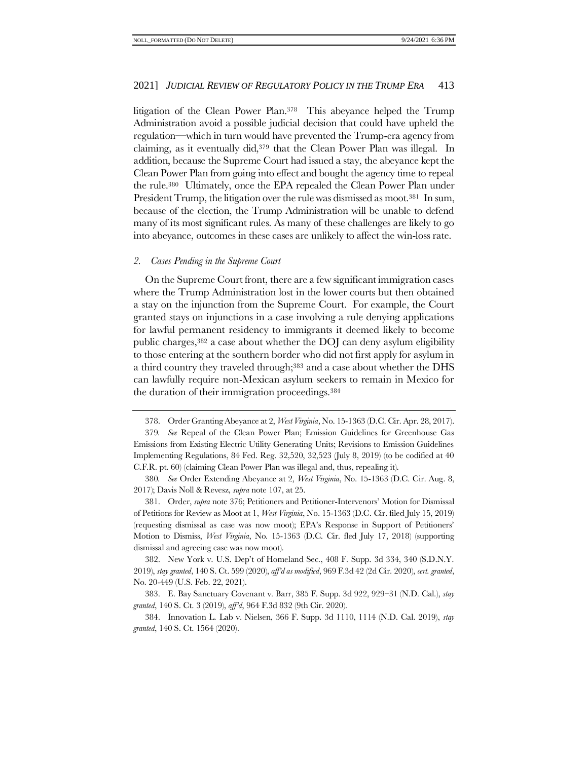litigation of the Clean Power Plan. <sup>378</sup> This abeyance helped the Trump Administration avoid a possible judicial decision that could have upheld the regulation—which in turn would have prevented the Trump-era agency from claiming, as it eventually did,<sup>379</sup> that the Clean Power Plan was illegal. In addition, because the Supreme Court had issued a stay, the abeyance kept the Clean Power Plan from going into effect and bought the agency time to repeal the rule.380 Ultimately, once the EPA repealed the Clean Power Plan under President Trump, the litigation over the rule was dismissed as moot.<sup>381</sup> In sum, because of the election, the Trump Administration will be unable to defend many of its most significant rules. As many of these challenges are likely to go into abeyance, outcomes in these cases are unlikely to affect the win-loss rate.

#### *2. Cases Pending in the Supreme Court*

On the Supreme Court front, there are a few significant immigration cases where the Trump Administration lost in the lower courts but then obtained a stay on the injunction from the Supreme Court. For example, the Court granted stays on injunctions in a case involving a rule denying applications for lawful permanent residency to immigrants it deemed likely to become public charges,<sup>382</sup> a case about whether the DOJ can deny asylum eligibility to those entering at the southern border who did not first apply for asylum in a third country they traveled through;<sup>383</sup> and a case about whether the DHS can lawfully require non-Mexican asylum seekers to remain in Mexico for the duration of their immigration proceedings.<sup>384</sup>

381. Order, *supra* note [376;](#page-59-0) Petitioners and Petitioner-Intervenors' Motion for Dismissal of Petitions for Review as Moot at 1, *West Virginia*, No. 15-1363 (D.C. Cir. filed July 15, 2019) (requesting dismissal as case was now moot); EPA's Response in Support of Petitioners' Motion to Dismiss, *West Virginia*, No. 15-1363 (D.C. Cir. fled July 17, 2018) (supporting dismissal and agreeing case was now moot).

382. New York v. U.S. Dep't of Homeland Sec., 408 F. Supp. 3d 334, 340 (S.D.N.Y. 2019), *stay granted*, 140 S. Ct. 599 (2020), *aff'd as modified*, 969 F.3d 42 (2d Cir. 2020), *cert. granted*, No. 20-449 (U.S. Feb. 22, 2021).

383. E. Bay Sanctuary Covenant v. Barr, 385 F. Supp. 3d 922, 929–31 (N.D. Cal.), *stay granted*, 140 S. Ct. 3 (2019), *aff'd*, 964 F.3d 832 (9th Cir. 2020).

384. Innovation L. Lab v. Nielsen, 366 F. Supp. 3d 1110, 1114 (N.D. Cal. 2019), *stay granted*, 140 S. Ct. 1564 (2020).

<sup>378.</sup> Order Granting Abeyance at 2, *West Virginia*, No. 15-1363 (D.C. Cir. Apr. 28, 2017).

<sup>379</sup>*. See* Repeal of the Clean Power Plan; Emission Guidelines for Greenhouse Gas Emissions from Existing Electric Utility Generating Units; Revisions to Emission Guidelines Implementing Regulations, 84 Fed. Reg. 32,520, 32,523 (July 8, 2019) (to be codified at 40 C.F.R. pt. 60) (claiming Clean Power Plan was illegal and, thus, repealing it).

<sup>380</sup>*. See* Order Extending Abeyance at 2, *West Virginia*, No. 15-1363 (D.C. Cir. Aug. 8, 2017); Davis Noll & Revesz, *supra* not[e 107,](#page-18-0) at 25.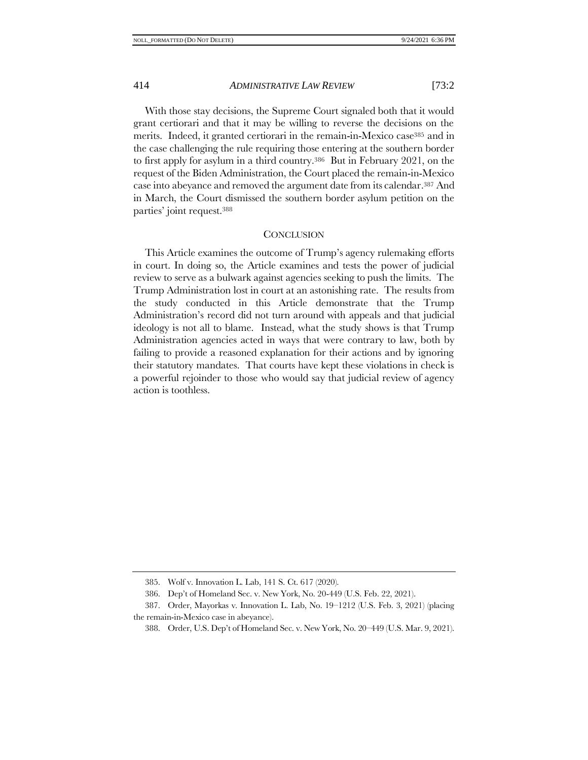With those stay decisions, the Supreme Court signaled both that it would grant certiorari and that it may be willing to reverse the decisions on the merits. Indeed, it granted certiorari in the remain-in-Mexico case<sup>385</sup> and in the case challenging the rule requiring those entering at the southern border to first apply for asylum in a third country.386 But in February 2021, on the request of the Biden Administration, the Court placed the remain-in-Mexico case into abeyance and removed the argument date from its calendar. <sup>387</sup> And in March, the Court dismissed the southern border asylum petition on the parties' joint request.<sup>388</sup>

#### **CONCLUSION**

This Article examines the outcome of Trump's agency rulemaking efforts in court. In doing so, the Article examines and tests the power of judicial review to serve as a bulwark against agencies seeking to push the limits. The Trump Administration lost in court at an astonishing rate. The results from the study conducted in this Article demonstrate that the Trump Administration's record did not turn around with appeals and that judicial ideology is not all to blame. Instead, what the study shows is that Trump Administration agencies acted in ways that were contrary to law, both by failing to provide a reasoned explanation for their actions and by ignoring their statutory mandates. That courts have kept these violations in check is a powerful rejoinder to those who would say that judicial review of agency action is toothless.

<sup>385.</sup> Wolf v. Innovation L. Lab, 141 S. Ct. 617 (2020).

<sup>386.</sup> Dep't of Homeland Sec. v. New York, No. 20-449 (U.S. Feb. 22, 2021).

<sup>387.</sup> Order, Mayorkas v. Innovation L. Lab, No. 19–1212 (U.S. Feb. 3, 2021) (placing the remain-in-Mexico case in abeyance).

<sup>388.</sup> Order, U.S. Dep't of Homeland Sec. v. New York, No. 20–449 (U.S. Mar. 9, 2021).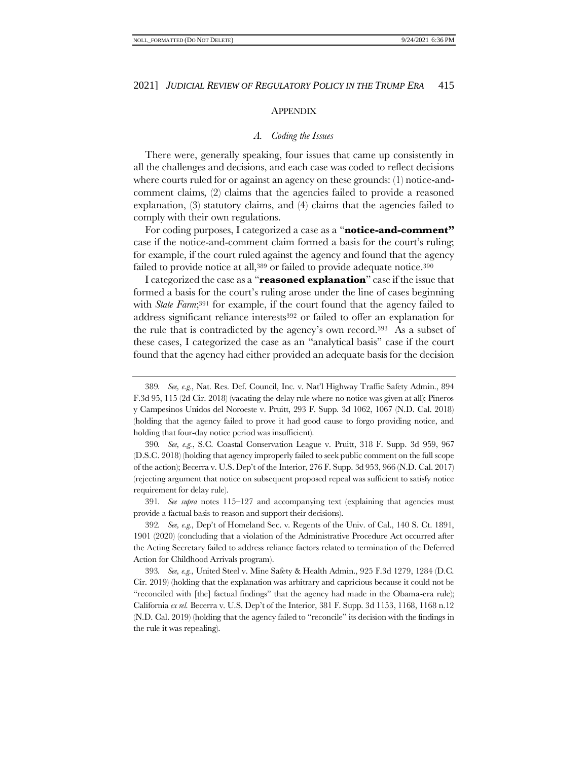# APPENDIX

# *A. Coding the Issues*

<span id="page-62-0"></span>There were, generally speaking, four issues that came up consistently in all the challenges and decisions, and each case was coded to reflect decisions where courts ruled for or against an agency on these grounds: (1) notice-andcomment claims, (2) claims that the agencies failed to provide a reasoned explanation, (3) statutory claims, and (4) claims that the agencies failed to comply with their own regulations.

For coding purposes, I categorized a case as a "**notice-and-comment"** case if the notice-and-comment claim formed a basis for the court's ruling; for example, if the court ruled against the agency and found that the agency failed to provide notice at all,<sup>389</sup> or failed to provide adequate notice.<sup>390</sup>

I categorized the case as a "**reasoned explanation**" case if the issue that formed a basis for the court's ruling arose under the line of cases beginning with *State Farm*;<sup>391</sup> for example, if the court found that the agency failed to address significant reliance interests<sup>392</sup> or failed to offer an explanation for the rule that is contradicted by the agency's own record.393 As a subset of these cases, I categorized the case as an "analytical basis" case if the court found that the agency had either provided an adequate basis for the decision

391*. See supra* notes [115](#page-19-0)–[127](#page-20-0) and accompanying text (explaining that agencies must provide a factual basis to reason and support their decisions).

392*. See, e.g.*, Dep't of Homeland Sec. v. Regents of the Univ. of Cal., 140 S. Ct. 1891, 1901 (2020) (concluding that a violation of the Administrative Procedure Act occurred after the Acting Secretary failed to address reliance factors related to termination of the Deferred Action for Childhood Arrivals program).

393*. See, e.g.*, United Steel v. Mine Safety & Health Admin., 925 F.3d 1279, 1284 (D.C. Cir. 2019) (holding that the explanation was arbitrary and capricious because it could not be "reconciled with [the] factual findings" that the agency had made in the Obama-era rule); California *ex rel.* Becerra v. U.S. Dep't of the Interior, 381 F. Supp. 3d 1153, 1168, 1168 n.12 (N.D. Cal. 2019) (holding that the agency failed to "reconcile" its decision with the findings in the rule it was repealing).

<sup>389</sup>*. See, e.g.*, Nat. Res. Def. Council, Inc. v. Nat'l Highway Traffic Safety Admin., 894 F.3d 95, 115 (2d Cir. 2018) (vacating the delay rule where no notice was given at all); Pineros y Campesinos Unidos del Noroeste v. Pruitt, 293 F. Supp. 3d 1062, 1067 (N.D. Cal. 2018) (holding that the agency failed to prove it had good cause to forgo providing notice, and holding that four-day notice period was insufficient).

<sup>390</sup>*. See, e.g.*, S.C. Coastal Conservation League v. Pruitt, 318 F. Supp. 3d 959, 967 (D.S.C. 2018) (holding that agency improperly failed to seek public comment on the full scope of the action); Becerra v. U.S. Dep't of the Interior, 276 F. Supp. 3d 953, 966 (N.D. Cal. 2017) (rejecting argument that notice on subsequent proposed repeal was sufficient to satisfy notice requirement for delay rule).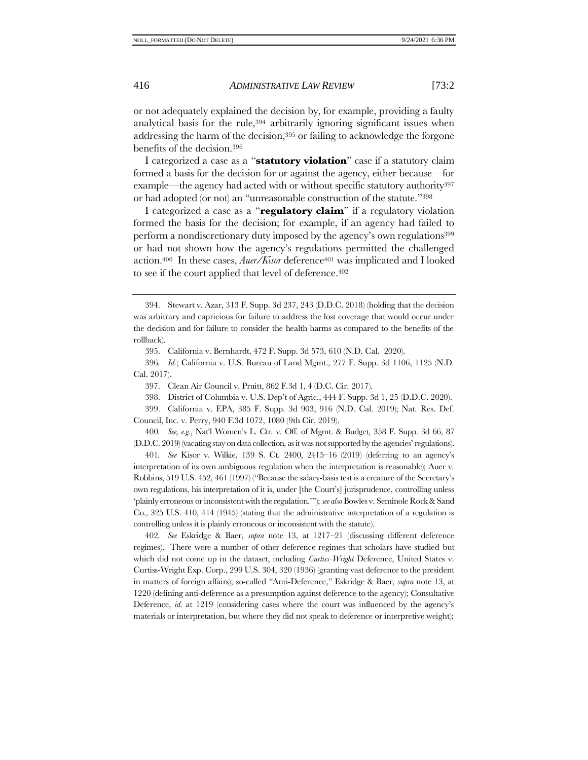or not adequately explained the decision by, for example, providing a faulty analytical basis for the rule,<sup>394</sup> arbitrarily ignoring significant issues when addressing the harm of the decision,<sup>395</sup> or failing to acknowledge the forgone benefits of the decision.<sup>396</sup>

I categorized a case as a "**statutory violation**" case if a statutory claim formed a basis for the decision for or against the agency, either because—for example—the agency had acted with or without specific statutory authority<sup>397</sup> or had adopted (or not) an "unreasonable construction of the statute."<sup>398</sup>

I categorized a case as a "**regulatory claim**" if a regulatory violation formed the basis for the decision; for example, if an agency had failed to perform a nondiscretionary duty imposed by the agency's own regulations<sup>399</sup> or had not shown how the agency's regulations permitted the challenged action.<sup>400</sup> In these cases, *Auer/Kisor* deference<sup>401</sup> was implicated and I looked to see if the court applied that level of deference. 402

398. District of Columbia v. U.S. Dep't of Agric., 444 F. Supp. 3d 1, 25 (D.D.C. 2020).

399. California v. EPA, 385 F. Supp. 3d 903, 916 (N.D. Cal. 2019); Nat. Res. Def. Council, Inc. v. Perry, 940 F.3d 1072, 1080 (9th Cir. 2019).

400*. See, e.g.*, Nat'l Women's L. Ctr. v. Off. of Mgmt. & Budget, 358 F. Supp. 3d 66, 87 (D.D.C. 2019) (vacating stay on data collection, as it was not supported by the agencies' regulations).

401*. See* Kisor v. Wilkie, 139 S. Ct. 2400, 2415–16 (2019) (deferring to an agency's interpretation of its own ambiguous regulation when the interpretation is reasonable); Auer v. Robbins, 519 U.S. 452, 461 (1997) ("Because the salary-basis test is a creature of the Secretary's own regulations, his interpretation of it is, under [the Court's] jurisprudence, controlling unless 'plainly erroneous or inconsistent with the regulation.'"); *see also* Bowles v. Seminole Rock & Sand Co., 325 U.S. 410, 414 (1945) (stating that the administrative interpretation of a regulation is controlling unless it is plainly erroneous or inconsistent with the statute).

402*. See* Eskridge & Baer, *supra* note [13,](#page-3-2) at 1217–21 (discussing different deference regimes). There were a number of other deference regimes that scholars have studied but which did not come up in the dataset, including *Curtiss-Wright* Deference, United States v. Curtiss-Wright Exp. Corp., 299 U.S. 304, 320 (1936) (granting vast deference to the president in matters of foreign affairs); so-called "Anti-Deference," Eskridge & Baer, *supra* note [13,](#page-3-2) at 1220 (defining anti-deference as a presumption against deference to the agency); Consultative Deference, *id.* at 1219 (considering cases where the court was influenced by the agency's materials or interpretation, but where they did not speak to deference or interpretive weight);

<sup>394.</sup> Stewart v. Azar, 313 F. Supp. 3d 237, 243 (D.D.C. 2018) (holding that the decision was arbitrary and capricious for failure to address the lost coverage that would occur under the decision and for failure to consider the health harms as compared to the benefits of the rollback).

<sup>395.</sup> California v. Bernhardt, 472 F. Supp. 3d 573, 610 (N.D. Cal. 2020).

<sup>396</sup>*. Id.*; California v. U.S. Bureau of Land Mgmt., 277 F. Supp. 3d 1106, 1125 (N.D. Cal. 2017).

<sup>397.</sup> Clean Air Council v. Pruitt, 862 F.3d 1, 4 (D.C. Cir. 2017).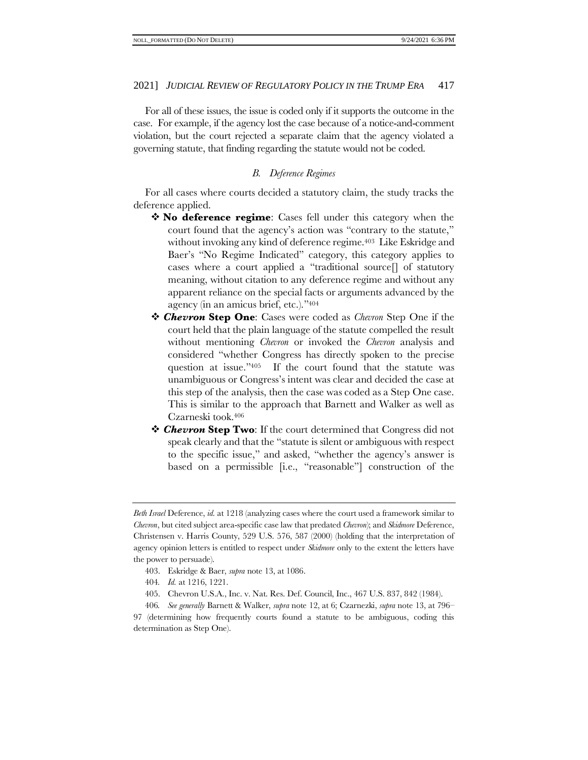For all of these issues, the issue is coded only if it supports the outcome in the case. For example, if the agency lost the case because of a notice-and-comment violation, but the court rejected a separate claim that the agency violated a governing statute, that finding regarding the statute would not be coded.

# *B. Deference Regimes*

For all cases where courts decided a statutory claim, the study tracks the deference applied.

- ❖ **No deference regime**: Cases fell under this category when the court found that the agency's action was "contrary to the statute," without invoking any kind of deference regime.<sup>403</sup> Like Eskridge and Baer's "No Regime Indicated" category, this category applies to cases where a court applied a "traditional source[] of statutory meaning, without citation to any deference regime and without any apparent reliance on the special facts or arguments advanced by the agency (in an amicus brief, etc.)."<sup>404</sup>
- ❖ *Chevron* **Step One**: Cases were coded as *Chevron* Step One if the court held that the plain language of the statute compelled the result without mentioning *Chevron* or invoked the *Chevron* analysis and considered "whether Congress has directly spoken to the precise question at issue."405 If the court found that the statute was unambiguous or Congress's intent was clear and decided the case at this step of the analysis, then the case was coded as a Step One case. This is similar to the approach that Barnett and Walker as well as Czarneski took.<sup>406</sup>
- ❖ *Chevron* **Step Two**: If the court determined that Congress did not speak clearly and that the "statute is silent or ambiguous with respect to the specific issue," and asked, "whether the agency's answer is based on a permissible [i.e., "reasonable"] construction of the

- 403. Eskridge & Baer, *supra* not[e 13,](#page-3-2) at 1086.
- 404*. Id.* at 1216, 1221.
- 405. Chevron U.S.A., Inc. v. Nat. Res. Def. Council, Inc., 467 U.S. 837, 842 (1984).

*Beth Israel* Deference, *id.* at 1218 (analyzing cases where the court used a framework similar to *Chevron*, but cited subject area-specific case law that predated *Chevron*); and *Skidmore* Deference, Christensen v. Harris County, 529 U.S. 576, 587 (2000) (holding that the interpretation of agency opinion letters is entitled to respect under *Skidmore* only to the extent the letters have the power to persuade).

<sup>406</sup>*. See generally* Barnett & Walker, *supra* not[e 12,](#page-3-0) at 6; Czarnezki, *supra* not[e 13,](#page-3-2) at 796– 97 (determining how frequently courts found a statute to be ambiguous, coding this determination as Step One).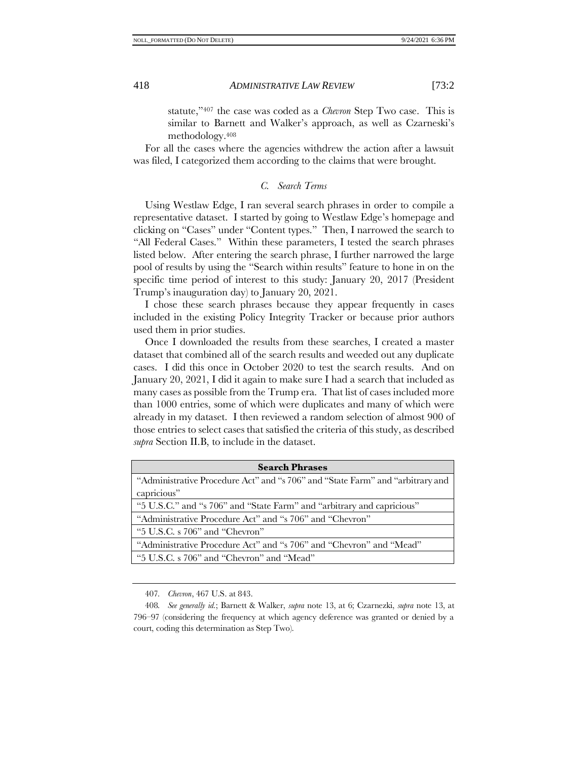statute,"<sup>407</sup> the case was coded as a *Chevron* Step Two case. This is similar to Barnett and Walker's approach, as well as Czarneski's methodology.<sup>408</sup>

For all the cases where the agencies withdrew the action after a lawsuit was filed, I categorized them according to the claims that were brought.

# *C. Search Terms*

Using Westlaw Edge, I ran several search phrases in order to compile a representative dataset. I started by going to Westlaw Edge's homepage and clicking on "Cases" under "Content types." Then, I narrowed the search to "All Federal Cases." Within these parameters, I tested the search phrases listed below. After entering the search phrase, I further narrowed the large pool of results by using the "Search within results" feature to hone in on the specific time period of interest to this study: January 20, 2017 (President Trump's inauguration day) to January 20, 2021.

I chose these search phrases because they appear frequently in cases included in the existing Policy Integrity Tracker or because prior authors used them in prior studies.

Once I downloaded the results from these searches, I created a master dataset that combined all of the search results and weeded out any duplicate cases. I did this once in October 2020 to test the search results. And on January 20, 2021, I did it again to make sure I had a search that included as many cases as possible from the Trump era. That list of cases included more than 1000 entries, some of which were duplicates and many of which were already in my dataset. I then reviewed a random selection of almost 900 of those entries to select cases that satisfied the criteria of this study, as described *supra* Section II.B, to include in the dataset.

| <b>Search Phrases</b>                                                          |  |  |
|--------------------------------------------------------------------------------|--|--|
| "Administrative Procedure Act" and "s 706" and "State Farm" and "arbitrary and |  |  |
| capricious"                                                                    |  |  |
| "5 U.S.C." and "s 706" and "State Farm" and "arbitrary and capricious"         |  |  |
| "Administrative Procedure Act" and "s 706" and "Chevron"                       |  |  |
| "5 U.S.C. s 706" and "Chevron"                                                 |  |  |
| "Administrative Procedure Act" and "s 706" and "Chevron" and "Mead"            |  |  |
| "5 U.S.C. s 706" and "Chevron" and "Mead"                                      |  |  |
|                                                                                |  |  |

<sup>407</sup>*. Chevron*, 467 U.S. at 843.

<sup>408</sup>*. See generally id.*; Barnett & Walker, *supra* note [13,](#page-3-2) at 6; Czarnezki, *supra* note [13,](#page-3-2) at 796–97 (considering the frequency at which agency deference was granted or denied by a court, coding this determination as Step Two).